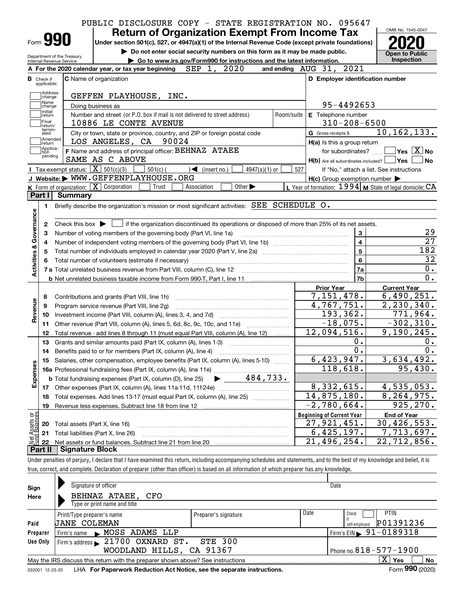|                                        | PUBLIC DISCLOSURE COPY - STATE REGISTRATION NO. 095647                                                                                                                     |            |                                                           |                                                 |
|----------------------------------------|----------------------------------------------------------------------------------------------------------------------------------------------------------------------------|------------|-----------------------------------------------------------|-------------------------------------------------|
|                                        | <b>Return of Organization Exempt From Income Tax</b>                                                                                                                       |            |                                                           | OMB No. 1545-0047                               |
| Form 990                               | Under section 501(c), 527, or 4947(a)(1) of the Internal Revenue Code (except private foundations)                                                                         |            |                                                           |                                                 |
| Department of the Treasury             | Do not enter social security numbers on this form as it may be made public.                                                                                                |            |                                                           | <b>Open to Public</b>                           |
| Internal Revenue Service               | Go to www.irs.gov/Form990 for instructions and the latest information.                                                                                                     |            |                                                           | Inspection                                      |
|                                        | A For the 2020 calendar year, or tax year beginning SEP 1, 2020                                                                                                            |            | and ending AUG 31, 2021                                   |                                                 |
| <b>B</b> Check if<br>applicable:       | C Name of organization                                                                                                                                                     |            | D Employer identification number                          |                                                 |
| Address<br>change                      | GEFFEN PLAYHOUSE, INC.                                                                                                                                                     |            |                                                           |                                                 |
| Name<br>change                         | Doing business as                                                                                                                                                          |            | 95-4492653                                                |                                                 |
| Initial<br> return<br>Final<br>return/ | Number and street (or P.O. box if mail is not delivered to street address)<br>10886 LE CONTE AVENUE                                                                        | Room/suite | E Telephone number<br>$310 - 208 - 6500$                  |                                                 |
| termin-<br>ated                        | City or town, state or province, country, and ZIP or foreign postal code                                                                                                   |            | G Gross receipts \$                                       | 10, 162, 133.                                   |
| Amended<br>return                      | LOS ANGELES, CA 90024                                                                                                                                                      |            | H(a) Is this a group return                               |                                                 |
| Applica-<br>tion<br>pending            | F Name and address of principal officer: BEHNAZ ATAEE                                                                                                                      |            | for subordinates?                                         | $\overline{\ }$ Yes $\overline{\phantom{X}}$ No |
|                                        | SAME AS C ABOVE                                                                                                                                                            |            | H(b) Are all subordinates included? Ves                   | No                                              |
|                                        | Tax-exempt status: $\boxed{\mathbf{X}}$ 501(c)(3)<br>$501(c)$ (<br>$\mathcal{A}$ (insert no.)<br>4947(a)(1) or                                                             | 527        |                                                           | If "No," attach a list. See instructions        |
|                                        | J Website: WWW.GEFFENPLAYHOUSE.ORG                                                                                                                                         |            | $H(c)$ Group exemption number $\blacktriangleright$       |                                                 |
|                                        | <b>K</b> Form of organization: $\boxed{\mathbf{X}}$ Corporation<br>Trust<br>Association<br>Other $\blacktriangleright$                                                     |            | L Year of formation: 1994   M State of legal domicile: CA |                                                 |
| Part I                                 | <b>Summary</b>                                                                                                                                                             |            |                                                           |                                                 |
| 1.                                     | Briefly describe the organization's mission or most significant activities: SEE SCHEDULE O.                                                                                |            |                                                           |                                                 |
|                                        |                                                                                                                                                                            |            |                                                           |                                                 |
| 2                                      | Check this box $\blacktriangleright$ $\Box$ if the organization discontinued its operations or disposed of more than 25% of its net assets.                                |            |                                                           |                                                 |
| з                                      | Number of voting members of the governing body (Part VI, line 1a)                                                                                                          |            | 3                                                         |                                                 |
| 4                                      |                                                                                                                                                                            |            | $\overline{4}$                                            |                                                 |
| 5                                      | Total number of individuals employed in calendar year 2020 (Part V, line 2a) manufacture controller to intervent                                                           |            | $\overline{5}$                                            | 182                                             |
|                                        |                                                                                                                                                                            |            | 6                                                         |                                                 |
| Activities & Governance                |                                                                                                                                                                            |            | 7a                                                        |                                                 |
|                                        |                                                                                                                                                                            |            | 7b                                                        |                                                 |
|                                        |                                                                                                                                                                            |            | <b>Prior Year</b>                                         | <b>Current Year</b>                             |
| 8                                      | Contributions and grants (Part VIII, line 1h)                                                                                                                              |            | 7,151,478.                                                | 6,490,251.                                      |
| 9                                      | Program service revenue (Part VIII, line 2g)                                                                                                                               |            | 4,767,751.                                                | 2, 230, 340.                                    |
| Revenue<br>10                          |                                                                                                                                                                            |            | 193, 362.                                                 | 771,964.                                        |
| 11                                     | Other revenue (Part VIII, column (A), lines 5, 6d, 8c, 9c, 10c, and 11e)                                                                                                   |            | $-18,075.$                                                | $-302, 310.$                                    |
| 12                                     | Total revenue - add lines 8 through 11 (must equal Part VIII, column (A), line 12)                                                                                         |            | 12,094,516.                                               | 9,190,245.                                      |
| 13                                     | Grants and similar amounts paid (Part IX, column (A), lines 1-3) <i>manoronononononon</i>                                                                                  |            | 0.                                                        |                                                 |
|                                        |                                                                                                                                                                            |            | $\overline{0}$ .                                          |                                                 |
| 15                                     | Salaries, other compensation, employee benefits (Part IX, column (A), lines 5-10)                                                                                          |            | 6,423,947.                                                | 3,634,492.                                      |
| Expenses                               |                                                                                                                                                                            |            | 118,618.                                                  | 95,430.                                         |
|                                        | 484,733.<br><b>b</b> Total fundraising expenses (Part IX, column (D), line 25)                                                                                             |            |                                                           |                                                 |
| 17                                     | Other expenses (Part IX, column (A), lines 11a-11d, 11f-24e)                                                                                                               |            | 8,332,615.                                                | 4,535,053.                                      |
|                                        | Total expenses. Add lines 13-17 (must equal Part IX, column (A), line 25)                                                                                                  |            | 14,875,180.                                               | 8,264,975.                                      |
| 18                                     |                                                                                                                                                                            |            | $-2,780,664$ .                                            | 925,270.                                        |
| 19                                     | Revenue less expenses. Subtract line 18 from line 12                                                                                                                       |            |                                                           |                                                 |
|                                        |                                                                                                                                                                            |            | <b>Beginning of Current Year</b>                          | <b>End of Year</b>                              |
| Net Assets or<br>Eund Balances<br>20   | Total assets (Part X, line 16)                                                                                                                                             |            | 27,921,451.                                               | 30,426,553.                                     |
| 21                                     | Total liabilities (Part X, line 26)                                                                                                                                        |            | 6,425,197.                                                | $\overline{7,713,697}$ .                        |
| 22                                     |                                                                                                                                                                            |            | $\overline{21}$ , 496, 254.                               | 22,712,856.                                     |
| Part II                                | <b>Signature Block</b>                                                                                                                                                     |            |                                                           |                                                 |
|                                        | Under penalties of perjury, I declare that I have examined this return, including accompanying schedules and statements, and to the best of my knowledge and belief, it is |            |                                                           |                                                 |
|                                        | true, correct, and complete. Declaration of preparer (other than officer) is based on all information of which preparer has any knowledge.                                 |            |                                                           |                                                 |
|                                        |                                                                                                                                                                            |            |                                                           |                                                 |
| Sign                                   | Signature of officer                                                                                                                                                       |            | Date                                                      |                                                 |

| Here            | BEHNAZ ATAEE, CFO                                                               |                      |      |                                            |
|-----------------|---------------------------------------------------------------------------------|----------------------|------|--------------------------------------------|
|                 | Type or print name and title                                                    |                      |      |                                            |
|                 | Print/Type preparer's name                                                      | Preparer's signature | Date | <b>PTIN</b><br>Check                       |
| Paid            | <b>UANE COLEMAN</b>                                                             |                      |      | P01391236<br>self-employed                 |
| Preparer        | Firm's name MOSS ADAMS LLP                                                      |                      |      | $1$ Firm's EIN $\triangleright$ 91-0189318 |
| Use Only        | Firm's address 21700 OXNARD ST. STE 300                                         |                      |      |                                            |
|                 | WOODLAND HILLS, CA 91367                                                        |                      |      | $1$ Phone no. $818 - 577 - 1900$           |
|                 | May the IRS discuss this return with the preparer shown above? See instructions |                      |      | X.<br><b>No</b><br>Yes                     |
| 032001 12-23-20 | LHA For Paperwork Reduction Act Notice, see the separate instructions.          |                      |      | Form 990 (2020)                            |

| 032001 12-23-20 |  | LHA For Paperwork Reduction Act Notice, see the separate instructions. |  |  |  |  |
|-----------------|--|------------------------------------------------------------------------|--|--|--|--|
|-----------------|--|------------------------------------------------------------------------|--|--|--|--|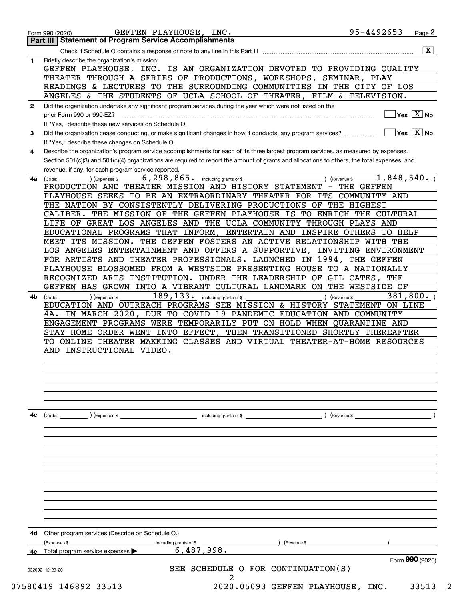|                                                                                                                  | <b>Statement of Program Service Accomplishments</b>                                                                                                    |
|------------------------------------------------------------------------------------------------------------------|--------------------------------------------------------------------------------------------------------------------------------------------------------|
|                                                                                                                  | $\overline{\mathbf{X}}$                                                                                                                                |
|                                                                                                                  | Briefly describe the organization's mission:                                                                                                           |
|                                                                                                                  | GEFFEN PLAYHOUSE, INC. IS AN ORGANIZATION DEVOTED TO PROVIDING QUALITY                                                                                 |
|                                                                                                                  | THEATER THROUGH A SERIES OF PRODUCTIONS, WORKSHOPS,<br>SEMINAR, PLAY                                                                                   |
|                                                                                                                  | READINGS & LECTURES TO THE SURROUNDING COMMUNITIES IN THE CITY OF LOS                                                                                  |
|                                                                                                                  | ANGELES & THE STUDENTS OF UCLA SCHOOL OF THEATER, FILM & TELEVISION.                                                                                   |
|                                                                                                                  | Did the organization undertake any significant program services during the year which were not listed on the                                           |
|                                                                                                                  | $Yes \quad X \quad No$<br>prior Form 990 or 990-EZ?                                                                                                    |
|                                                                                                                  | If "Yes," describe these new services on Schedule O.                                                                                                   |
|                                                                                                                  | $\sqrt{}$ Yes $\sqrt{}$ X $\sqrt{}$ No<br>Did the organization cease conducting, or make significant changes in how it conducts, any program services? |
|                                                                                                                  | If "Yes," describe these changes on Schedule O.                                                                                                        |
|                                                                                                                  | Describe the organization's program service accomplishments for each of its three largest program services, as measured by expenses.                   |
|                                                                                                                  | Section 501(c)(3) and 501(c)(4) organizations are required to report the amount of grants and allocations to others, the total expenses, and           |
|                                                                                                                  | revenue, if any, for each program service reported.                                                                                                    |
| 4a                                                                                                               | 1,848,540.<br>6, 298, 865. including grants of \$<br>(Code:<br>) (Expenses \$<br>) (Revenue \$                                                         |
|                                                                                                                  | PRODUCTION AND THEATER MISSION AND HISTORY STATEMENT<br>THE GEFFEN                                                                                     |
|                                                                                                                  | PLAYHOUSE SEEKS TO BE AN EXTRAORDINARY THEATER FOR ITS COMMUNITY AND                                                                                   |
|                                                                                                                  | THE NATION BY CONSISTENTLY DELIVERING PRODUCTIONS OF THE HIGHEST                                                                                       |
| Form 990 (2020)<br>Part III<br>$\mathbf{1}$<br>$\mathbf{2}$<br>3<br>4<br>4b<br>4c<br>4d<br>4е<br>032002 12-23-20 | THE MISSION OF<br>THE GEFFEN PLAYHOUSE IS<br>TO ENRICH THE<br>CULTURAL<br>CALIBER.                                                                     |
|                                                                                                                  | LIFE OF GREAT LOS ANGELES AND THE UCLA COMMUNITY THROUGH PLAYS AND                                                                                     |
|                                                                                                                  | EDUCATIONAL PROGRAMS THAT INFORM,<br><b>ENTERTAIN AND</b><br>TO HELP<br>INSPIRE OTHERS                                                                 |
|                                                                                                                  | MEET ITS MISSION.<br>THE GEFFEN FOSTERS AN ACTIVE RELATIONSHIP<br>WITH THE                                                                             |
|                                                                                                                  | LOS ANGELES ENTERTAINMENT AND OFFERS A SUPPORTIVE,<br>ENVIRONMENT<br>INVITING                                                                          |
|                                                                                                                  | FOR ARTISTS AND THEATER PROFESSIONALS. LAUNCHED IN<br>1994,<br>THE GEFFEN                                                                              |
|                                                                                                                  | PLAYHOUSE BLOSSOMED FROM A WESTSIDE PRESENTING HOUSE<br>TO A NATIONALLY                                                                                |
|                                                                                                                  | RECOGNIZED ARTS<br>INSTITUTION.<br>UNDER THE LEADERSHIP OF<br>GIL<br>CATES, THE                                                                        |
|                                                                                                                  | GEFFEN HAS GROWN INTO A VIBRANT CULTURAL LANDMARK ON THE WESTSIDE OF                                                                                   |
|                                                                                                                  | 189,133.<br>381, 800.<br>including grants of \$<br>) (Expenses \$<br>) (Revenue \$<br>(Code:                                                           |
|                                                                                                                  | EDUCATION AND OUTREACH PROGRAMS SEE MISSION & HISTORY STATEMENT ON LINE                                                                                |
|                                                                                                                  | IN MARCH 2020, DUE TO COVID-19 PANDEMIC EDUCATION AND COMMUNITY<br>4A.                                                                                 |
|                                                                                                                  | ENGAGEMENT PROGRAMS WERE TEMPORARILY PUT ON HOLD WHEN QUARANTINE AND                                                                                   |
|                                                                                                                  | STAY HOME ORDER WENT INTO EFFECT, THEN TRANSITIONED SHORTLY THEREAFTER                                                                                 |
|                                                                                                                  | TO ONLINE THEATER MAKKING CLASSES AND VIRTUAL THEATER-AT-HOME RESOURCES                                                                                |
|                                                                                                                  | AND INSTRUCTIONAL VIDEO.                                                                                                                               |
|                                                                                                                  |                                                                                                                                                        |
|                                                                                                                  |                                                                                                                                                        |
|                                                                                                                  |                                                                                                                                                        |
|                                                                                                                  |                                                                                                                                                        |
|                                                                                                                  |                                                                                                                                                        |
|                                                                                                                  |                                                                                                                                                        |
|                                                                                                                  | ) (Revenue \$<br>(Code: ) (Expenses \$<br>including grants of \$                                                                                       |
|                                                                                                                  |                                                                                                                                                        |
|                                                                                                                  |                                                                                                                                                        |
|                                                                                                                  |                                                                                                                                                        |
|                                                                                                                  |                                                                                                                                                        |
|                                                                                                                  |                                                                                                                                                        |
|                                                                                                                  |                                                                                                                                                        |
|                                                                                                                  |                                                                                                                                                        |
|                                                                                                                  |                                                                                                                                                        |
|                                                                                                                  |                                                                                                                                                        |
|                                                                                                                  |                                                                                                                                                        |
|                                                                                                                  |                                                                                                                                                        |
|                                                                                                                  |                                                                                                                                                        |
|                                                                                                                  | Other program services (Describe on Schedule O.)                                                                                                       |
|                                                                                                                  | (Expenses \$<br>including grants of \$<br>(Revenue \$                                                                                                  |
|                                                                                                                  | 6,487,998.<br>Total program service expenses                                                                                                           |
|                                                                                                                  | Form 990 (2020)                                                                                                                                        |
|                                                                                                                  | SEE SCHEDULE O FOR CONTINUATION(S)                                                                                                                     |
|                                                                                                                  |                                                                                                                                                        |
|                                                                                                                  | 2020.05093 GEFFEN PLAYHOUSE, INC.<br>07580419 146892 33513<br>33513                                                                                    |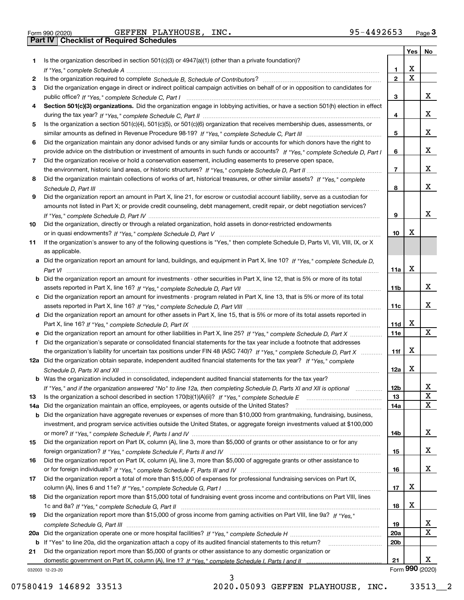Form 990 (2020) GEFFEN PLAYHOUSE, INC. 95-4492653 <sub>Page</sub> 3<br>**Part IV | Checklist of Required Schedules** 

|     |                                                                                                                                  |                 | Yes $ $     | No              |
|-----|----------------------------------------------------------------------------------------------------------------------------------|-----------------|-------------|-----------------|
| 1   | Is the organization described in section $501(c)(3)$ or $4947(a)(1)$ (other than a private foundation)?                          |                 |             |                 |
|     | If "Yes," complete Schedule A measured and the complete schedule A measured and the Schedule A measured and the                  | 1.              | х           |                 |
| 2   |                                                                                                                                  | $\mathbf{2}$    | $\mathbf X$ |                 |
| 3   | Did the organization engage in direct or indirect political campaign activities on behalf of or in opposition to candidates for  |                 |             |                 |
|     |                                                                                                                                  | 3               |             | x               |
| 4   | Section 501(c)(3) organizations. Did the organization engage in lobbying activities, or have a section 501(h) election in effect |                 |             |                 |
|     |                                                                                                                                  | 4               |             | x               |
| 5   | Is the organization a section 501(c)(4), 501(c)(5), or 501(c)(6) organization that receives membership dues, assessments, or     |                 |             |                 |
|     |                                                                                                                                  | 5               |             | x               |
| 6   | Did the organization maintain any donor advised funds or any similar funds or accounts for which donors have the right to        |                 |             |                 |
|     | provide advice on the distribution or investment of amounts in such funds or accounts? If "Yes," complete Schedule D, Part I     | 6               |             | x               |
| 7   | Did the organization receive or hold a conservation easement, including easements to preserve open space,                        |                 |             |                 |
|     |                                                                                                                                  | $\overline{7}$  |             | x               |
| 8   | Did the organization maintain collections of works of art, historical treasures, or other similar assets? If "Yes," complete     |                 |             |                 |
|     |                                                                                                                                  | 8               |             | x               |
| 9   | Did the organization report an amount in Part X, line 21, for escrow or custodial account liability, serve as a custodian for    |                 |             |                 |
|     | amounts not listed in Part X; or provide credit counseling, debt management, credit repair, or debt negotiation services?        |                 |             | x               |
|     |                                                                                                                                  | 9               |             |                 |
| 10  | Did the organization, directly or through a related organization, hold assets in donor-restricted endowments                     |                 | х           |                 |
|     |                                                                                                                                  | 10              |             |                 |
| 11  | If the organization's answer to any of the following questions is "Yes," then complete Schedule D, Parts VI, VII, VIII, IX, or X |                 |             |                 |
|     | as applicable.                                                                                                                   |                 |             |                 |
|     | a Did the organization report an amount for land, buildings, and equipment in Part X, line 10? If "Yes," complete Schedule D.    | 11a             | х           |                 |
|     | Did the organization report an amount for investments - other securities in Part X, line 12, that is 5% or more of its total     |                 |             |                 |
|     |                                                                                                                                  | 11 <sub>b</sub> |             | x               |
|     | c Did the organization report an amount for investments - program related in Part X, line 13, that is 5% or more of its total    |                 |             |                 |
|     |                                                                                                                                  | 11c             |             | x               |
|     | d Did the organization report an amount for other assets in Part X, line 15, that is 5% or more of its total assets reported in  |                 |             |                 |
|     |                                                                                                                                  | 11d             | x           |                 |
|     |                                                                                                                                  | 11e             |             | X               |
| f   | Did the organization's separate or consolidated financial statements for the tax year include a footnote that addresses          |                 |             |                 |
|     | the organization's liability for uncertain tax positions under FIN 48 (ASC 740)? If "Yes," complete Schedule D, Part X           | 11f             | X           |                 |
|     | 12a Did the organization obtain separate, independent audited financial statements for the tax year? If "Yes," complete          |                 |             |                 |
|     |                                                                                                                                  | 12a             | x           |                 |
|     | <b>b</b> Was the organization included in consolidated, independent audited financial statements for the tax year?               |                 |             |                 |
|     | If "Yes," and if the organization answered "No" to line 12a, then completing Schedule D, Parts XI and XII is optional            | 12 <sub>b</sub> |             | 47              |
| 13  |                                                                                                                                  | 13              |             | X               |
| 14a | Did the organization maintain an office, employees, or agents outside of the United States?                                      | 14a             |             | X               |
| b   | Did the organization have aggregate revenues or expenses of more than \$10,000 from grantmaking, fundraising, business,          |                 |             |                 |
|     | investment, and program service activities outside the United States, or aggregate foreign investments valued at \$100,000       |                 |             |                 |
|     |                                                                                                                                  | 14b             |             | x               |
| 15  | Did the organization report on Part IX, column (A), line 3, more than \$5,000 of grants or other assistance to or for any        |                 |             |                 |
|     |                                                                                                                                  | 15              |             | x               |
| 16  | Did the organization report on Part IX, column (A), line 3, more than \$5,000 of aggregate grants or other assistance to         |                 |             |                 |
|     |                                                                                                                                  | 16              |             | x               |
| 17  | Did the organization report a total of more than \$15,000 of expenses for professional fundraising services on Part IX,          |                 |             |                 |
|     |                                                                                                                                  | 17              | х           |                 |
| 18  | Did the organization report more than \$15,000 total of fundraising event gross income and contributions on Part VIII, lines     |                 |             |                 |
|     |                                                                                                                                  | 18              | x           |                 |
| 19  | Did the organization report more than \$15,000 of gross income from gaming activities on Part VIII, line 9a? If "Yes."           |                 |             |                 |
|     |                                                                                                                                  | 19              |             | X               |
| 20a |                                                                                                                                  | 20a             |             | X               |
|     | b If "Yes" to line 20a, did the organization attach a copy of its audited financial statements to this return?                   | 20b             |             |                 |
| 21  | Did the organization report more than \$5,000 of grants or other assistance to any domestic organization or                      |                 |             |                 |
|     |                                                                                                                                  | 21              |             | x               |
|     | 032003 12-23-20                                                                                                                  |                 |             | Form 990 (2020) |

032003 12-23-20

07580419 146892 33513 2020.05093 GEFFEN PLAYHOUSE, INC. 33513 2

3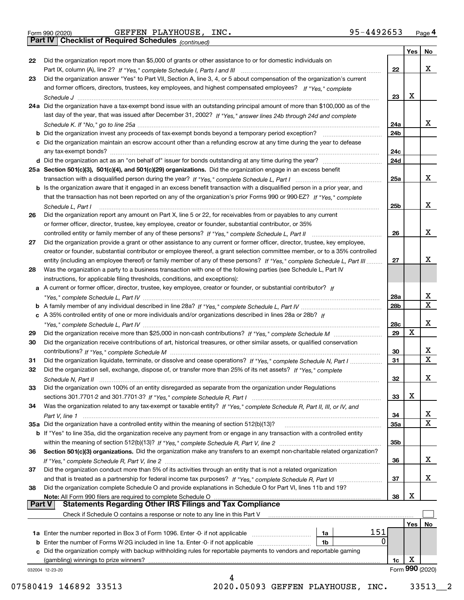|  | Form 990 (2020) |
|--|-----------------|

*(continued)*

|               |                                                                                                                                    |                 | Yes | No              |
|---------------|------------------------------------------------------------------------------------------------------------------------------------|-----------------|-----|-----------------|
| 22            | Did the organization report more than \$5,000 of grants or other assistance to or for domestic individuals on                      |                 |     |                 |
|               |                                                                                                                                    | 22              |     | x               |
| 23            | Did the organization answer "Yes" to Part VII, Section A, line 3, 4, or 5 about compensation of the organization's current         |                 |     |                 |
|               | and former officers, directors, trustees, key employees, and highest compensated employees? If "Yes," complete                     |                 |     |                 |
|               | Schedule J                                                                                                                         | 23              | X   |                 |
|               | 24a Did the organization have a tax-exempt bond issue with an outstanding principal amount of more than \$100,000 as of the        |                 |     |                 |
|               | last day of the year, that was issued after December 31, 2002? If "Yes," answer lines 24b through 24d and complete                 |                 |     |                 |
|               |                                                                                                                                    | 24a             |     | x               |
|               | <b>b</b> Did the organization invest any proceeds of tax-exempt bonds beyond a temporary period exception?                         | 24b             |     |                 |
|               | c Did the organization maintain an escrow account other than a refunding escrow at any time during the year to defease             |                 |     |                 |
|               |                                                                                                                                    | 24c             |     |                 |
|               |                                                                                                                                    | 24d             |     |                 |
|               | 25a Section 501(c)(3), 501(c)(4), and 501(c)(29) organizations. Did the organization engage in an excess benefit                   |                 |     |                 |
|               |                                                                                                                                    | 25a             |     | x               |
|               | b Is the organization aware that it engaged in an excess benefit transaction with a disqualified person in a prior year, and       |                 |     |                 |
|               | that the transaction has not been reported on any of the organization's prior Forms 990 or 990-EZ? If "Yes," complete              |                 |     |                 |
|               | Schedule L. Part I                                                                                                                 | 25b             |     | x               |
| 26            | Did the organization report any amount on Part X, line 5 or 22, for receivables from or payables to any current                    |                 |     |                 |
|               | or former officer, director, trustee, key employee, creator or founder, substantial contributor, or 35%                            |                 |     |                 |
|               |                                                                                                                                    | 26              |     | x               |
| 27            | Did the organization provide a grant or other assistance to any current or former officer, director, trustee, key employee,        |                 |     |                 |
|               | creator or founder, substantial contributor or employee thereof, a grant selection committee member, or to a 35% controlled        |                 |     |                 |
|               | entity (including an employee thereof) or family member of any of these persons? If "Yes," complete Schedule L, Part III           | 27              |     | х               |
| 28            | Was the organization a party to a business transaction with one of the following parties (see Schedule L, Part IV                  |                 |     |                 |
|               | instructions, for applicable filing thresholds, conditions, and exceptions):                                                       |                 |     |                 |
|               | a A current or former officer, director, trustee, key employee, creator or founder, or substantial contributor? If                 |                 |     |                 |
|               |                                                                                                                                    | 28a             |     | x               |
|               |                                                                                                                                    | 28 <sub>b</sub> |     | X               |
|               | c A 35% controlled entity of one or more individuals and/or organizations described in lines 28a or 28b? If                        |                 |     |                 |
|               |                                                                                                                                    | 28c             |     | х               |
| 29            |                                                                                                                                    | 29              | X   |                 |
| 30            | Did the organization receive contributions of art, historical treasures, or other similar assets, or qualified conservation        |                 |     |                 |
|               |                                                                                                                                    | 30              |     | x               |
| 31            | Did the organization liquidate, terminate, or dissolve and cease operations? If "Yes," complete Schedule N, Part I                 | 31              |     | $\mathbf x$     |
| 32            | Did the organization sell, exchange, dispose of, or transfer more than 25% of its net assets? If "Yes," complete                   |                 |     |                 |
|               | Schedule N, Part II                                                                                                                | 32              |     | х               |
| 33            | Did the organization own 100% of an entity disregarded as separate from the organization under Regulations                         |                 |     |                 |
|               |                                                                                                                                    | 33              | X   |                 |
| 34            | Was the organization related to any tax-exempt or taxable entity? If "Yes," complete Schedule R, Part II, III, or IV, and          |                 |     |                 |
|               |                                                                                                                                    | 34              |     | X               |
|               | 35a Did the organization have a controlled entity within the meaning of section 512(b)(13)?                                        | 35a             |     | X               |
|               | <b>b</b> If "Yes" to line 35a, did the organization receive any payment from or engage in any transaction with a controlled entity |                 |     |                 |
|               |                                                                                                                                    | 35b             |     |                 |
| 36            | Section 501(c)(3) organizations. Did the organization make any transfers to an exempt non-charitable related organization?         |                 |     |                 |
|               |                                                                                                                                    | 36              |     | x               |
| 37            | Did the organization conduct more than 5% of its activities through an entity that is not a related organization                   |                 |     |                 |
|               |                                                                                                                                    | 37              |     | x               |
| 38            | Did the organization complete Schedule O and provide explanations in Schedule O for Part VI, lines 11b and 19?                     |                 |     |                 |
|               | Note: All Form 990 filers are required to complete Schedule O                                                                      | 38              | х   |                 |
| <b>Part V</b> | <b>Statements Regarding Other IRS Filings and Tax Compliance</b>                                                                   |                 |     |                 |
|               | Check if Schedule O contains a response or note to any line in this Part V                                                         |                 |     |                 |
|               |                                                                                                                                    |                 | Yes | No              |
|               | 151<br><b>1a</b> Enter the number reported in Box 3 of Form 1096. Enter -0- if not applicable <i>manumumumum</i><br>1a             |                 |     |                 |
|               | 0<br><b>b</b> Enter the number of Forms W-2G included in line 1a. Enter -0- if not applicable<br>1b                                |                 |     |                 |
|               | c Did the organization comply with backup withholding rules for reportable payments to vendors and reportable gaming               |                 |     |                 |
|               | (gambling) winnings to prize winners?                                                                                              | 1c              | х   |                 |
|               | 032004 12-23-20                                                                                                                    |                 |     | Form 990 (2020) |
|               | 4                                                                                                                                  |                 |     |                 |

07580419 146892 33513 2020.05093 GEFFEN PLAYHOUSE, INC. 33513 2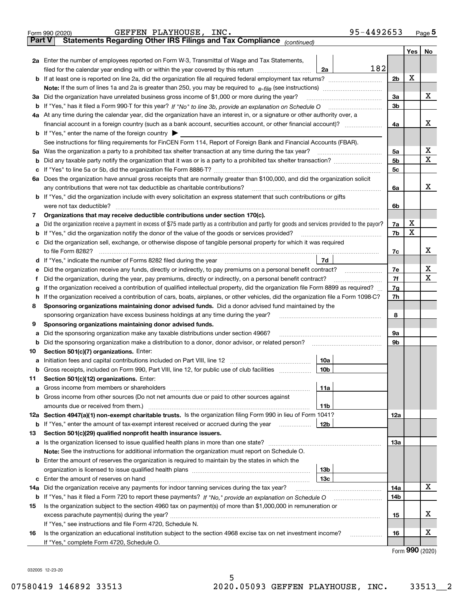| <b>Part V</b> | 95-4492653<br>GEFFEN PLAYHOUSE, INC.<br>Form 990 (2020)<br>Statements Regarding Other IRS Filings and Tax Compliance (continued)                |                |     | Page 5                |
|---------------|-------------------------------------------------------------------------------------------------------------------------------------------------|----------------|-----|-----------------------|
|               |                                                                                                                                                 |                | Yes | No                    |
|               | <b>2a</b> Enter the number of employees reported on Form W-3, Transmittal of Wage and Tax Statements,                                           |                |     |                       |
|               | 182<br>filed for the calendar year ending with or within the year covered by this return<br>2a                                                  |                |     |                       |
| b             |                                                                                                                                                 | 2 <sub>b</sub> | х   |                       |
|               | Note: If the sum of lines 1a and 2a is greater than 250, you may be required to $e$ -file (see instructions) <i>marrouum</i> manu-              |                |     |                       |
| за            | Did the organization have unrelated business gross income of \$1,000 or more during the year?                                                   | 3a             |     | x                     |
| b             |                                                                                                                                                 | 3b             |     |                       |
|               | 4a At any time during the calendar year, did the organization have an interest in, or a signature or other authority over, a                    |                |     |                       |
|               | financial account in a foreign country (such as a bank account, securities account, or other financial account)?                                | 4a             |     | х                     |
|               | <b>b</b> If "Yes," enter the name of the foreign country $\blacktriangleright$                                                                  |                |     |                       |
|               | See instructions for filing requirements for FinCEN Form 114, Report of Foreign Bank and Financial Accounts (FBAR).                             |                |     |                       |
| 5a            | Was the organization a party to a prohibited tax shelter transaction at any time during the tax year?                                           | 5a             |     | X                     |
| b             |                                                                                                                                                 | 5 <sub>b</sub> |     | X                     |
| с             |                                                                                                                                                 | 5 <sub>c</sub> |     |                       |
| 6a            | Does the organization have annual gross receipts that are normally greater than \$100,000, and did the organization solicit                     |                |     |                       |
|               | any contributions that were not tax deductible as charitable contributions?                                                                     | 6a             |     | x                     |
| b             | If "Yes," did the organization include with every solicitation an express statement that such contributions or gifts                            |                |     |                       |
|               | were not tax deductible?                                                                                                                        | 6b             |     |                       |
| 7             | Organizations that may receive deductible contributions under section 170(c).                                                                   |                |     |                       |
| a             | Did the organization receive a payment in excess of \$75 made partly as a contribution and partly for goods and services provided to the payor? | 7a             | x   |                       |
| b             | If "Yes," did the organization notify the donor of the value of the goods or services provided?                                                 | 7b             | X   |                       |
| с             | Did the organization sell, exchange, or otherwise dispose of tangible personal property for which it was required                               |                |     |                       |
|               | to file Form 8282?                                                                                                                              | 7c             |     | x                     |
| d             | 7d<br>If "Yes," indicate the number of Forms 8282 filed during the year                                                                         |                |     |                       |
| е             | Did the organization receive any funds, directly or indirectly, to pay premiums on a personal benefit contract?                                 | 7e             |     | x                     |
| f             | Did the organization, during the year, pay premiums, directly or indirectly, on a personal benefit contract?                                    | 7f             |     | $\mathbf X$           |
| g             | If the organization received a contribution of qualified intellectual property, did the organization file Form 8899 as required?                | 7 <sub>g</sub> |     |                       |
| h             | If the organization received a contribution of cars, boats, airplanes, or other vehicles, did the organization file a Form 1098-C?              | 7h             |     |                       |
| 8             | Sponsoring organizations maintaining donor advised funds. Did a donor advised fund maintained by the                                            |                |     |                       |
|               | sponsoring organization have excess business holdings at any time during the year?                                                              | 8              |     |                       |
| 9             | Sponsoring organizations maintaining donor advised funds.                                                                                       |                |     |                       |
| a             | Did the sponsoring organization make any taxable distributions under section 4966?                                                              | 9а             |     |                       |
| b             | Did the sponsoring organization make a distribution to a donor, donor advisor, or related person?                                               | 9b             |     |                       |
| 10            | Section 501(c)(7) organizations. Enter:                                                                                                         |                |     |                       |
| а             | 10a<br>Initiation fees and capital contributions included on Part VIII, line 12                                                                 |                |     |                       |
| b             | Gross receipts, included on Form 990, Part VIII, line 12, for public use of club facilities<br>10 <sub>b</sub>                                  |                |     |                       |
| 11            | Section 501(c)(12) organizations. Enter:                                                                                                        |                |     |                       |
| а             | 11a                                                                                                                                             |                |     |                       |
| b             | Gross income from other sources (Do not net amounts due or paid to other sources against                                                        |                |     |                       |
|               | 11b                                                                                                                                             |                |     |                       |
|               | 12a Section 4947(a)(1) non-exempt charitable trusts. Is the organization filing Form 990 in lieu of Form 1041?                                  | 12a            |     |                       |
| b             | If "Yes," enter the amount of tax-exempt interest received or accrued during the year<br>12b                                                    |                |     |                       |
| 13            | Section 501(c)(29) qualified nonprofit health insurance issuers.                                                                                | 13a            |     |                       |
| a             | Note: See the instructions for additional information the organization must report on Schedule O.                                               |                |     |                       |
|               |                                                                                                                                                 |                |     |                       |
| b             | Enter the amount of reserves the organization is required to maintain by the states in which the<br>13 <sub>b</sub>                             |                |     |                       |
| c             | 13с                                                                                                                                             |                |     |                       |
| 14a           | Did the organization receive any payments for indoor tanning services during the tax year?                                                      | 14a            |     | X                     |
| b             |                                                                                                                                                 | 14b            |     |                       |
| 15            | Is the organization subject to the section 4960 tax on payment(s) of more than \$1,000,000 in remuneration or                                   |                |     |                       |
|               |                                                                                                                                                 | 15             |     | x                     |
|               | If "Yes," see instructions and file Form 4720, Schedule N.                                                                                      |                |     |                       |
| 16            | Is the organization an educational institution subject to the section 4968 excise tax on net investment income?                                 | 16             |     | х                     |
|               | If "Yes," complete Form 4720, Schedule O.                                                                                                       |                |     |                       |
|               |                                                                                                                                                 |                |     | $000 \; \text{const}$ |

Form (2020) **990**

032005 12-23-20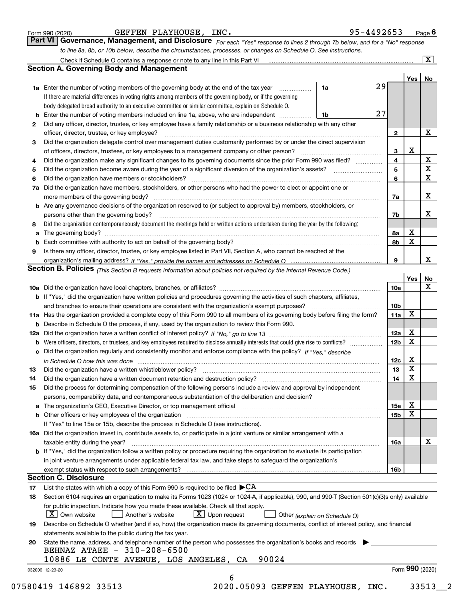|  | Form 990 (2020) |
|--|-----------------|
|  |                 |

|  | GEFFEN PLAYHOUSE, | INC |
|--|-------------------|-----|
|--|-------------------|-----|

| Form 990 (2020) | GEFFEN PLAYHOUSE, INC.                                                                                                      | 95-4492653 | $P$ <sub>age</sub> $6$  |
|-----------------|-----------------------------------------------------------------------------------------------------------------------------|------------|-------------------------|
|                 | Part VI Governance, Management, and Disclosure For each "Yes" response to lines 2 through 7b below, and for a "No" response |            |                         |
|                 | to line 8a, 8b, or 10b below, describe the circumstances, processes, or changes on Schedule O. See instructions.            |            |                         |
|                 | Check if Schedule O contains a response or note to any line in this Part VI                                                 |            | $\overline{\mathbf{X}}$ |

|    |                                                                                                                                                                                                                          |    |    |                         | Yes             | No                      |
|----|--------------------------------------------------------------------------------------------------------------------------------------------------------------------------------------------------------------------------|----|----|-------------------------|-----------------|-------------------------|
|    | <b>1a</b> Enter the number of voting members of the governing body at the end of the tax year                                                                                                                            | 1a | 29 |                         |                 |                         |
|    | If there are material differences in voting rights among members of the governing body, or if the governing                                                                                                              |    |    |                         |                 |                         |
|    | body delegated broad authority to an executive committee or similar committee, explain on Schedule O.                                                                                                                    |    |    |                         |                 |                         |
| b  | Enter the number of voting members included on line 1a, above, who are independent                                                                                                                                       | 1b | 27 |                         |                 |                         |
| 2  | Did any officer, director, trustee, or key employee have a family relationship or a business relationship with any other                                                                                                 |    |    |                         |                 |                         |
|    | officer, director, trustee, or key employee?                                                                                                                                                                             |    |    | $\mathbf{2}$            |                 | х                       |
| З  | Did the organization delegate control over management duties customarily performed by or under the direct supervision                                                                                                    |    |    |                         |                 |                         |
|    | of officers, directors, trustees, or key employees to a management company or other person?                                                                                                                              |    |    | 3                       | x               |                         |
| 4  | Did the organization make any significant changes to its governing documents since the prior Form 990 was filed?                                                                                                         |    |    | $\overline{\mathbf{4}}$ |                 | $\mathbf X$             |
| 5  |                                                                                                                                                                                                                          |    |    | 5                       |                 | $\overline{\mathbf{x}}$ |
| 6  | Did the organization have members or stockholders?                                                                                                                                                                       |    |    | 6                       |                 | $\mathbf X$             |
| 7a | Did the organization have members, stockholders, or other persons who had the power to elect or appoint one or                                                                                                           |    |    |                         |                 |                         |
|    |                                                                                                                                                                                                                          |    |    | 7a                      |                 | X                       |
|    | <b>b</b> Are any governance decisions of the organization reserved to (or subject to approval by) members, stockholders, or                                                                                              |    |    |                         |                 |                         |
|    | persons other than the governing body?                                                                                                                                                                                   |    |    | 7b                      |                 | х                       |
| 8  | Did the organization contemporaneously document the meetings held or written actions undertaken during the year by the following:                                                                                        |    |    |                         |                 |                         |
| a  |                                                                                                                                                                                                                          |    |    | 8а                      | x               |                         |
| b  |                                                                                                                                                                                                                          |    |    | 8b                      | X               |                         |
| 9  | Is there any officer, director, trustee, or key employee listed in Part VII, Section A, who cannot be reached at the                                                                                                     |    |    |                         |                 |                         |
|    |                                                                                                                                                                                                                          |    |    | 9                       |                 | x                       |
|    | Section B. Policies (This Section B requests information about policies not required by the Internal Revenue Code.)                                                                                                      |    |    |                         |                 |                         |
|    |                                                                                                                                                                                                                          |    |    |                         | Yes             | No                      |
|    |                                                                                                                                                                                                                          |    |    | 10a                     |                 | X                       |
|    | <b>b</b> If "Yes," did the organization have written policies and procedures governing the activities of such chapters, affiliates,                                                                                      |    |    |                         |                 |                         |
|    |                                                                                                                                                                                                                          |    |    | 10 <sub>b</sub>         |                 |                         |
|    | 11a Has the organization provided a complete copy of this Form 990 to all members of its governing body before filing the form?                                                                                          |    |    | 11a                     | x               |                         |
|    | <b>b</b> Describe in Schedule O the process, if any, used by the organization to review this Form 990.                                                                                                                   |    |    |                         |                 |                         |
|    |                                                                                                                                                                                                                          |    |    | 12a                     | X               |                         |
|    |                                                                                                                                                                                                                          |    |    | 12 <sub>b</sub>         | X               |                         |
| b  |                                                                                                                                                                                                                          |    |    |                         |                 |                         |
|    | c Did the organization regularly and consistently monitor and enforce compliance with the policy? If "Yes." describe                                                                                                     |    |    |                         | X               |                         |
|    | in Schedule O how this was done manufactured and continuum control of the Schedule O how this was done manufactured and continuum control of the Schedule O how this was done                                            |    |    | 12c<br>13               | X               |                         |
| 13 |                                                                                                                                                                                                                          |    |    | 14                      | X               |                         |
| 14 | Did the organization have a written document retention and destruction policy? manufactured and the organization have a written document retention and destruction policy?                                               |    |    |                         |                 |                         |
| 15 | Did the process for determining compensation of the following persons include a review and approval by independent                                                                                                       |    |    |                         |                 |                         |
|    | persons, comparability data, and contemporaneous substantiation of the deliberation and decision?                                                                                                                        |    |    |                         | X               |                         |
|    | The organization's CEO, Executive Director, or top management official manufactured content content of the organization's CEO, Executive Director, or top management official manufactured content of the organization's |    |    | 15a                     |                 |                         |
|    |                                                                                                                                                                                                                          |    |    | 15b                     | X               |                         |
|    | If "Yes" to line 15a or 15b, describe the process in Schedule O (see instructions).                                                                                                                                      |    |    |                         |                 |                         |
|    | 16a Did the organization invest in, contribute assets to, or participate in a joint venture or similar arrangement with a                                                                                                |    |    |                         |                 |                         |
|    | taxable entity during the year?                                                                                                                                                                                          |    |    | 16a                     |                 | X                       |
|    | b If "Yes," did the organization follow a written policy or procedure requiring the organization to evaluate its participation                                                                                           |    |    |                         |                 |                         |
|    | in joint venture arrangements under applicable federal tax law, and take steps to safeguard the organization's                                                                                                           |    |    |                         |                 |                         |
|    | exempt status with respect to such arrangements?                                                                                                                                                                         |    |    | 16b                     |                 |                         |
|    | <b>Section C. Disclosure</b>                                                                                                                                                                                             |    |    |                         |                 |                         |
| 17 | List the states with which a copy of this Form 990 is required to be filed $\blacktriangleright$ CA                                                                                                                      |    |    |                         |                 |                         |
| 18 | Section 6104 requires an organization to make its Forms 1023 (1024 or 1024-A, if applicable), 990, and 990-T (Section 501(c)(3)s only) available                                                                         |    |    |                         |                 |                         |
|    | for public inspection. Indicate how you made these available. Check all that apply.                                                                                                                                      |    |    |                         |                 |                         |
|    | $X$ Upon request<br>$\lfloor x \rfloor$ Own website<br>Another's website<br>Other (explain on Schedule O)                                                                                                                |    |    |                         |                 |                         |
| 19 | Describe on Schedule O whether (and if so, how) the organization made its governing documents, conflict of interest policy, and financial                                                                                |    |    |                         |                 |                         |
|    | statements available to the public during the tax year.                                                                                                                                                                  |    |    |                         |                 |                         |
| 20 | State the name, address, and telephone number of the person who possesses the organization's books and records                                                                                                           |    |    |                         |                 |                         |
|    | BEHNAZ ATAEE - 310-208-6500                                                                                                                                                                                              |    |    |                         |                 |                         |
|    | 90024<br>10886 LE CONTE AVENUE, LOS ANGELES,<br>CA                                                                                                                                                                       |    |    |                         |                 |                         |
|    |                                                                                                                                                                                                                          |    |    |                         | Form 990 (2020) |                         |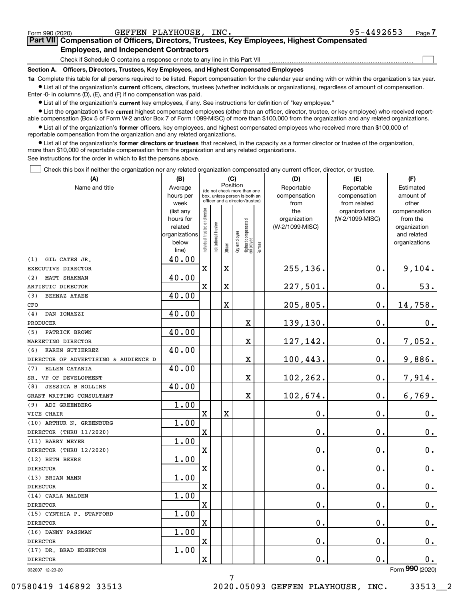|  | Form 990 (2020) |
|--|-----------------|
|  |                 |

 $\mathcal{L}^{\text{max}}$ 

| Form 990 (2020) | GEFFEN PLAYHOUSE, INC.                                                                     | 95-4492653 | Page 7 |
|-----------------|--------------------------------------------------------------------------------------------|------------|--------|
|                 | Part VII Compensation of Officers, Directors, Trustees, Key Employees, Highest Compensated |            |        |
|                 | <b>Employees, and Independent Contractors</b>                                              |            |        |

Check if Schedule O contains a response or note to any line in this Part VII

**Section A. Officers, Directors, Trustees, Key Employees, and Highest Compensated Employees**

**1a**  Complete this table for all persons required to be listed. Report compensation for the calendar year ending with or within the organization's tax year. **•** List all of the organization's current officers, directors, trustees (whether individuals or organizations), regardless of amount of compensation.

Enter -0- in columns (D), (E), and (F) if no compensation was paid.

 $\bullet$  List all of the organization's  $\,$ current key employees, if any. See instructions for definition of "key employee."

**•** List the organization's five current highest compensated employees (other than an officer, director, trustee, or key employee) who received reportable compensation (Box 5 of Form W-2 and/or Box 7 of Form 1099-MISC) of more than \$100,000 from the organization and any related organizations.

**•** List all of the organization's former officers, key employees, and highest compensated employees who received more than \$100,000 of reportable compensation from the organization and any related organizations.

**former directors or trustees**  ¥ List all of the organization's that received, in the capacity as a former director or trustee of the organization, more than \$10,000 of reportable compensation from the organization and any related organizations.

See instructions for the order in which to list the persons above.

Check this box if neither the organization nor any related organization compensated any current officer, director, or trustee.  $\mathcal{L}^{\text{max}}$ 

| (A)                                  | (B)                    |                                |                                                                  |          | (C) |                                                 |        | (D)                 | (E)                              | (F)                      |
|--------------------------------------|------------------------|--------------------------------|------------------------------------------------------------------|----------|-----|-------------------------------------------------|--------|---------------------|----------------------------------|--------------------------|
| Name and title                       | Average                |                                | (do not check more than one                                      | Position |     |                                                 |        | Reportable          | Reportable                       | Estimated                |
|                                      | hours per              |                                | box, unless person is both an<br>officer and a director/trustee) |          |     |                                                 |        | compensation        | compensation                     | amount of                |
|                                      | week                   |                                |                                                                  |          |     |                                                 |        | from                | from related                     | other                    |
|                                      | (list any<br>hours for |                                |                                                                  |          |     |                                                 |        | the<br>organization | organizations<br>(W-2/1099-MISC) | compensation<br>from the |
|                                      | related                |                                |                                                                  |          |     |                                                 |        | (W-2/1099-MISC)     |                                  | organization             |
|                                      | organizations          |                                |                                                                  |          |     |                                                 |        |                     |                                  | and related              |
|                                      | below                  | Individual trustee or director | nstitutional trustee                                             |          |     |                                                 |        |                     |                                  | organizations            |
|                                      | line)                  |                                |                                                                  | Officer  |     | key employee<br>Highest compensated<br>employee | Former |                     |                                  |                          |
| GIL CATES JR.<br>(1)                 | 40.00                  |                                |                                                                  |          |     |                                                 |        |                     |                                  |                          |
| EXECUTIVE DIRECTOR                   |                        | $\mathbf X$                    |                                                                  | X        |     |                                                 |        | 255, 136.           | $\mathbf 0$ .                    | 9,104.                   |
| MATT SHAKMAN<br>(2)                  | 40.00                  |                                |                                                                  |          |     |                                                 |        |                     |                                  |                          |
| ARTISTIC DIRECTOR                    |                        | $\mathbf X$                    |                                                                  | X        |     |                                                 |        | 227,501.            | $\mathbf 0$ .                    | 53.                      |
| (3)<br><b>BEHNAZ ATAEE</b>           | 40.00                  |                                |                                                                  |          |     |                                                 |        |                     |                                  |                          |
| CFO                                  |                        |                                |                                                                  | X        |     |                                                 |        | 205,805.            | $\mathbf 0$ .                    | 14,758.                  |
| (4)<br>DAN IONAZZI                   | 40.00                  |                                |                                                                  |          |     |                                                 |        |                     |                                  |                          |
| PRODUCER                             |                        |                                |                                                                  |          |     | X                                               |        | 139,130.            | $\mathbf 0$ .                    | $0_{.}$                  |
| PATRICK BROWN<br>(5)                 | 40.00                  |                                |                                                                  |          |     |                                                 |        |                     |                                  |                          |
| MARKETING DIRECTOR                   |                        |                                |                                                                  |          |     | X                                               |        | 127,142.            | $\mathbf 0$ .                    | 7,052.                   |
| KAREN GUTIERREZ<br>(6)               | 40.00                  |                                |                                                                  |          |     |                                                 |        |                     |                                  |                          |
| DIRECTOR OF ADVERTISING & AUDIENCE D |                        |                                |                                                                  |          |     | X                                               |        | 100, 443.           | $\mathbf 0$ .                    | 9,886.                   |
| ELLEN CATANIA<br>(7)                 | 40.00                  |                                |                                                                  |          |     |                                                 |        |                     |                                  |                          |
| SR. VP OF DEVELOPMENT                |                        |                                |                                                                  |          |     | X                                               |        | 102,262.            | $\mathbf 0$ .                    | 7,914.                   |
| <b>JESSICA B ROLLINS</b><br>(8)      | 40.00                  |                                |                                                                  |          |     |                                                 |        |                     |                                  |                          |
| GRANT WRITING CONSULTANT             |                        |                                |                                                                  |          |     | X                                               |        | 102,674.            | 0.                               | 6,769.                   |
| ADI GREENBERG<br>(9)                 | 1.00                   |                                |                                                                  |          |     |                                                 |        |                     |                                  |                          |
| VICE CHAIR                           |                        | $\mathbf X$                    |                                                                  | X        |     |                                                 |        | 0.                  | 0.                               | 0.                       |
| (10) ARTHUR N. GREENBURG             | 1.00                   |                                |                                                                  |          |     |                                                 |        |                     |                                  |                          |
| DIRECTOR (THRU 11/2020)              |                        | $\mathbf X$                    |                                                                  |          |     |                                                 |        | 0.                  | 0.                               | $0_{.}$                  |
| (11) BARRY MEYER                     | 1.00                   |                                |                                                                  |          |     |                                                 |        |                     |                                  |                          |
| DIRECTOR (THRU 12/2020)              |                        | $\mathbf X$                    |                                                                  |          |     |                                                 |        | 0.                  | 0.                               | 0.                       |
| (12) BETH BEHRS                      | 1.00                   |                                |                                                                  |          |     |                                                 |        |                     |                                  |                          |
| <b>DIRECTOR</b>                      |                        | $\mathbf X$                    |                                                                  |          |     |                                                 |        | 0.                  | $\mathbf 0$ .                    | 0.                       |
| (13) BRIAN MANN                      | 1.00                   |                                |                                                                  |          |     |                                                 |        |                     |                                  |                          |
| <b>DIRECTOR</b>                      |                        | $\mathbf X$                    |                                                                  |          |     |                                                 |        | 0.                  | $\mathbf 0$ .                    | 0.                       |
| (14) CARLA MALDEN                    | 1.00                   |                                |                                                                  |          |     |                                                 |        |                     |                                  |                          |
| <b>DIRECTOR</b>                      |                        | X                              |                                                                  |          |     |                                                 |        | 0.                  | 0.                               | $0_{.}$                  |
| (15) CYNTHIA P.<br><b>STAFFORD</b>   | 1.00                   |                                |                                                                  |          |     |                                                 |        |                     |                                  |                          |
| <b>DIRECTOR</b>                      |                        | $\mathbf X$                    |                                                                  |          |     |                                                 |        | $\mathbf 0$ .       | $\mathbf 0$ .                    | 0.                       |
| (16) DANNY PASSMAN                   | 1.00                   |                                |                                                                  |          |     |                                                 |        |                     |                                  |                          |
| <b>DIRECTOR</b>                      |                        | $\mathbf X$                    |                                                                  |          |     |                                                 |        | $\mathbf 0$ .       | $\boldsymbol{0}$ .               | $0_{.}$                  |
| (17) DR. BRAD EDGERTON               | 1.00                   |                                |                                                                  |          |     |                                                 |        |                     |                                  |                          |
| DIRECTOR                             |                        | $\mathbf X$                    |                                                                  |          |     |                                                 |        | $\mathbf 0$ .       | $\mathbf 0$ .                    | 0.                       |
| 032007 12-23-20                      |                        |                                |                                                                  |          |     |                                                 |        |                     |                                  | Form 990 (2020)          |

7

07580419 146892 33513 2020.05093 GEFFEN PLAYHOUSE, INC. 33513 2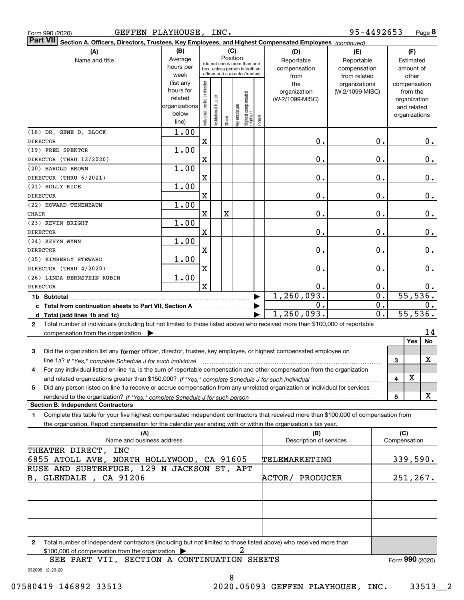|  | Form 990 (2020 |
|--|----------------|
|  |                |

| GEFFEN PLAYHOUSE,<br>Form 990 (2020)                                                                                                                 |               |                               | INC.                 |          |              |                                                              |        |                                | 95-4492653      |                  |              |               | Page 8                |
|------------------------------------------------------------------------------------------------------------------------------------------------------|---------------|-------------------------------|----------------------|----------|--------------|--------------------------------------------------------------|--------|--------------------------------|-----------------|------------------|--------------|---------------|-----------------------|
| <b>Part VII</b><br>Section A. Officers, Directors, Trustees, Key Employees, and Highest Compensated Employees (continued)                            |               |                               |                      |          |              |                                                              |        |                                |                 |                  |              |               |                       |
| (A)                                                                                                                                                  | (B)           |                               |                      |          | (C)          |                                                              |        | (D)                            | (E)             |                  |              | (F)           |                       |
| Name and title                                                                                                                                       | Average       |                               |                      | Position |              |                                                              |        | Reportable                     | Reportable      |                  |              | Estimated     |                       |
|                                                                                                                                                      | hours per     |                               |                      |          |              | (do not check more than one<br>box, unless person is both an |        | compensation                   | compensation    |                  |              | amount of     |                       |
|                                                                                                                                                      | week          |                               |                      |          |              | officer and a director/trustee)                              |        | from                           | from related    |                  |              | other         |                       |
|                                                                                                                                                      | (list any     |                               |                      |          |              |                                                              |        | the                            | organizations   |                  |              | compensation  |                       |
|                                                                                                                                                      | hours for     |                               |                      |          |              |                                                              |        | organization                   | (W-2/1099-MISC) |                  |              | from the      |                       |
|                                                                                                                                                      | related       |                               |                      |          |              |                                                              |        | (W-2/1099-MISC)                |                 |                  |              | organization  |                       |
|                                                                                                                                                      | organizations |                               |                      |          |              |                                                              |        |                                |                 |                  |              | and related   |                       |
|                                                                                                                                                      | below         | ndividual trustee or director | nstitutional trustee |          | Key employee |                                                              |        |                                |                 |                  |              | organizations |                       |
|                                                                                                                                                      | line)         |                               |                      | Officer  |              | Highest compensated<br> employee                             | Former |                                |                 |                  |              |               |                       |
| (18) DR. GENE D. BLOCK                                                                                                                               | 1.00          |                               |                      |          |              |                                                              |        |                                |                 |                  |              |               |                       |
| <b>DIRECTOR</b>                                                                                                                                      |               | X                             |                      |          |              |                                                              |        | 0.                             |                 | 0.               |              |               | 0.                    |
| (19) FRED SPEKTOR                                                                                                                                    | 1.00          |                               |                      |          |              |                                                              |        |                                |                 |                  |              |               |                       |
| DIRECTOR (THRU 12/2020)                                                                                                                              |               | $\mathbf X$                   |                      |          |              |                                                              |        | 0.                             |                 | 0.               |              |               | 0.                    |
| (20) HAROLD BROWN                                                                                                                                    | 1.00          |                               |                      |          |              |                                                              |        |                                |                 |                  |              |               |                       |
| DIRECTOR (THRU 6/2021)                                                                                                                               |               | $\mathbf X$                   |                      |          |              |                                                              |        | 0.                             |                 | 0.               |              |               | 0.                    |
| (21) HOLLY RICE                                                                                                                                      | 1.00          |                               |                      |          |              |                                                              |        |                                |                 |                  |              |               |                       |
| <b>DIRECTOR</b>                                                                                                                                      |               | $\mathbf X$                   |                      |          |              |                                                              |        | 0.                             |                 | 0.               |              |               | 0.                    |
| (22) HOWARD TENENBAUM                                                                                                                                | 1.00          |                               |                      |          |              |                                                              |        |                                |                 |                  |              |               |                       |
| CHAIR                                                                                                                                                |               | X                             |                      | X        |              |                                                              |        | 0.                             |                 | 0.               |              |               | 0.                    |
| (23) KEVIN BRIGHT                                                                                                                                    | 1.00          |                               |                      |          |              |                                                              |        |                                |                 |                  |              |               |                       |
| <b>DIRECTOR</b>                                                                                                                                      |               | $\mathbf X$                   |                      |          |              |                                                              |        | 0.                             |                 | 0.               |              |               | 0.                    |
| (24) KEVYN WYNN                                                                                                                                      | 1.00          |                               |                      |          |              |                                                              |        |                                |                 |                  |              |               |                       |
| <b>DIRECTOR</b>                                                                                                                                      |               | $\mathbf X$                   |                      |          |              |                                                              |        | 0.                             |                 | 0.               |              |               | 0.                    |
| (25) KIMBERLY STEWARD                                                                                                                                | 1.00          |                               |                      |          |              |                                                              |        |                                |                 |                  |              |               |                       |
| DIRECTOR (THRU 4/2020)                                                                                                                               |               | $\mathbf X$                   |                      |          |              |                                                              |        | 0.                             |                 | 0.               |              |               | 0.                    |
| (26) LINDA BERNSTEIN RUBIN                                                                                                                           | 1.00          |                               |                      |          |              |                                                              |        |                                |                 |                  |              |               |                       |
| <b>DIRECTOR</b>                                                                                                                                      |               | $\mathbf{x}$                  |                      |          |              |                                                              |        | 0.                             |                 | 0.               |              |               | $0$ .                 |
|                                                                                                                                                      |               |                               |                      |          |              |                                                              | ▶      | 1, 260, 093.                   |                 | $\overline{0}$ . |              |               | $\overline{55,536}$ . |
| c Total from continuation sheets to Part VII, Section A <b>manual</b> Total from continuation sheets                                                 |               |                               |                      |          |              |                                                              |        | $\mathbf 0$ .                  |                 | 0.               |              |               | 0.                    |
|                                                                                                                                                      |               |                               |                      |          |              |                                                              |        | 1,260,093.                     |                 | 0.               |              |               | 55, 536.              |
| Total number of individuals (including but not limited to those listed above) who received more than \$100,000 of reportable<br>$\mathbf{2}$         |               |                               |                      |          |              |                                                              |        |                                |                 |                  |              |               |                       |
| compensation from the organization $\blacktriangleright$                                                                                             |               |                               |                      |          |              |                                                              |        |                                |                 |                  |              |               | 14                    |
|                                                                                                                                                      |               |                               |                      |          |              |                                                              |        |                                |                 |                  |              | <b>Yes</b>    | No                    |
| 3<br>Did the organization list any former officer, director, trustee, key employee, or highest compensated employee on                               |               |                               |                      |          |              |                                                              |        |                                |                 |                  |              |               |                       |
| line 1a? If "Yes," complete Schedule J for such individual manufactured contained and the line 1a? If "Yes," complete Schedule J for such individual |               |                               |                      |          |              |                                                              |        |                                |                 |                  | 3            |               | x                     |
| For any individual listed on line 1a, is the sum of reportable compensation and other compensation from the organization                             |               |                               |                      |          |              |                                                              |        |                                |                 |                  |              |               |                       |
|                                                                                                                                                      |               |                               |                      |          |              |                                                              |        |                                |                 |                  | 4            | х             |                       |
| Did any person listed on line 1a receive or accrue compensation from any unrelated organization or individual for services<br>5                      |               |                               |                      |          |              |                                                              |        |                                |                 |                  |              |               |                       |
|                                                                                                                                                      |               |                               |                      |          |              |                                                              |        |                                |                 |                  | 5            |               | X                     |
| <b>Section B. Independent Contractors</b>                                                                                                            |               |                               |                      |          |              |                                                              |        |                                |                 |                  |              |               |                       |
| Complete this table for your five highest compensated independent contractors that received more than \$100,000 of compensation from<br>1.           |               |                               |                      |          |              |                                                              |        |                                |                 |                  |              |               |                       |
| the organization. Report compensation for the calendar year ending with or within the organization's tax year.                                       |               |                               |                      |          |              |                                                              |        |                                |                 |                  | (C)          |               |                       |
| (A)<br>Name and business address                                                                                                                     |               |                               |                      |          |              |                                                              |        | (B)<br>Description of services |                 |                  | Compensation |               |                       |
| THEATER DIRECT, INC                                                                                                                                  |               |                               |                      |          |              |                                                              |        |                                |                 |                  |              |               |                       |
| 6855 ATOLL AVE, NORTH HOLLYWOOD, CA 91605                                                                                                            |               |                               |                      |          |              |                                                              |        | TELEMARKETING                  |                 |                  |              |               | 339,590.              |
| RUSE AND SUBTERFUGE, 129 N JACKSON ST, APT                                                                                                           |               |                               |                      |          |              |                                                              |        |                                |                 |                  |              |               |                       |
| B, GLENDALE, CA 91206                                                                                                                                |               |                               |                      |          |              |                                                              |        | ACTOR/<br>PRODUCER             |                 |                  |              |               | 251,267.              |
|                                                                                                                                                      |               |                               |                      |          |              |                                                              |        |                                |                 |                  |              |               |                       |
|                                                                                                                                                      |               |                               |                      |          |              |                                                              |        |                                |                 |                  |              |               |                       |
|                                                                                                                                                      |               |                               |                      |          |              |                                                              |        |                                |                 |                  |              |               |                       |
|                                                                                                                                                      |               |                               |                      |          |              |                                                              |        |                                |                 |                  |              |               |                       |
|                                                                                                                                                      |               |                               |                      |          |              |                                                              |        |                                |                 |                  |              |               |                       |

**2**Total number of independent contractors (including but not limited to those listed above) who received more than \$100,000 of compensation from the organization 2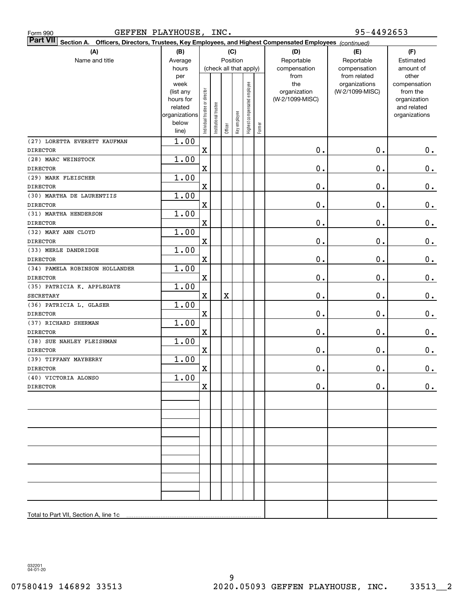| <b>Part VII</b> Section A. Officers, Directors, Trustees, Key Employees, and Highest Compensated Employees (continued) |                        |                                |                        |             |              |                              |        |                 |                 |                             |
|------------------------------------------------------------------------------------------------------------------------|------------------------|--------------------------------|------------------------|-------------|--------------|------------------------------|--------|-----------------|-----------------|-----------------------------|
| (A)                                                                                                                    | (B)                    |                                |                        |             | (C)          |                              |        | (D)             | (E)             | (F)                         |
| Name and title                                                                                                         | Average                |                                |                        |             | Position     |                              |        | Reportable      | Reportable      | Estimated                   |
|                                                                                                                        | hours                  |                                | (check all that apply) |             |              |                              |        | compensation    | compensation    | amount of                   |
|                                                                                                                        | per                    |                                |                        |             |              |                              |        | from            | from related    | other                       |
|                                                                                                                        | week                   |                                |                        |             |              | Highest compensated employee |        | the             | organizations   | compensation                |
|                                                                                                                        | (list any<br>hours for |                                |                        |             |              |                              |        | organization    | (W-2/1099-MISC) | from the                    |
|                                                                                                                        | related                |                                |                        |             |              |                              |        | (W-2/1099-MISC) |                 | organization<br>and related |
|                                                                                                                        | organizations          |                                |                        |             |              |                              |        |                 |                 | organizations               |
|                                                                                                                        | below                  | Individual trustee or director | Institutional trustee  |             |              |                              |        |                 |                 |                             |
|                                                                                                                        | line)                  |                                |                        | Officer     | Key employee |                              | Former |                 |                 |                             |
| (27) LORETTA EVERETT KAUFMAN                                                                                           | 1.00                   |                                |                        |             |              |                              |        |                 |                 |                             |
| <b>DIRECTOR</b>                                                                                                        |                        | X                              |                        |             |              |                              |        | 0.              | 0.              | $0$ .                       |
| (28) MARC WEINSTOCK                                                                                                    | 1.00                   |                                |                        |             |              |                              |        |                 |                 |                             |
| <b>DIRECTOR</b>                                                                                                        |                        | X                              |                        |             |              |                              |        | 0.              | 0.              | $\mathbf 0$ .               |
| (29) MARK FLEISCHER                                                                                                    | 1.00                   |                                |                        |             |              |                              |        |                 |                 |                             |
| <b>DIRECTOR</b>                                                                                                        |                        | X                              |                        |             |              |                              |        | 0.              | 0.              | $\mathbf 0$ .               |
| (30) MARTHA DE LAURENTIIS                                                                                              | 1.00                   |                                |                        |             |              |                              |        |                 |                 |                             |
| <b>DIRECTOR</b>                                                                                                        |                        | X                              |                        |             |              |                              |        | 0.              | 0.              | $\mathbf 0$ .               |
| (31) MARTHA HENDERSON                                                                                                  | 1.00                   |                                |                        |             |              |                              |        |                 |                 |                             |
| <b>DIRECTOR</b>                                                                                                        |                        | X                              |                        |             |              |                              |        | 0.              | 0.              | $\mathbf 0$ .               |
| (32) MARY ANN CLOYD                                                                                                    | 1.00                   |                                |                        |             |              |                              |        |                 |                 |                             |
| <b>DIRECTOR</b>                                                                                                        |                        | X                              |                        |             |              |                              |        | 0.              | 0.              | $\mathbf 0$ .               |
| (33) MERLE DANDRIDGE                                                                                                   | 1.00                   |                                |                        |             |              |                              |        |                 |                 |                             |
| <b>DIRECTOR</b>                                                                                                        |                        | X                              |                        |             |              |                              |        | 0.              | 0.              | $\mathbf 0$ .               |
| (34) PAMELA ROBINSON HOLLANDER<br><b>DIRECTOR</b>                                                                      | 1.00                   | X                              |                        |             |              |                              |        | 0.              | 0.              | $\mathbf 0$ .               |
| (35) PATRICIA K. APPLEGATE                                                                                             | 1.00                   |                                |                        |             |              |                              |        |                 |                 |                             |
| <b>SECRETARY</b>                                                                                                       |                        | $\mathbf X$                    |                        | $\mathbf X$ |              |                              |        | 0.              | 0.              | $\mathbf 0$ .               |
| (36) PATRICIA L. GLASER                                                                                                | 1.00                   |                                |                        |             |              |                              |        |                 |                 |                             |
| <b>DIRECTOR</b>                                                                                                        |                        | X                              |                        |             |              |                              |        | 0.              | 0.              | $\mathbf 0$ .               |
| (37) RICHARD SHERMAN                                                                                                   | 1.00                   |                                |                        |             |              |                              |        |                 |                 |                             |
| <b>DIRECTOR</b>                                                                                                        |                        | X                              |                        |             |              |                              |        | 0.              | 0.              | $0$ .                       |
| (38) SUE NAHLEY FLEISHMAN                                                                                              | 1.00                   |                                |                        |             |              |                              |        |                 |                 |                             |
| <b>DIRECTOR</b>                                                                                                        |                        | X                              |                        |             |              |                              |        | 0.              | 0.              | $0$ .                       |
| (39) TIFFANY MAYBERRY                                                                                                  | 1.00                   |                                |                        |             |              |                              |        |                 |                 |                             |
| <b>DIRECTOR</b>                                                                                                        |                        | $\mathbf X$                    |                        |             |              |                              |        | 0.              | 0.              | $\mathbf 0$ .               |
| (40) VICTORIA ALONSO                                                                                                   | 1.00                   |                                |                        |             |              |                              |        |                 |                 |                             |
| <b>DIRECTOR</b>                                                                                                        |                        | X                              |                        |             |              |                              |        | $\mathbf 0$ .   | 0.              | $0_{.}$                     |
|                                                                                                                        |                        |                                |                        |             |              |                              |        |                 |                 |                             |
|                                                                                                                        |                        |                                |                        |             |              |                              |        |                 |                 |                             |
|                                                                                                                        |                        |                                |                        |             |              |                              |        |                 |                 |                             |
|                                                                                                                        |                        |                                |                        |             |              |                              |        |                 |                 |                             |
|                                                                                                                        |                        |                                |                        |             |              |                              |        |                 |                 |                             |
|                                                                                                                        |                        |                                |                        |             |              |                              |        |                 |                 |                             |
|                                                                                                                        |                        |                                |                        |             |              |                              |        |                 |                 |                             |
|                                                                                                                        |                        |                                |                        |             |              |                              |        |                 |                 |                             |
|                                                                                                                        |                        |                                |                        |             |              |                              |        |                 |                 |                             |
|                                                                                                                        |                        |                                |                        |             |              |                              |        |                 |                 |                             |
|                                                                                                                        |                        |                                |                        |             |              |                              |        |                 |                 |                             |
|                                                                                                                        |                        |                                |                        |             |              |                              |        |                 |                 |                             |
|                                                                                                                        |                        |                                |                        |             |              |                              |        |                 |                 |                             |

032201 04-01-20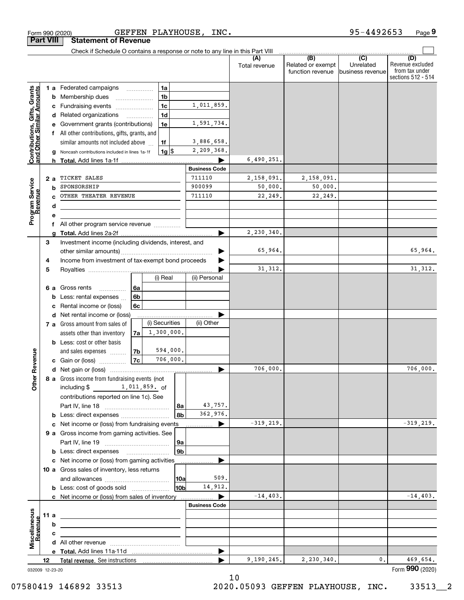| <b>Part VIII</b>                                          |      |        | <b>Statement of Revenue</b>                                                   |          |                |                |                      |                       |                                              |                                                   |                                                                 |
|-----------------------------------------------------------|------|--------|-------------------------------------------------------------------------------|----------|----------------|----------------|----------------------|-----------------------|----------------------------------------------|---------------------------------------------------|-----------------------------------------------------------------|
|                                                           |      |        | Check if Schedule O contains a response or note to any line in this Part VIII |          |                |                |                      |                       |                                              |                                                   |                                                                 |
|                                                           |      |        |                                                                               |          |                |                |                      | (A)<br>Total revenue  | (B)<br>Related or exempt<br>function revenue | $\overline{(C)}$<br>Unrelated<br>business revenue | (D)<br>Revenue excluded<br>from tax under<br>sections 512 - 514 |
|                                                           |      |        | 1 a Federated campaigns                                                       |          | 1a             |                |                      |                       |                                              |                                                   |                                                                 |
|                                                           |      | b      | Membership dues                                                               |          | 1 <sub>b</sub> |                |                      |                       |                                              |                                                   |                                                                 |
|                                                           |      | c      | Fundraising events                                                            |          | 1 <sub>c</sub> |                | 1,011,859.           |                       |                                              |                                                   |                                                                 |
| Contributions, Gifts, Grants<br>and Other Similar Amounts |      |        | d Related organizations                                                       | .        | 1 <sub>d</sub> |                |                      |                       |                                              |                                                   |                                                                 |
|                                                           |      |        | Government grants (contributions)                                             |          | 1e             |                | 1,591,734.           |                       |                                              |                                                   |                                                                 |
|                                                           |      | f      | All other contributions, gifts, grants, and                                   |          |                |                |                      |                       |                                              |                                                   |                                                                 |
|                                                           |      |        | similar amounts not included above                                            |          | 1f             |                | 3,886,658.           |                       |                                              |                                                   |                                                                 |
|                                                           |      |        | Noncash contributions included in lines 1a-1f                                 |          | $1g$ \$        |                | 2,209,368.           |                       |                                              |                                                   |                                                                 |
|                                                           |      | h.     |                                                                               |          |                |                |                      | 6,490,251.            |                                              |                                                   |                                                                 |
|                                                           |      |        |                                                                               |          |                |                | <b>Business Code</b> |                       |                                              |                                                   |                                                                 |
|                                                           |      | 2 a    | TICKET SALES<br>SPONSORSHIP                                                   |          |                |                | 711110<br>900099     | 2,158,091.<br>50,000. | 2,158,091.<br>50,000.                        |                                                   |                                                                 |
|                                                           |      | b      | OTHER THEATER REVENUE                                                         |          |                |                | 711110               | 22,249.               | 22,249.                                      |                                                   |                                                                 |
|                                                           |      |        |                                                                               |          |                |                |                      |                       |                                              |                                                   |                                                                 |
| Program Service<br>Revenue                                |      | d<br>е |                                                                               |          |                |                |                      |                       |                                              |                                                   |                                                                 |
|                                                           |      | f      | All other program service revenue                                             |          |                |                |                      |                       |                                              |                                                   |                                                                 |
|                                                           |      | q      |                                                                               |          |                |                |                      | 2,230,340.            |                                              |                                                   |                                                                 |
|                                                           | 3    |        | Investment income (including dividends, interest, and                         |          |                |                |                      |                       |                                              |                                                   |                                                                 |
|                                                           |      |        |                                                                               |          |                |                |                      | 65,964.               |                                              |                                                   | 65,964.                                                         |
|                                                           | 4    |        | Income from investment of tax-exempt bond proceeds                            |          |                |                |                      |                       |                                              |                                                   |                                                                 |
|                                                           | 5    |        |                                                                               |          |                |                |                      | 31, 312.              |                                              |                                                   | 31,312.                                                         |
|                                                           |      |        |                                                                               |          | (i) Real       |                | (ii) Personal        |                       |                                              |                                                   |                                                                 |
|                                                           |      | 6а     | Gross rents<br>.                                                              | l 6a     |                |                |                      |                       |                                              |                                                   |                                                                 |
|                                                           |      | b      | Less: rental expenses                                                         | 6b       |                |                |                      |                       |                                              |                                                   |                                                                 |
|                                                           |      | с      | Rental income or (loss)                                                       | 6c       |                |                |                      |                       |                                              |                                                   |                                                                 |
|                                                           |      | d      | Net rental income or (loss)                                                   |          |                |                |                      |                       |                                              |                                                   |                                                                 |
|                                                           |      |        | 7 a Gross amount from sales of                                                |          | (i) Securities |                | (ii) Other           |                       |                                              |                                                   |                                                                 |
|                                                           |      |        | assets other than inventory                                                   | 7a       | 1,300,000.     |                |                      |                       |                                              |                                                   |                                                                 |
|                                                           |      |        | <b>b</b> Less: cost or other basis                                            |          | 594,000.       |                |                      |                       |                                              |                                                   |                                                                 |
| Revenue                                                   |      |        | and sales expenses                                                            | 7b<br>7c | 706,000.       |                |                      |                       |                                              |                                                   |                                                                 |
|                                                           |      |        | <b>c</b> Gain or (loss) $\ldots$                                              |          |                |                |                      | 706,000.              |                                              |                                                   | 706,000.                                                        |
|                                                           |      |        | 8 a Gross income from fundraising events (not                                 |          |                |                |                      |                       |                                              |                                                   |                                                                 |
| <b>Other</b>                                              |      |        | 1,011,859. of<br>including \$                                                 |          |                |                |                      |                       |                                              |                                                   |                                                                 |
|                                                           |      |        | contributions reported on line 1c). See                                       |          |                |                |                      |                       |                                              |                                                   |                                                                 |
|                                                           |      |        |                                                                               |          |                | 8a             | 43,757.              |                       |                                              |                                                   |                                                                 |
|                                                           |      |        | <b>b</b> Less: direct expenses                                                |          |                | 8b             | 362,976.             |                       |                                              |                                                   |                                                                 |
|                                                           |      |        | c Net income or (loss) from fundraising events                                |          |                |                | ▶<br>.               | $-319, 219.$          |                                              |                                                   | $-319,219.$                                                     |
|                                                           |      |        | 9 a Gross income from gaming activities. See                                  |          |                |                |                      |                       |                                              |                                                   |                                                                 |
|                                                           |      |        |                                                                               |          |                | 9a             |                      |                       |                                              |                                                   |                                                                 |
|                                                           |      |        | <b>b</b> Less: direct expenses <b>manually</b>                                |          |                | 9 <sub>b</sub> |                      |                       |                                              |                                                   |                                                                 |
|                                                           |      |        | c Net income or (loss) from gaming activities                                 |          |                |                | .                    |                       |                                              |                                                   |                                                                 |
|                                                           |      |        | 10 a Gross sales of inventory, less returns                                   |          |                |                |                      |                       |                                              |                                                   |                                                                 |
|                                                           |      |        |                                                                               |          |                | 10a            | 509.                 |                       |                                              |                                                   |                                                                 |
|                                                           |      |        | <b>b</b> Less: cost of goods sold                                             |          |                | 10bl           | 14,912.              |                       |                                              |                                                   |                                                                 |
|                                                           |      |        |                                                                               |          |                |                | ▶                    | $-14, 403.$           |                                              |                                                   | $-14, 403.$                                                     |
|                                                           |      |        |                                                                               |          |                |                | <b>Business Code</b> |                       |                                              |                                                   |                                                                 |
| Miscellaneous                                             | 11 a |        | <u> 1989 - Johann Barbara, martxa alemaniar amerikan a</u>                    |          |                |                |                      |                       |                                              |                                                   |                                                                 |
| Revenue                                                   |      | b      |                                                                               |          |                |                |                      |                       |                                              |                                                   |                                                                 |
|                                                           |      | с      |                                                                               |          |                |                |                      |                       |                                              |                                                   |                                                                 |
|                                                           |      |        |                                                                               |          |                |                | ▶                    |                       |                                              |                                                   |                                                                 |
|                                                           | 12   |        |                                                                               |          |                |                |                      | 9,190,245.            | 2,230,340.                                   | 0.                                                | 469,654.                                                        |
| 032009 12-23-20                                           |      |        |                                                                               |          |                |                |                      |                       |                                              |                                                   | Form 990 (2020)                                                 |
|                                                           |      |        |                                                                               |          |                |                |                      |                       |                                              |                                                   |                                                                 |

Form 990 (2020) GEFFEN PLAYHOUSE,INC。 95-4492653 Page

GEFFEN PLAYHOUSE, INC.

10

**9** 95-4492653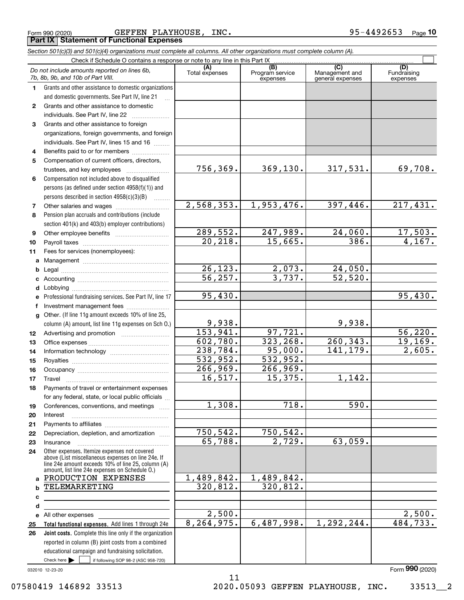|  | Form 990 (2020) |
|--|-----------------|
|  |                 |

Form 990 (2020) Page **Part IX Statement of Functional Expenses** GEFFEN PLAYHOUSE, INC. 95-4492653

*Section 501(c)(3) and 501(c)(4) organizations must complete all columns. All other organizations must complete column (A).*

|              | Do not include amounts reported on lines 6b,<br>7b, 8b, 9b, and 10b of Part VIII.                                                                        | (A)<br>Total expenses | (B)<br>Program service<br>expenses | (C)<br>Management and<br>general expenses | (D)<br>Fundraising<br>expenses |
|--------------|----------------------------------------------------------------------------------------------------------------------------------------------------------|-----------------------|------------------------------------|-------------------------------------------|--------------------------------|
| 1.           | Grants and other assistance to domestic organizations                                                                                                    |                       |                                    |                                           |                                |
|              | and domestic governments. See Part IV, line 21                                                                                                           |                       |                                    |                                           |                                |
| $\mathbf{2}$ | Grants and other assistance to domestic                                                                                                                  |                       |                                    |                                           |                                |
|              | individuals. See Part IV, line 22                                                                                                                        |                       |                                    |                                           |                                |
| 3            | Grants and other assistance to foreign                                                                                                                   |                       |                                    |                                           |                                |
|              | organizations, foreign governments, and foreign                                                                                                          |                       |                                    |                                           |                                |
|              | individuals. See Part IV, lines 15 and 16                                                                                                                |                       |                                    |                                           |                                |
| 4            | Benefits paid to or for members                                                                                                                          |                       |                                    |                                           |                                |
| 5            | Compensation of current officers, directors,                                                                                                             |                       |                                    |                                           |                                |
|              | trustees, and key employees                                                                                                                              | 756,369.              | 369, 130.                          | 317,531.                                  | 69,708.                        |
| 6            | Compensation not included above to disqualified                                                                                                          |                       |                                    |                                           |                                |
|              | persons (as defined under section 4958(f)(1)) and                                                                                                        |                       |                                    |                                           |                                |
|              | persons described in section $4958(c)(3)(B)$<br>1.1.1.1.1.1.1                                                                                            |                       |                                    |                                           |                                |
| 7            |                                                                                                                                                          | 2,568,353.            | 1,953,476.                         | 397,446.                                  | 217,431.                       |
| 8            | Pension plan accruals and contributions (include                                                                                                         |                       |                                    |                                           |                                |
|              | section 401(k) and 403(b) employer contributions)                                                                                                        |                       |                                    |                                           |                                |
| 9            |                                                                                                                                                          | 289,552.              | 247,989.                           | 24,060.                                   | 17,503.                        |
| 10           |                                                                                                                                                          | 20, 218.              | 15,665.                            | 386.                                      | 4,167.                         |
| 11           | Fees for services (nonemployees):                                                                                                                        |                       |                                    |                                           |                                |
| a            |                                                                                                                                                          |                       |                                    |                                           |                                |
| b            |                                                                                                                                                          | 26, 123.              | 2,073.                             | 24,050.                                   |                                |
| c            |                                                                                                                                                          | $\overline{56, 257.}$ | 3,737.                             | 52,520.                                   |                                |
| d            |                                                                                                                                                          |                       |                                    |                                           |                                |
| е            | Professional fundraising services. See Part IV, line 17                                                                                                  | 95,430.               |                                    |                                           | 95,430.                        |
| f            | Investment management fees                                                                                                                               |                       |                                    |                                           |                                |
| g            | Other. (If line 11g amount exceeds 10% of line 25,                                                                                                       |                       |                                    |                                           |                                |
|              | column (A) amount, list line 11g expenses on Sch O.)                                                                                                     | 9,938.                |                                    | 9,938.                                    |                                |
| 12           |                                                                                                                                                          | 153,941.              | 97,721.                            |                                           | 56, 220.                       |
| 13           |                                                                                                                                                          | 602,780.              | 323, 268.                          | 260, 343.                                 | 19, 169.                       |
| 14           |                                                                                                                                                          | 238,784.              | 95,000.                            | 141, 179.                                 | 2,605.                         |
| 15           |                                                                                                                                                          | 532,952.              | $\overline{532,952}$ .             |                                           |                                |
| 16           |                                                                                                                                                          | 266,969.              | 266,969.                           |                                           |                                |
| 17           | Travel                                                                                                                                                   | 16, 517.              | 15,375.                            | 1,142.                                    |                                |
| 18           | Payments of travel or entertainment expenses                                                                                                             |                       |                                    |                                           |                                |
|              | for any federal, state, or local public officials                                                                                                        |                       |                                    |                                           |                                |
| 19           | Conferences, conventions, and meetings                                                                                                                   | 1,308.                | 718.                               | 590.                                      |                                |
| 20           | Interest                                                                                                                                                 |                       |                                    |                                           |                                |
| 21           |                                                                                                                                                          |                       |                                    |                                           |                                |
| 22           | Depreciation, depletion, and amortization                                                                                                                | 750,542.              | 750,542.                           |                                           |                                |
| 23           | Insurance                                                                                                                                                | 65,788.               | 2,729.                             | 63,059.                                   |                                |
| 24           | Other expenses. Itemize expenses not covered<br>above (List miscellaneous expenses on line 24e. If<br>line 24e amount exceeds 10% of line 25, column (A) |                       |                                    |                                           |                                |
|              | amount, list line 24e expenses on Schedule O.)                                                                                                           |                       |                                    |                                           |                                |
| a            | PRODUCTION EXPENSES                                                                                                                                      | 1,489,842.            | 1,489,842.                         |                                           |                                |
| b            | TELEMARKETING                                                                                                                                            | 320, 812.             | 320, 812.                          |                                           |                                |
| с            |                                                                                                                                                          |                       |                                    |                                           |                                |
| d            |                                                                                                                                                          |                       |                                    |                                           |                                |
|              | e All other expenses                                                                                                                                     | 2,500.                |                                    |                                           | 2,500.                         |
| 25           | Total functional expenses. Add lines 1 through 24e                                                                                                       | 8, 264, 975.          | 6,487,998.                         | 1,292,244.                                | 484,733.                       |
| 26           | Joint costs. Complete this line only if the organization                                                                                                 |                       |                                    |                                           |                                |
|              | reported in column (B) joint costs from a combined                                                                                                       |                       |                                    |                                           |                                |
|              | educational campaign and fundraising solicitation.                                                                                                       |                       |                                    |                                           |                                |
|              | Check here $\blacktriangleright$<br>if following SOP 98-2 (ASC 958-720)                                                                                  |                       |                                    |                                           |                                |

11

032010 12-23-20

Form (2020) **990**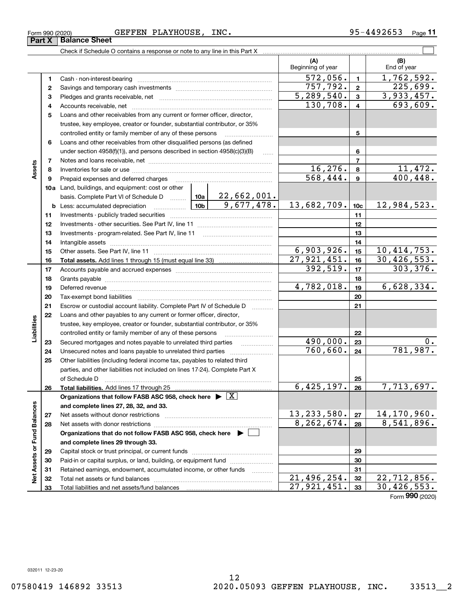#### Form 990 (2020) Page GEFFEN PLAYHOUSE, INC. 95-4492653

Check if Schedule O contains a response or note to any line in this Part X

|                             |              |                                                                                                                                                                                                                                      |                     | (A)<br>Beginning of year    |                 | (B)<br>End of year |
|-----------------------------|--------------|--------------------------------------------------------------------------------------------------------------------------------------------------------------------------------------------------------------------------------------|---------------------|-----------------------------|-----------------|--------------------|
|                             | 1            | Cash - non-interest-bearing                                                                                                                                                                                                          |                     | 572,056.                    | 1               | 1,762,592.         |
|                             | $\mathbf{2}$ |                                                                                                                                                                                                                                      |                     | 757,792.                    | $\mathbf{2}$    | 225,699.           |
|                             | з            |                                                                                                                                                                                                                                      |                     | 5,289,540.                  | 3               | 3,933,457.         |
|                             | 4            |                                                                                                                                                                                                                                      |                     | 130,708.                    | 4               | 693,609.           |
|                             | 5            | Loans and other receivables from any current or former officer, director,                                                                                                                                                            |                     |                             |                 |                    |
|                             |              | trustee, key employee, creator or founder, substantial contributor, or 35%                                                                                                                                                           |                     |                             |                 |                    |
|                             |              | controlled entity or family member of any of these persons                                                                                                                                                                           |                     |                             | 5               |                    |
|                             | 6            | Loans and other receivables from other disqualified persons (as defined                                                                                                                                                              |                     |                             |                 |                    |
|                             |              | under section 4958(f)(1)), and persons described in section 4958(c)(3)(B)                                                                                                                                                            | $\ldots$            |                             | 6               |                    |
|                             | 7            |                                                                                                                                                                                                                                      |                     |                             | $\overline{7}$  |                    |
| Assets                      | 8            |                                                                                                                                                                                                                                      |                     | 16,276.                     | 8               | 11,472.            |
|                             | 9            | Prepaid expenses and deferred charges                                                                                                                                                                                                |                     | $\overline{568, 444}$ .     | 9               | 400,448.           |
|                             |              | 10a Land, buildings, and equipment: cost or other                                                                                                                                                                                    |                     |                             |                 |                    |
|                             |              | basis. Complete Part VI of Schedule D    10a   22,662,001.                                                                                                                                                                           |                     |                             |                 |                    |
|                             |              | $\frac{10b}{2}$<br><b>b</b> Less: accumulated depreciation                                                                                                                                                                           | 9,677,478.          | 13,682,709.                 | 10 <sub>c</sub> | 12,984,523.        |
|                             | 11           |                                                                                                                                                                                                                                      |                     |                             | 11              |                    |
|                             | 12           |                                                                                                                                                                                                                                      |                     |                             | 12              |                    |
|                             | 13           |                                                                                                                                                                                                                                      |                     |                             | 13              |                    |
|                             | 14           |                                                                                                                                                                                                                                      |                     |                             | 14              |                    |
|                             | 15           |                                                                                                                                                                                                                                      |                     | 6,903,926.                  | 15              | 10,414,753.        |
|                             | 16           |                                                                                                                                                                                                                                      |                     | $\overline{27,921,451}$ .   | 16              | 30,426,553.        |
|                             | 17           |                                                                                                                                                                                                                                      |                     | 392,519.                    | 17              | 303,376.           |
|                             | 18           |                                                                                                                                                                                                                                      |                     |                             | 18              |                    |
|                             | 19           | Deferred revenue <b>contained and contained a set of the contained revenue contained a set of the contained and contained a set of the contained and contained a set of the contained and contained a set of the contained and c</b> |                     | 4,782,018.                  | 19              | 6,628,334.         |
|                             | 20           |                                                                                                                                                                                                                                      |                     |                             | 20              |                    |
|                             | 21           | Escrow or custodial account liability. Complete Part IV of Schedule D                                                                                                                                                                |                     |                             | 21              |                    |
|                             | 22           | Loans and other payables to any current or former officer, director,                                                                                                                                                                 |                     |                             |                 |                    |
| Liabilities                 |              | trustee, key employee, creator or founder, substantial contributor, or 35%                                                                                                                                                           |                     |                             |                 |                    |
|                             |              | controlled entity or family member of any of these persons                                                                                                                                                                           |                     |                             | 22              |                    |
|                             | 23           | Secured mortgages and notes payable to unrelated third parties                                                                                                                                                                       |                     | 490,000.                    | 23              | 0.                 |
|                             | 24           |                                                                                                                                                                                                                                      |                     | 760, 660.                   | 24              | 781,987.           |
|                             | 25           | Other liabilities (including federal income tax, payables to related third                                                                                                                                                           |                     |                             |                 |                    |
|                             |              | parties, and other liabilities not included on lines 17-24). Complete Part X                                                                                                                                                         |                     |                             |                 |                    |
|                             |              | of Schedule D                                                                                                                                                                                                                        |                     |                             | 25              |                    |
|                             | 26           |                                                                                                                                                                                                                                      |                     | 6,425,197.                  | 26              | 7,713,697.         |
|                             |              | Organizations that follow FASB ASC 958, check here $\blacktriangleright \boxed{X}$                                                                                                                                                   |                     |                             |                 |                    |
|                             |              | and complete lines 27, 28, 32, and 33.                                                                                                                                                                                               |                     |                             |                 |                    |
|                             | 27           | Net assets without donor restrictions                                                                                                                                                                                                |                     | 13, 233, 580.               | 27              | 14,170,960.        |
|                             | 28           |                                                                                                                                                                                                                                      |                     | 8,262,674.                  | 28              | 8,541,896.         |
|                             |              | Organizations that do not follow FASB ASC 958, check here ▶ │                                                                                                                                                                        |                     |                             |                 |                    |
|                             |              | and complete lines 29 through 33.                                                                                                                                                                                                    |                     |                             |                 |                    |
|                             | 29           | Capital stock or trust principal, or current funds                                                                                                                                                                                   |                     |                             | 29              |                    |
|                             | 30           | Paid-in or capital surplus, or land, building, or equipment fund                                                                                                                                                                     |                     |                             | 30              |                    |
| Net Assets or Fund Balances | 31           | Retained earnings, endowment, accumulated income, or other funds                                                                                                                                                                     | 1.1.1.1.1.1.1.1.1.1 |                             | 31              |                    |
|                             | 32           | Total net assets or fund balances                                                                                                                                                                                                    |                     | $\overline{21}$ , 496, 254. | 32              | 22,712,856.        |
|                             | 33           |                                                                                                                                                                                                                                      |                     | 27,921,451.                 | 33              | 30, 426, 553.      |

**11**

 $\mathcal{L}^{\text{max}}$ 

Form (2020) **990**

**Part X Balance Sheet**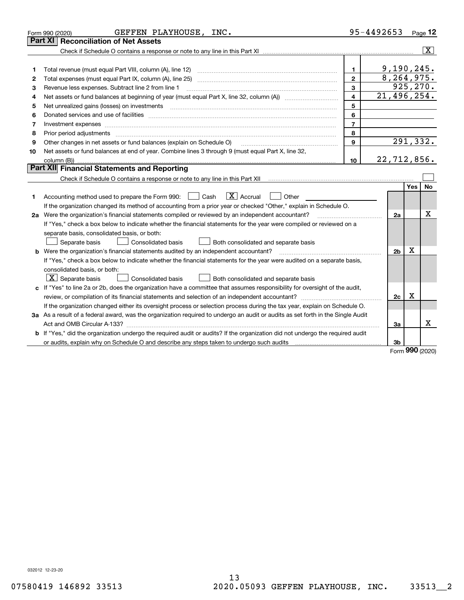|    | GEFFEN PLAYHOUSE, INC.<br>Form 990 (2020)                                                                                       |                         | 95-4492653     |     | Page 12        |
|----|---------------------------------------------------------------------------------------------------------------------------------|-------------------------|----------------|-----|----------------|
|    | <b>Reconciliation of Net Assets</b><br>Part XI                                                                                  |                         |                |     |                |
|    |                                                                                                                                 |                         |                |     | $ \mathbf{X} $ |
|    |                                                                                                                                 |                         |                |     |                |
| 1  | Total revenue (must equal Part VIII, column (A), line 12)                                                                       | 1.                      | 9,190,245.     |     |                |
| 2  |                                                                                                                                 | $\mathbf{2}$            | 8,264,975.     |     |                |
| 3  | Revenue less expenses. Subtract line 2 from line 1                                                                              | 3                       | 925, 270.      |     |                |
| 4  | Net assets or fund balances at beginning of year (must equal Part X, line 32, column (A)) manured manured was                   | $\overline{\mathbf{4}}$ | 21,496,254.    |     |                |
| 5  | Net unrealized gains (losses) on investments                                                                                    | 5                       |                |     |                |
| 6  |                                                                                                                                 | 6                       |                |     |                |
| 7  | Investment expenses www.communication.com/www.communication.com/www.communication.com/www.com                                   | $\overline{7}$          |                |     |                |
| 8  | Prior period adjustments                                                                                                        | 8                       |                |     |                |
| 9  | Other changes in net assets or fund balances (explain on Schedule O)                                                            | 9                       |                |     | 291,332.       |
| 10 | Net assets or fund balances at end of year. Combine lines 3 through 9 (must equal Part X, line 32,                              |                         |                |     |                |
|    |                                                                                                                                 | 10                      | 22,712,856.    |     |                |
|    | Part XII Financial Statements and Reporting                                                                                     |                         |                |     |                |
|    |                                                                                                                                 |                         |                |     |                |
|    |                                                                                                                                 |                         |                | Yes | No             |
| 1. | $\boxed{\mathbf{X}}$ Accrual<br>Accounting method used to prepare the Form 990: [16] Cash<br>Other                              |                         |                |     |                |
|    | If the organization changed its method of accounting from a prior year or checked "Other," explain in Schedule O.               |                         |                |     |                |
|    | 2a Were the organization's financial statements compiled or reviewed by an independent accountant?                              |                         | 2a             |     | х              |
|    | If "Yes," check a box below to indicate whether the financial statements for the year were compiled or reviewed on a            |                         |                |     |                |
|    | separate basis, consolidated basis, or both:                                                                                    |                         |                |     |                |
|    | Separate basis<br>Consolidated basis<br>Both consolidated and separate basis                                                    |                         |                |     |                |
|    | <b>b</b> Were the organization's financial statements audited by an independent accountant?                                     |                         | 2 <sub>b</sub> | X   |                |
|    | If "Yes," check a box below to indicate whether the financial statements for the year were audited on a separate basis,         |                         |                |     |                |
|    | consolidated basis, or both:                                                                                                    |                         |                |     |                |
|    | $\vert$ X $\vert$ Separate basis<br>Consolidated basis<br>Both consolidated and separate basis                                  |                         |                |     |                |
|    | c If "Yes" to line 2a or 2b, does the organization have a committee that assumes responsibility for oversight of the audit,     |                         |                |     |                |
|    |                                                                                                                                 |                         | 2c             | х   |                |
|    | If the organization changed either its oversight process or selection process during the tax year, explain on Schedule O.       |                         |                |     |                |
|    | 3a As a result of a federal award, was the organization required to undergo an audit or audits as set forth in the Single Audit |                         |                |     |                |
|    |                                                                                                                                 |                         | За             |     | x              |
|    | b If "Yes," did the organization undergo the required audit or audits? If the organization did not undergo the required audit   |                         |                |     |                |
|    |                                                                                                                                 |                         | 3b             |     |                |

Form (2020) **990**

032012 12-23-20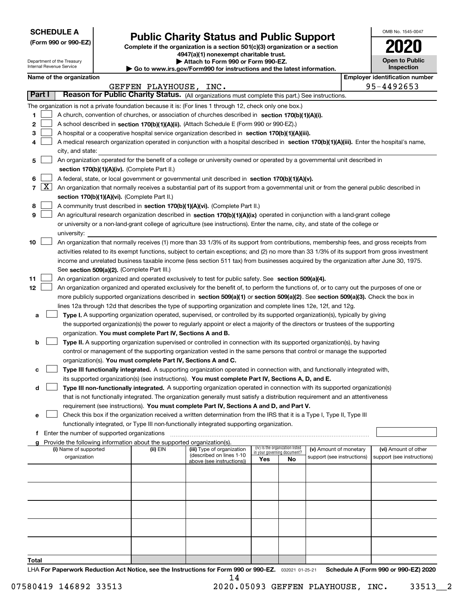| <b>SCHEDULE A</b> |
|-------------------|
|-------------------|

Department of the Treasury Internal Revenue Service

**(Form 990 or 990-EZ)**

## **Public Charity Status and Public Support**

**Complete if the organization is a section 501(c)(3) organization or a section 4947(a)(1) nonexempt charitable trust.**

**| Attach to Form 990 or Form 990-EZ.** 

**| Go to www.irs.gov/Form990 for instructions and the latest information.**

| OMB No. 1545-0047                   |
|-------------------------------------|
| 02                                  |
| <b>Open to Public</b><br>Inspection |

|        | Name of the organization                                                                                                                                             |                   |                                                        |                             |                                 |                            |  | <b>Employer identification number</b> |  |
|--------|----------------------------------------------------------------------------------------------------------------------------------------------------------------------|-------------------|--------------------------------------------------------|-----------------------------|---------------------------------|----------------------------|--|---------------------------------------|--|
|        |                                                                                                                                                                      | GEFFEN PLAYHOUSE, | INC.                                                   |                             |                                 |                            |  | 95-4492653                            |  |
| Part I | Reason for Public Charity Status. (All organizations must complete this part.) See instructions.                                                                     |                   |                                                        |                             |                                 |                            |  |                                       |  |
|        | The organization is not a private foundation because it is: (For lines 1 through 12, check only one box.)                                                            |                   |                                                        |                             |                                 |                            |  |                                       |  |
| 1      | A church, convention of churches, or association of churches described in section 170(b)(1)(A)(i).                                                                   |                   |                                                        |                             |                                 |                            |  |                                       |  |
| 2      | A school described in section 170(b)(1)(A)(ii). (Attach Schedule E (Form 990 or 990-EZ).)                                                                            |                   |                                                        |                             |                                 |                            |  |                                       |  |
| 3      | A hospital or a cooperative hospital service organization described in section $170(b)(1)(A)(iii)$ .                                                                 |                   |                                                        |                             |                                 |                            |  |                                       |  |
| 4      | A medical research organization operated in conjunction with a hospital described in section 170(b)(1)(A)(iii). Enter the hospital's name,                           |                   |                                                        |                             |                                 |                            |  |                                       |  |
|        | city, and state:                                                                                                                                                     |                   |                                                        |                             |                                 |                            |  |                                       |  |
| 5      | An organization operated for the benefit of a college or university owned or operated by a governmental unit described in                                            |                   |                                                        |                             |                                 |                            |  |                                       |  |
|        | section 170(b)(1)(A)(iv). (Complete Part II.)                                                                                                                        |                   |                                                        |                             |                                 |                            |  |                                       |  |
| 6      | A federal, state, or local government or governmental unit described in section 170(b)(1)(A)(v).                                                                     |                   |                                                        |                             |                                 |                            |  |                                       |  |
|        | 7 $\lfloor$ X $\rfloor$<br>An organization that normally receives a substantial part of its support from a governmental unit or from the general public described in |                   |                                                        |                             |                                 |                            |  |                                       |  |
|        | section 170(b)(1)(A)(vi). (Complete Part II.)                                                                                                                        |                   |                                                        |                             |                                 |                            |  |                                       |  |
| 8      | A community trust described in section 170(b)(1)(A)(vi). (Complete Part II.)                                                                                         |                   |                                                        |                             |                                 |                            |  |                                       |  |
| 9      | An agricultural research organization described in section 170(b)(1)(A)(ix) operated in conjunction with a land-grant college                                        |                   |                                                        |                             |                                 |                            |  |                                       |  |
|        | or university or a non-land-grant college of agriculture (see instructions). Enter the name, city, and state of the college or                                       |                   |                                                        |                             |                                 |                            |  |                                       |  |
|        | university:                                                                                                                                                          |                   |                                                        |                             |                                 |                            |  |                                       |  |
| 10     | An organization that normally receives (1) more than 33 1/3% of its support from contributions, membership fees, and gross receipts from                             |                   |                                                        |                             |                                 |                            |  |                                       |  |
|        | activities related to its exempt functions, subject to certain exceptions; and (2) no more than 33 1/3% of its support from gross investment                         |                   |                                                        |                             |                                 |                            |  |                                       |  |
|        | income and unrelated business taxable income (less section 511 tax) from businesses acquired by the organization after June 30, 1975.                                |                   |                                                        |                             |                                 |                            |  |                                       |  |
|        | See section 509(a)(2). (Complete Part III.)                                                                                                                          |                   |                                                        |                             |                                 |                            |  |                                       |  |
| 11     | An organization organized and operated exclusively to test for public safety. See section 509(a)(4).                                                                 |                   |                                                        |                             |                                 |                            |  |                                       |  |
| 12     | An organization organized and operated exclusively for the benefit of, to perform the functions of, or to carry out the purposes of one or                           |                   |                                                        |                             |                                 |                            |  |                                       |  |
|        | more publicly supported organizations described in section 509(a)(1) or section 509(a)(2). See section 509(a)(3). Check the box in                                   |                   |                                                        |                             |                                 |                            |  |                                       |  |
|        | lines 12a through 12d that describes the type of supporting organization and complete lines 12e, 12f, and 12g.                                                       |                   |                                                        |                             |                                 |                            |  |                                       |  |
| а      | Type I. A supporting organization operated, supervised, or controlled by its supported organization(s), typically by giving                                          |                   |                                                        |                             |                                 |                            |  |                                       |  |
|        | the supported organization(s) the power to regularly appoint or elect a majority of the directors or trustees of the supporting                                      |                   |                                                        |                             |                                 |                            |  |                                       |  |
|        | organization. You must complete Part IV, Sections A and B.                                                                                                           |                   |                                                        |                             |                                 |                            |  |                                       |  |
| b      | <b>Type II.</b> A supporting organization supervised or controlled in connection with its supported organization(s), by having                                       |                   |                                                        |                             |                                 |                            |  |                                       |  |
|        | control or management of the supporting organization vested in the same persons that control or manage the supported                                                 |                   |                                                        |                             |                                 |                            |  |                                       |  |
|        | organization(s). You must complete Part IV, Sections A and C.                                                                                                        |                   |                                                        |                             |                                 |                            |  |                                       |  |
| с      | Type III functionally integrated. A supporting organization operated in connection with, and functionally integrated with,                                           |                   |                                                        |                             |                                 |                            |  |                                       |  |
|        | its supported organization(s) (see instructions). You must complete Part IV, Sections A, D, and E.                                                                   |                   |                                                        |                             |                                 |                            |  |                                       |  |
| d      | Type III non-functionally integrated. A supporting organization operated in connection with its supported organization(s)                                            |                   |                                                        |                             |                                 |                            |  |                                       |  |
|        | that is not functionally integrated. The organization generally must satisfy a distribution requirement and an attentiveness                                         |                   |                                                        |                             |                                 |                            |  |                                       |  |
|        | requirement (see instructions). You must complete Part IV, Sections A and D, and Part V.                                                                             |                   |                                                        |                             |                                 |                            |  |                                       |  |
|        | Check this box if the organization received a written determination from the IRS that it is a Type I, Type II, Type III                                              |                   |                                                        |                             |                                 |                            |  |                                       |  |
|        | functionally integrated, or Type III non-functionally integrated supporting organization.                                                                            |                   |                                                        |                             |                                 |                            |  |                                       |  |
| f      | Enter the number of supported organizations                                                                                                                          |                   |                                                        |                             |                                 |                            |  |                                       |  |
|        | g Provide the following information about the supported organization(s).                                                                                             |                   |                                                        |                             |                                 |                            |  |                                       |  |
|        | (i) Name of supported                                                                                                                                                | (ii) EIN          | (iii) Type of organization<br>(described on lines 1-10 | in your governing document? | (iv) Is the organization listed | (v) Amount of monetary     |  | (vi) Amount of other                  |  |
|        | organization                                                                                                                                                         |                   | above (see instructions))                              | Yes                         | No                              | support (see instructions) |  | support (see instructions)            |  |
|        |                                                                                                                                                                      |                   |                                                        |                             |                                 |                            |  |                                       |  |
|        |                                                                                                                                                                      |                   |                                                        |                             |                                 |                            |  |                                       |  |
|        |                                                                                                                                                                      |                   |                                                        |                             |                                 |                            |  |                                       |  |
|        |                                                                                                                                                                      |                   |                                                        |                             |                                 |                            |  |                                       |  |
|        |                                                                                                                                                                      |                   |                                                        |                             |                                 |                            |  |                                       |  |
|        |                                                                                                                                                                      |                   |                                                        |                             |                                 |                            |  |                                       |  |
|        |                                                                                                                                                                      |                   |                                                        |                             |                                 |                            |  |                                       |  |
|        |                                                                                                                                                                      |                   |                                                        |                             |                                 |                            |  |                                       |  |
|        |                                                                                                                                                                      |                   |                                                        |                             |                                 |                            |  |                                       |  |
|        |                                                                                                                                                                      |                   |                                                        |                             |                                 |                            |  |                                       |  |
| Total  |                                                                                                                                                                      |                   |                                                        |                             |                                 |                            |  |                                       |  |

LHA For Paperwork Reduction Act Notice, see the Instructions for Form 990 or 990-EZ. <sub>032021</sub> o1-25-21 Schedule A (Form 990 or 990-EZ) 2020 14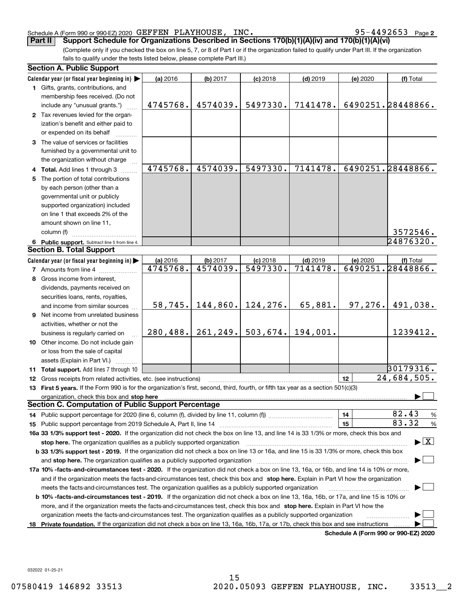#### Schedule A (Form 990 or 990-EZ) 2020 GEFFEN PLAYHOUSE, INC。 9 5 – 4 4 9 2 6 5 3 Page GEFFEN PLAYHOUSE, INC. 95-4492653

**2**

(Complete only if you checked the box on line 5, 7, or 8 of Part I or if the organization failed to qualify under Part III. If the organization fails to qualify under the tests listed below, please complete Part III.) **Part II Support Schedule for Organizations Described in Sections 170(b)(1)(A)(iv) and 170(b)(1)(A)(vi)**

| <b>Section A. Public Support</b>                                                                                                               |                      |                      |                        |                        |                                      |                                |  |
|------------------------------------------------------------------------------------------------------------------------------------------------|----------------------|----------------------|------------------------|------------------------|--------------------------------------|--------------------------------|--|
| Calendar year (or fiscal year beginning in)                                                                                                    | (a) 2016             | (b) 2017             | $(c)$ 2018             | $(d)$ 2019             | (e) 2020                             | (f) Total                      |  |
| 1 Gifts, grants, contributions, and                                                                                                            |                      |                      |                        |                        |                                      |                                |  |
| membership fees received. (Do not                                                                                                              |                      |                      |                        |                        |                                      |                                |  |
| include any "unusual grants.")                                                                                                                 | 4745768.             | 4574039.             | 5497330.               | 7141478.               |                                      | 6490251.28448866.              |  |
| 2 Tax revenues levied for the organ-                                                                                                           |                      |                      |                        |                        |                                      |                                |  |
| ization's benefit and either paid to                                                                                                           |                      |                      |                        |                        |                                      |                                |  |
| or expended on its behalf                                                                                                                      |                      |                      |                        |                        |                                      |                                |  |
| 3 The value of services or facilities                                                                                                          |                      |                      |                        |                        |                                      |                                |  |
| furnished by a governmental unit to                                                                                                            |                      |                      |                        |                        |                                      |                                |  |
| the organization without charge                                                                                                                |                      |                      |                        |                        |                                      |                                |  |
| 4 Total. Add lines 1 through 3                                                                                                                 | 4745768.             | 4574039.             | 5497330.               | 7141478.               |                                      | 6490251.28448866.              |  |
| 5 The portion of total contributions                                                                                                           |                      |                      |                        |                        |                                      |                                |  |
| by each person (other than a                                                                                                                   |                      |                      |                        |                        |                                      |                                |  |
| governmental unit or publicly                                                                                                                  |                      |                      |                        |                        |                                      |                                |  |
| supported organization) included                                                                                                               |                      |                      |                        |                        |                                      |                                |  |
| on line 1 that exceeds 2% of the                                                                                                               |                      |                      |                        |                        |                                      |                                |  |
| amount shown on line 11,                                                                                                                       |                      |                      |                        |                        |                                      |                                |  |
| column (f)                                                                                                                                     |                      |                      |                        |                        |                                      | 3572546.                       |  |
|                                                                                                                                                |                      |                      |                        |                        |                                      | 24876320.                      |  |
| 6 Public support. Subtract line 5 from line 4.<br><b>Section B. Total Support</b>                                                              |                      |                      |                        |                        |                                      |                                |  |
|                                                                                                                                                |                      |                      |                        |                        |                                      |                                |  |
| Calendar year (or fiscal year beginning in)                                                                                                    | (a) 2016<br>4745768. | (b) 2017<br>4574039. | $(c)$ 2018<br>5497330. | $(d)$ 2019<br>7141478. | (e) 2020                             | (f) Total<br>6490251.28448866. |  |
| <b>7</b> Amounts from line 4                                                                                                                   |                      |                      |                        |                        |                                      |                                |  |
| 8 Gross income from interest,                                                                                                                  |                      |                      |                        |                        |                                      |                                |  |
| dividends, payments received on                                                                                                                |                      |                      |                        |                        |                                      |                                |  |
| securities loans, rents, royalties,                                                                                                            |                      |                      |                        |                        |                                      |                                |  |
| and income from similar sources                                                                                                                | 58, 745.             | 144,860.             | 124,276.               | 65,881.                | 97, 276.                             | 491,038.                       |  |
| <b>9</b> Net income from unrelated business                                                                                                    |                      |                      |                        |                        |                                      |                                |  |
| activities, whether or not the                                                                                                                 |                      |                      |                        |                        |                                      |                                |  |
| business is regularly carried on                                                                                                               | 280, 488.            | 261, 249.            | 503,674.               | 194,001.               |                                      | 1239412.                       |  |
| 10 Other income. Do not include gain                                                                                                           |                      |                      |                        |                        |                                      |                                |  |
| or loss from the sale of capital                                                                                                               |                      |                      |                        |                        |                                      |                                |  |
| assets (Explain in Part VI.)                                                                                                                   |                      |                      |                        |                        |                                      |                                |  |
| 11 Total support. Add lines 7 through 10                                                                                                       |                      |                      |                        |                        |                                      | 30179316.                      |  |
| 12 Gross receipts from related activities, etc. (see instructions)                                                                             |                      |                      |                        |                        | 12                                   | 24,684,505.                    |  |
| 13 First 5 years. If the Form 990 is for the organization's first, second, third, fourth, or fifth tax year as a section 501(c)(3)             |                      |                      |                        |                        |                                      |                                |  |
| organization, check this box and stop here <b>conservation and conservation</b> conservation of the conservation of the                        |                      |                      |                        |                        |                                      |                                |  |
| Section C. Computation of Public Support Percentage                                                                                            |                      |                      |                        |                        |                                      |                                |  |
|                                                                                                                                                |                      |                      |                        |                        | 14                                   | 82.43<br>%                     |  |
|                                                                                                                                                |                      |                      |                        |                        | 15                                   | 83.32<br>%                     |  |
| 16a 33 1/3% support test - 2020. If the organization did not check the box on line 13, and line 14 is 33 1/3% or more, check this box and      |                      |                      |                        |                        |                                      |                                |  |
| stop here. The organization qualifies as a publicly supported organization                                                                     |                      |                      |                        |                        |                                      | $\blacktriangleright$ $\mid$ X |  |
| b 33 1/3% support test - 2019. If the organization did not check a box on line 13 or 16a, and line 15 is 33 1/3% or more, check this box       |                      |                      |                        |                        |                                      |                                |  |
| and stop here. The organization qualifies as a publicly supported organization                                                                 |                      |                      |                        |                        |                                      |                                |  |
| 17a 10% -facts-and-circumstances test - 2020. If the organization did not check a box on line 13, 16a, or 16b, and line 14 is 10% or more,     |                      |                      |                        |                        |                                      |                                |  |
| and if the organization meets the facts-and-circumstances test, check this box and stop here. Explain in Part VI how the organization          |                      |                      |                        |                        |                                      |                                |  |
| meets the facts-and-circumstances test. The organization qualifies as a publicly supported organization                                        |                      |                      |                        |                        |                                      |                                |  |
| <b>b 10% -facts-and-circumstances test - 2019.</b> If the organization did not check a box on line 13, 16a, 16b, or 17a, and line 15 is 10% or |                      |                      |                        |                        |                                      |                                |  |
| more, and if the organization meets the facts-and-circumstances test, check this box and stop here. Explain in Part VI how the                 |                      |                      |                        |                        |                                      |                                |  |
|                                                                                                                                                |                      |                      |                        |                        |                                      |                                |  |
| organization meets the facts-and-circumstances test. The organization qualifies as a publicly supported organization                           |                      |                      |                        |                        |                                      |                                |  |
| 18 Private foundation. If the organization did not check a box on line 13, 16a, 16b, 17a, or 17b, check this box and see instructions          |                      |                      |                        |                        | Schedule A (Form 990 or 990-F7) 2020 |                                |  |

**Schedule A (Form 990 or 990-EZ) 2020**

032022 01-25-21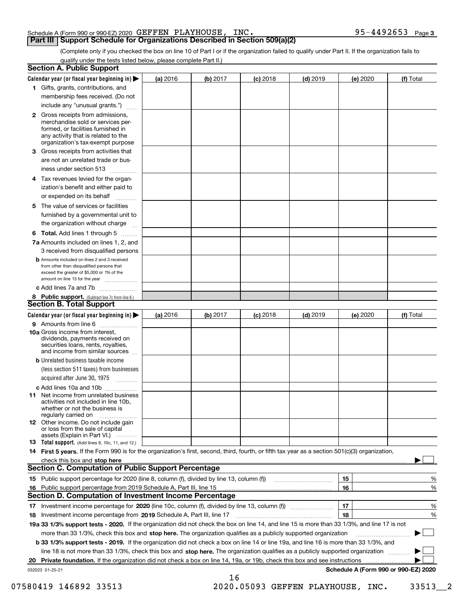#### Schedule A (Form 990 or 990-EZ) 2020 Page GEFFEN PLAYHOUSE, INC. 95-4492653

#### **Part III Support Schedule for Organizations Described in Section 509(a)(2)**

**3**

(Complete only if you checked the box on line 10 of Part I or if the organization failed to qualify under Part II. If the organization fails to qualify under the tests listed below, please complete Part II.)

| <b>Section A. Public Support</b>                                                                                                                                                                                               |          |          |            |            |          |                                      |
|--------------------------------------------------------------------------------------------------------------------------------------------------------------------------------------------------------------------------------|----------|----------|------------|------------|----------|--------------------------------------|
| Calendar year (or fiscal year beginning in) $\blacktriangleright$                                                                                                                                                              | (a) 2016 | (b) 2017 | $(c)$ 2018 | $(d)$ 2019 | (e) 2020 | (f) Total                            |
| 1 Gifts, grants, contributions, and                                                                                                                                                                                            |          |          |            |            |          |                                      |
| membership fees received. (Do not                                                                                                                                                                                              |          |          |            |            |          |                                      |
| include any "unusual grants.")                                                                                                                                                                                                 |          |          |            |            |          |                                      |
| 2 Gross receipts from admissions,<br>merchandise sold or services per-<br>formed, or facilities furnished in<br>any activity that is related to the<br>organization's tax-exempt purpose                                       |          |          |            |            |          |                                      |
| 3 Gross receipts from activities that<br>are not an unrelated trade or bus-                                                                                                                                                    |          |          |            |            |          |                                      |
| iness under section 513                                                                                                                                                                                                        |          |          |            |            |          |                                      |
| 4 Tax revenues levied for the organ-<br>ization's benefit and either paid to<br>or expended on its behalf                                                                                                                      |          |          |            |            |          |                                      |
| .<br>5 The value of services or facilities<br>furnished by a governmental unit to                                                                                                                                              |          |          |            |            |          |                                      |
| the organization without charge                                                                                                                                                                                                |          |          |            |            |          |                                      |
| <b>6 Total.</b> Add lines 1 through 5                                                                                                                                                                                          |          |          |            |            |          |                                      |
| 7a Amounts included on lines 1, 2, and<br>3 received from disqualified persons                                                                                                                                                 |          |          |            |            |          |                                      |
| <b>b</b> Amounts included on lines 2 and 3 received<br>from other than disqualified persons that<br>exceed the greater of \$5,000 or 1% of the<br>amount on line 13 for the year                                               |          |          |            |            |          |                                      |
| c Add lines 7a and 7b                                                                                                                                                                                                          |          |          |            |            |          |                                      |
| 8 Public support. (Subtract line 7c from line 6.)<br><b>Section B. Total Support</b>                                                                                                                                           |          |          |            |            |          |                                      |
| Calendar year (or fiscal year beginning in)                                                                                                                                                                                    | (a) 2016 | (b) 2017 | $(c)$ 2018 | $(d)$ 2019 | (e) 2020 | (f) Total                            |
| 9 Amounts from line 6                                                                                                                                                                                                          |          |          |            |            |          |                                      |
| 10a Gross income from interest,<br>dividends, payments received on<br>securities loans, rents, royalties,<br>and income from similar sources                                                                                   |          |          |            |            |          |                                      |
| <b>b</b> Unrelated business taxable income<br>(less section 511 taxes) from businesses<br>acquired after June 30, 1975                                                                                                         |          |          |            |            |          |                                      |
| c Add lines 10a and 10b                                                                                                                                                                                                        |          |          |            |            |          |                                      |
| <b>11</b> Net income from unrelated business<br>activities not included in line 10b,<br>whether or not the business is<br>regularly carried on                                                                                 |          |          |            |            |          |                                      |
| <b>12</b> Other income. Do not include gain<br>or loss from the sale of capital<br>assets (Explain in Part VI.)                                                                                                                |          |          |            |            |          |                                      |
| <b>13 Total support.</b> (Add lines 9, 10c, 11, and 12.)                                                                                                                                                                       |          |          |            |            |          |                                      |
| 14 First 5 years. If the Form 990 is for the organization's first, second, third, fourth, or fifth tax year as a section 501(c)(3) organization,                                                                               |          |          |            |            |          |                                      |
| check this box and stop here measurements and contact the contract of the contract of the contract of the contract of the contract of the contract of the contract of the contract of the contract of the contract of the cont |          |          |            |            |          |                                      |
| <b>Section C. Computation of Public Support Percentage</b>                                                                                                                                                                     |          |          |            |            |          |                                      |
|                                                                                                                                                                                                                                |          |          |            |            | 15       | %                                    |
| 16 Public support percentage from 2019 Schedule A, Part III, line 15                                                                                                                                                           |          |          |            |            | 16       | %                                    |
| <b>Section D. Computation of Investment Income Percentage</b>                                                                                                                                                                  |          |          |            |            |          |                                      |
| 17 Investment income percentage for 2020 (line 10c, column (f), divided by line 13, column (f))<br>18 Investment income percentage from 2019 Schedule A, Part III, line 17                                                     |          |          |            |            | 17<br>18 | %<br>%                               |
| 19a 33 1/3% support tests - 2020. If the organization did not check the box on line 14, and line 15 is more than 33 1/3%, and line 17 is not                                                                                   |          |          |            |            |          |                                      |
| more than 33 1/3%, check this box and stop here. The organization qualifies as a publicly supported organization                                                                                                               |          |          |            |            |          | ▶                                    |
| b 33 1/3% support tests - 2019. If the organization did not check a box on line 14 or line 19a, and line 16 is more than 33 1/3%, and                                                                                          |          |          |            |            |          |                                      |
| line 18 is not more than 33 1/3%, check this box and stop here. The organization qualifies as a publicly supported organization                                                                                                |          |          |            |            |          |                                      |
| 20 Private foundation. If the organization did not check a box on line 14, 19a, or 19b, check this box and see instructions                                                                                                    |          |          |            |            |          |                                      |
| 032023 01-25-21                                                                                                                                                                                                                |          |          |            |            |          | Schedule A (Form 990 or 990-EZ) 2020 |
|                                                                                                                                                                                                                                |          | 16       |            |            |          |                                      |

07580419 146892 33513 2020.05093 GEFFEN PLAYHOUSE, INC. 33513 2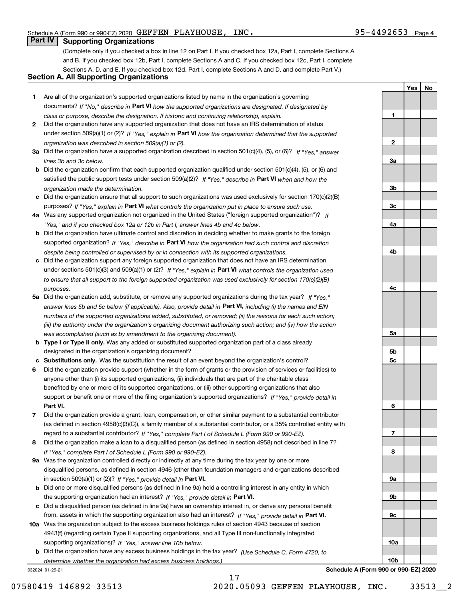**1**

**YesNo**

### **Part IV Supporting Organizations**

(Complete only if you checked a box in line 12 on Part I. If you checked box 12a, Part I, complete Sections A and B. If you checked box 12b, Part I, complete Sections A and C. If you checked box 12c, Part I, complete Sections A, D, and E. If you checked box 12d, Part I, complete Sections A and D, and complete Part V.)

#### **Section A. All Supporting Organizations**

- **1** Are all of the organization's supported organizations listed by name in the organization's governing documents? If "No," describe in **Part VI** how the supported organizations are designated. If designated by *class or purpose, describe the designation. If historic and continuing relationship, explain.*
- **2** Did the organization have any supported organization that does not have an IRS determination of status under section 509(a)(1) or (2)? If "Yes," explain in Part VI how the organization determined that the supported *organization was described in section 509(a)(1) or (2).*
- **3a** Did the organization have a supported organization described in section 501(c)(4), (5), or (6)? If "Yes," answer *lines 3b and 3c below.*
- **b** Did the organization confirm that each supported organization qualified under section 501(c)(4), (5), or (6) and satisfied the public support tests under section 509(a)(2)? If "Yes," describe in **Part VI** when and how the *organization made the determination.*
- **c**Did the organization ensure that all support to such organizations was used exclusively for section 170(c)(2)(B) purposes? If "Yes," explain in **Part VI** what controls the organization put in place to ensure such use.
- **4a***If* Was any supported organization not organized in the United States ("foreign supported organization")? *"Yes," and if you checked box 12a or 12b in Part I, answer lines 4b and 4c below.*
- **b** Did the organization have ultimate control and discretion in deciding whether to make grants to the foreign supported organization? If "Yes," describe in **Part VI** how the organization had such control and discretion *despite being controlled or supervised by or in connection with its supported organizations.*
- **c** Did the organization support any foreign supported organization that does not have an IRS determination under sections 501(c)(3) and 509(a)(1) or (2)? If "Yes," explain in **Part VI** what controls the organization used *to ensure that all support to the foreign supported organization was used exclusively for section 170(c)(2)(B) purposes.*
- **5a** Did the organization add, substitute, or remove any supported organizations during the tax year? If "Yes," answer lines 5b and 5c below (if applicable). Also, provide detail in **Part VI,** including (i) the names and EIN *numbers of the supported organizations added, substituted, or removed; (ii) the reasons for each such action; (iii) the authority under the organization's organizing document authorizing such action; and (iv) how the action was accomplished (such as by amendment to the organizing document).*
- **b** Type I or Type II only. Was any added or substituted supported organization part of a class already designated in the organization's organizing document?
- **cSubstitutions only.**  Was the substitution the result of an event beyond the organization's control?
- **6** Did the organization provide support (whether in the form of grants or the provision of services or facilities) to **Part VI.** *If "Yes," provide detail in* support or benefit one or more of the filing organization's supported organizations? anyone other than (i) its supported organizations, (ii) individuals that are part of the charitable class benefited by one or more of its supported organizations, or (iii) other supporting organizations that also
- **7**Did the organization provide a grant, loan, compensation, or other similar payment to a substantial contributor *If "Yes," complete Part I of Schedule L (Form 990 or 990-EZ).* regard to a substantial contributor? (as defined in section 4958(c)(3)(C)), a family member of a substantial contributor, or a 35% controlled entity with
- **8** Did the organization make a loan to a disqualified person (as defined in section 4958) not described in line 7? *If "Yes," complete Part I of Schedule L (Form 990 or 990-EZ).*
- **9a** Was the organization controlled directly or indirectly at any time during the tax year by one or more in section 509(a)(1) or (2))? If "Yes," *provide detail in* <code>Part VI.</code> disqualified persons, as defined in section 4946 (other than foundation managers and organizations described
- **b** Did one or more disqualified persons (as defined in line 9a) hold a controlling interest in any entity in which the supporting organization had an interest? If "Yes," provide detail in P**art VI**.
- **c**Did a disqualified person (as defined in line 9a) have an ownership interest in, or derive any personal benefit from, assets in which the supporting organization also had an interest? If "Yes," provide detail in P**art VI.**
- **10a** Was the organization subject to the excess business holdings rules of section 4943 because of section supporting organizations)? If "Yes," answer line 10b below. 4943(f) (regarding certain Type II supporting organizations, and all Type III non-functionally integrated
- **b** Did the organization have any excess business holdings in the tax year? (Use Schedule C, Form 4720, to *determine whether the organization had excess business holdings.)*

17

032024 01-25-21

**23a3b3c4a4b4c5a 5b5c6789a 9b9c10a10b**

**Schedule A (Form 990 or 990-EZ) 2020**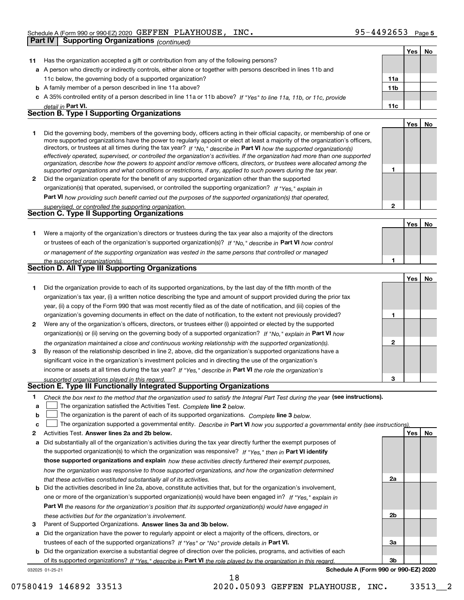|              | Part IV | <b>Supporting Organizations (continued)</b>                                                                                                                                                                                                                |              |     |    |
|--------------|---------|------------------------------------------------------------------------------------------------------------------------------------------------------------------------------------------------------------------------------------------------------------|--------------|-----|----|
|              |         |                                                                                                                                                                                                                                                            |              | Yes | No |
| 11           |         | Has the organization accepted a gift or contribution from any of the following persons?                                                                                                                                                                    |              |     |    |
|              |         | a A person who directly or indirectly controls, either alone or together with persons described in lines 11b and                                                                                                                                           |              |     |    |
|              |         | 11c below, the governing body of a supported organization?                                                                                                                                                                                                 | 11a          |     |    |
|              |         | <b>b</b> A family member of a person described in line 11a above?                                                                                                                                                                                          | 11b          |     |    |
|              |         | c A 35% controlled entity of a person described in line 11a or 11b above? If "Yes" to line 11a, 11b, or 11c, provide                                                                                                                                       |              |     |    |
|              |         | detail in Part VI.                                                                                                                                                                                                                                         | 11c          |     |    |
|              |         | <b>Section B. Type I Supporting Organizations</b>                                                                                                                                                                                                          |              |     |    |
|              |         |                                                                                                                                                                                                                                                            |              | Yes | No |
| 1.           |         | Did the governing body, members of the governing body, officers acting in their official capacity, or membership of one or                                                                                                                                 |              |     |    |
|              |         | more supported organizations have the power to regularly appoint or elect at least a majority of the organization's officers,                                                                                                                              |              |     |    |
|              |         | directors, or trustees at all times during the tax year? If "No," describe in Part VI how the supported organization(s)                                                                                                                                    |              |     |    |
|              |         | effectively operated, supervised, or controlled the organization's activities. If the organization had more than one supported<br>organization, describe how the powers to appoint and/or remove officers, directors, or trustees were allocated among the |              |     |    |
|              |         | supported organizations and what conditions or restrictions, if any, applied to such powers during the tax year.                                                                                                                                           | 1            |     |    |
| $\mathbf{2}$ |         | Did the organization operate for the benefit of any supported organization other than the supported                                                                                                                                                        |              |     |    |
|              |         | organization(s) that operated, supervised, or controlled the supporting organization? If "Yes," explain in                                                                                                                                                 |              |     |    |
|              |         | <b>Part VI</b> how providing such benefit carried out the purposes of the supported organization(s) that operated,                                                                                                                                         |              |     |    |
|              |         | supervised, or controlled the supporting organization.                                                                                                                                                                                                     | $\mathbf{2}$ |     |    |
|              |         | <b>Section C. Type II Supporting Organizations</b>                                                                                                                                                                                                         |              |     |    |
|              |         |                                                                                                                                                                                                                                                            |              | Yes | No |
| 1.           |         | Were a majority of the organization's directors or trustees during the tax year also a majority of the directors                                                                                                                                           |              |     |    |
|              |         | or trustees of each of the organization's supported organization(s)? If "No," describe in Part VI how control                                                                                                                                              |              |     |    |
|              |         | or management of the supporting organization was vested in the same persons that controlled or managed                                                                                                                                                     |              |     |    |
|              |         | the supported organization(s).                                                                                                                                                                                                                             | 1            |     |    |
|              |         | Section D. All Type III Supporting Organizations                                                                                                                                                                                                           |              |     |    |
|              |         |                                                                                                                                                                                                                                                            |              | Yes | No |
| 1.           |         | Did the organization provide to each of its supported organizations, by the last day of the fifth month of the                                                                                                                                             |              |     |    |
|              |         | organization's tax year, (i) a written notice describing the type and amount of support provided during the prior tax                                                                                                                                      |              |     |    |
|              |         | year, (ii) a copy of the Form 990 that was most recently filed as of the date of notification, and (iii) copies of the                                                                                                                                     |              |     |    |
|              |         | organization's governing documents in effect on the date of notification, to the extent not previously provided?                                                                                                                                           | 1            |     |    |
| 2            |         | Were any of the organization's officers, directors, or trustees either (i) appointed or elected by the supported                                                                                                                                           |              |     |    |
|              |         | organization(s) or (ii) serving on the governing body of a supported organization? If "No," explain in Part VI how                                                                                                                                         |              |     |    |
|              |         | the organization maintained a close and continuous working relationship with the supported organization(s).                                                                                                                                                | $\mathbf{2}$ |     |    |
| 3            |         | By reason of the relationship described in line 2, above, did the organization's supported organizations have a                                                                                                                                            |              |     |    |
|              |         | significant voice in the organization's investment policies and in directing the use of the organization's                                                                                                                                                 |              |     |    |
|              |         | income or assets at all times during the tax year? If "Yes," describe in Part VI the role the organization's                                                                                                                                               |              |     |    |
|              |         | supported organizations played in this regard.                                                                                                                                                                                                             | 3            |     |    |
|              |         | Section E. Type III Functionally Integrated Supporting Organizations                                                                                                                                                                                       |              |     |    |
| 1.           |         | Check the box next to the method that the organization used to satisfy the Integral Part Test during the year (see instructions).                                                                                                                          |              |     |    |
| a            |         | The organization satisfied the Activities Test. Complete line 2 below.                                                                                                                                                                                     |              |     |    |
| b            |         | The organization is the parent of each of its supported organizations. Complete line 3 below.                                                                                                                                                              |              |     |    |
| c            |         | The organization supported a governmental entity. Describe in Part VI how you supported a governmental entity (see instructions)                                                                                                                           |              |     |    |
| 2            |         | Activities Test. Answer lines 2a and 2b below.                                                                                                                                                                                                             |              | Yes | No |
| а            |         | Did substantially all of the organization's activities during the tax year directly further the exempt purposes of                                                                                                                                         |              |     |    |
|              |         | the supported organization(s) to which the organization was responsive? If "Yes," then in Part VI identify                                                                                                                                                 |              |     |    |
|              |         | those supported organizations and explain how these activities directly furthered their exempt purposes,                                                                                                                                                   |              |     |    |
|              |         | how the organization was responsive to those supported organizations, and how the organization determined                                                                                                                                                  |              |     |    |
|              |         | that these activities constituted substantially all of its activities.                                                                                                                                                                                     | 2a           |     |    |

- **b** Did the activities described in line 2a, above, constitute activities that, but for the organization's involvement, **Part VI**  *the reasons for the organization's position that its supported organization(s) would have engaged in* one or more of the organization's supported organization(s) would have been engaged in? If "Yes," e*xplain in these activities but for the organization's involvement.*
- **3** Parent of Supported Organizations. Answer lines 3a and 3b below.

**a** Did the organization have the power to regularly appoint or elect a majority of the officers, directors, or trustees of each of the supported organizations? If "Yes" or "No" provide details in **Part VI.** 

**b** Did the organization exercise a substantial degree of direction over the policies, programs, and activities of each of its supported organizations? If "Yes," describe in Part VI the role played by the organization in this regard.

18

032025 01-25-21

**Schedule A (Form 990 or 990-EZ) 2020**

**2b**

**3a**

**3b**

07580419 146892 33513 2020.05093 GEFFEN PLAYHOUSE, INC. 33513 2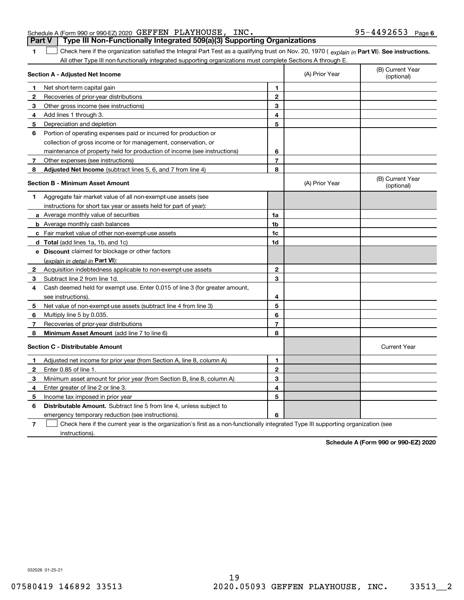#### Schedule A (Form 990 or 990-EZ) 2020 Page GEFFEN PLAYHOUSE, INC. 95-4492653 **Part V Type III Non-Functionally Integrated 509(a)(3) Supporting Organizations**

**1**

1 Check here if the organization satisfied the Integral Part Test as a qualifying trust on Nov. 20, 1970 (explain in Part VI). See instructions. All other Type III non-functionally integrated supporting organizations must complete Sections A through E.

|              | Section A - Adjusted Net Income                                                                                                   |                | (A) Prior Year | (B) Current Year<br>(optional) |
|--------------|-----------------------------------------------------------------------------------------------------------------------------------|----------------|----------------|--------------------------------|
| 1            | Net short-term capital gain                                                                                                       | 1              |                |                                |
| 2            | Recoveries of prior-year distributions                                                                                            | $\overline{2}$ |                |                                |
| 3            | Other gross income (see instructions)                                                                                             | 3              |                |                                |
| 4            | Add lines 1 through 3.                                                                                                            | 4              |                |                                |
| 5            | Depreciation and depletion                                                                                                        | 5              |                |                                |
| 6            | Portion of operating expenses paid or incurred for production or                                                                  |                |                |                                |
|              | collection of gross income or for management, conservation, or                                                                    |                |                |                                |
|              | maintenance of property held for production of income (see instructions)                                                          | 6              |                |                                |
| 7            | Other expenses (see instructions)                                                                                                 | $\overline{7}$ |                |                                |
| 8            | Adjusted Net Income (subtract lines 5, 6, and 7 from line 4)                                                                      | 8              |                |                                |
|              | <b>Section B - Minimum Asset Amount</b>                                                                                           |                | (A) Prior Year | (B) Current Year<br>(optional) |
| 1            | Aggregate fair market value of all non-exempt-use assets (see                                                                     |                |                |                                |
|              | instructions for short tax year or assets held for part of year):                                                                 |                |                |                                |
|              | <b>a</b> Average monthly value of securities                                                                                      | 1a             |                |                                |
|              | <b>b</b> Average monthly cash balances                                                                                            | 1b             |                |                                |
|              | c Fair market value of other non-exempt-use assets                                                                                | 1c             |                |                                |
|              | d Total (add lines 1a, 1b, and 1c)                                                                                                | 1d             |                |                                |
|              | e Discount claimed for blockage or other factors                                                                                  |                |                |                                |
|              | (explain in detail in Part VI):                                                                                                   |                |                |                                |
| $\mathbf{2}$ | Acquisition indebtedness applicable to non-exempt-use assets                                                                      | $\mathbf{2}$   |                |                                |
| 3            | Subtract line 2 from line 1d.                                                                                                     | 3              |                |                                |
| 4            | Cash deemed held for exempt use. Enter 0.015 of line 3 (for greater amount,                                                       |                |                |                                |
|              | see instructions).                                                                                                                | 4              |                |                                |
| 5            | Net value of non-exempt-use assets (subtract line 4 from line 3)                                                                  | 5              |                |                                |
| 6            | Multiply line 5 by 0.035.                                                                                                         | 6              |                |                                |
| 7            | Recoveries of prior-year distributions                                                                                            | $\overline{7}$ |                |                                |
| 8            | Minimum Asset Amount (add line 7 to line 6)                                                                                       | 8              |                |                                |
|              | <b>Section C - Distributable Amount</b>                                                                                           |                |                | <b>Current Year</b>            |
| 1            | Adjusted net income for prior year (from Section A, line 8, column A)                                                             | $\mathbf{1}$   |                |                                |
| 2            | Enter 0.85 of line 1.                                                                                                             | $\overline{2}$ |                |                                |
| з            | Minimum asset amount for prior year (from Section B, line 8, column A)                                                            | 3              |                |                                |
| 4            | Enter greater of line 2 or line 3.                                                                                                | 4              |                |                                |
| 5            | Income tax imposed in prior year                                                                                                  | 5              |                |                                |
| 6            | <b>Distributable Amount.</b> Subtract line 5 from line 4, unless subject to                                                       |                |                |                                |
|              | emergency temporary reduction (see instructions).                                                                                 | 6              |                |                                |
| 7            | Check here if the current year is the organization's first as a non-functionally integrated Type III supporting organization (see |                |                |                                |

instructions).

**Schedule A (Form 990 or 990-EZ) 2020**

032026 01-25-21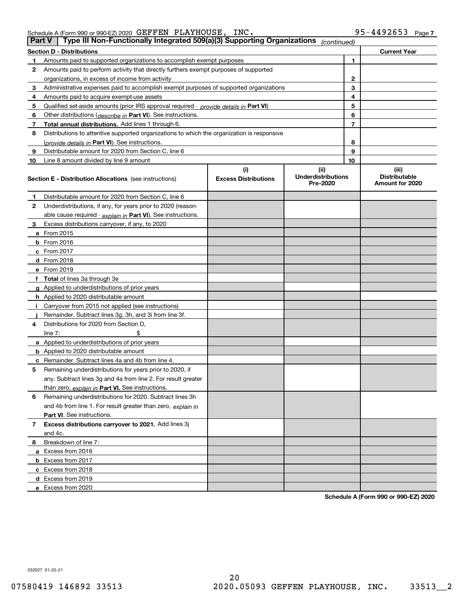Schedule A (Form 990 or 990-EZ) 2020 Page GEFFEN PLAYHOUSE, INC. 95-4492653

|    | Type III Non-Functionally Integrated 509(a)(3) Supporting Organizations<br>∣ Part V ∣      |                             | (continued)                           |    |                                         |
|----|--------------------------------------------------------------------------------------------|-----------------------------|---------------------------------------|----|-----------------------------------------|
|    | Section D - Distributions                                                                  |                             |                                       |    | <b>Current Year</b>                     |
| 1  | Amounts paid to supported organizations to accomplish exempt purposes                      | 1                           |                                       |    |                                         |
| 2  | Amounts paid to perform activity that directly furthers exempt purposes of supported       |                             |                                       |    |                                         |
|    | organizations, in excess of income from activity                                           |                             | 2                                     |    |                                         |
| 3  | Administrative expenses paid to accomplish exempt purposes of supported organizations      |                             | 3                                     |    |                                         |
| 4  | Amounts paid to acquire exempt-use assets                                                  |                             |                                       | 4  |                                         |
| 5  | Qualified set-aside amounts (prior IRS approval required - provide details in Part VI)     |                             |                                       | 5  |                                         |
| 6  | Other distributions (describe in Part VI). See instructions.                               |                             |                                       | 6  |                                         |
| 7  | Total annual distributions. Add lines 1 through 6.                                         |                             |                                       | 7  |                                         |
| 8  | Distributions to attentive supported organizations to which the organization is responsive |                             |                                       |    |                                         |
|    | (provide details in Part VI). See instructions.                                            |                             |                                       | 8  |                                         |
| 9  | Distributable amount for 2020 from Section C, line 6                                       |                             |                                       | 9  |                                         |
| 10 | Line 8 amount divided by line 9 amount                                                     |                             |                                       | 10 |                                         |
|    |                                                                                            | (i)                         | (ii)                                  |    | (iii)                                   |
|    | <b>Section E - Distribution Allocations</b> (see instructions)                             | <b>Excess Distributions</b> | <b>Underdistributions</b><br>Pre-2020 |    | <b>Distributable</b><br>Amount for 2020 |
| 1  | Distributable amount for 2020 from Section C, line 6                                       |                             |                                       |    |                                         |
| 2  | Underdistributions, if any, for years prior to 2020 (reason-                               |                             |                                       |    |                                         |
|    | able cause required - explain in Part VI). See instructions.                               |                             |                                       |    |                                         |
| 3  | Excess distributions carryover, if any, to 2020                                            |                             |                                       |    |                                         |
|    | a From 2015                                                                                |                             |                                       |    |                                         |
|    | <b>b</b> From 2016                                                                         |                             |                                       |    |                                         |
|    | c From 2017                                                                                |                             |                                       |    |                                         |
|    | d From 2018                                                                                |                             |                                       |    |                                         |
|    | e From 2019                                                                                |                             |                                       |    |                                         |
|    | f Total of lines 3a through 3e                                                             |                             |                                       |    |                                         |
|    | g Applied to underdistributions of prior years                                             |                             |                                       |    |                                         |
|    | <b>h</b> Applied to 2020 distributable amount                                              |                             |                                       |    |                                         |
|    | Carryover from 2015 not applied (see instructions)                                         |                             |                                       |    |                                         |
|    | Remainder. Subtract lines 3g, 3h, and 3i from line 3f.                                     |                             |                                       |    |                                         |
| 4  | Distributions for 2020 from Section D,                                                     |                             |                                       |    |                                         |
|    | line $7:$                                                                                  |                             |                                       |    |                                         |
|    | a Applied to underdistributions of prior years                                             |                             |                                       |    |                                         |
|    | <b>b</b> Applied to 2020 distributable amount                                              |                             |                                       |    |                                         |
|    | c Remainder. Subtract lines 4a and 4b from line 4.                                         |                             |                                       |    |                                         |
| 5  | Remaining underdistributions for years prior to 2020, if                                   |                             |                                       |    |                                         |
|    | any. Subtract lines 3g and 4a from line 2. For result greater                              |                             |                                       |    |                                         |
|    | than zero, explain in Part VI. See instructions.                                           |                             |                                       |    |                                         |
| 6  | Remaining underdistributions for 2020. Subtract lines 3h                                   |                             |                                       |    |                                         |
|    | and 4b from line 1. For result greater than zero, explain in                               |                             |                                       |    |                                         |
|    | Part VI. See instructions.                                                                 |                             |                                       |    |                                         |
| 7  | Excess distributions carryover to 2021. Add lines 3j                                       |                             |                                       |    |                                         |
|    | and 4c.                                                                                    |                             |                                       |    |                                         |
| 8  | Breakdown of line 7:                                                                       |                             |                                       |    |                                         |
|    | a Excess from 2016                                                                         |                             |                                       |    |                                         |
|    | <b>b</b> Excess from 2017                                                                  |                             |                                       |    |                                         |
|    | c Excess from 2018                                                                         |                             |                                       |    |                                         |
|    | d Excess from 2019                                                                         |                             |                                       |    |                                         |
|    | e Excess from 2020                                                                         |                             |                                       |    |                                         |

**Schedule A (Form 990 or 990-EZ) 2020**

032027 01-25-21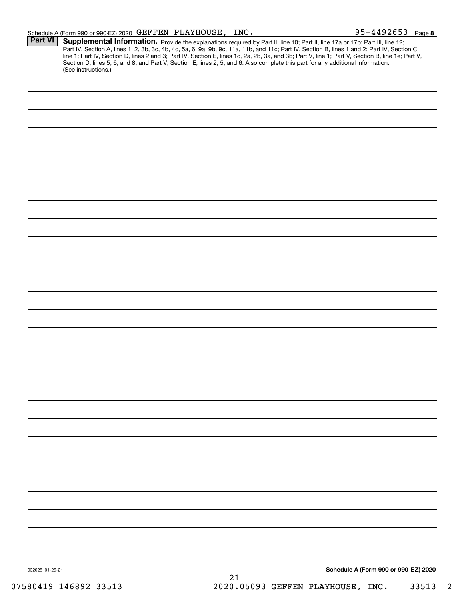| Schedule A (Form 990 or 990-EZ) 2020 $\rm \ GHzFFR$ $\rm \ PAYHOUSE$ , |  | INC. | 95-4492653 | Page 8 |
|------------------------------------------------------------------------|--|------|------------|--------|
|                                                                        |  |      |            |        |

|                 | Supplemental Information. Provide the explanations required by Part II, line 10; Part II, line 17a or 17b; Part III, line 12;<br>Part IV, Section A, lines 1, 2, 3b, 3c, 4b, 4c, 5a, 6, 9a, 9b, 9c, 11a, 11b, and 11c; Part IV, Section B, lines 1 and 2; Part IV, Section C,<br>line 1; Part IV, Section D, lines 2 and 3; Part IV, Section E, lines 1c, 2a, 2b, 3a, and 3b; Part V, line 1; Part V, Section B, line 1e; Part V,<br>Section D, lines 5, 6, and 8; and Part V, Section E, lines 2, 5, and 6. Also complete this part for any additional information.<br>(See instructions.) |
|-----------------|---------------------------------------------------------------------------------------------------------------------------------------------------------------------------------------------------------------------------------------------------------------------------------------------------------------------------------------------------------------------------------------------------------------------------------------------------------------------------------------------------------------------------------------------------------------------------------------------|
|                 |                                                                                                                                                                                                                                                                                                                                                                                                                                                                                                                                                                                             |
|                 |                                                                                                                                                                                                                                                                                                                                                                                                                                                                                                                                                                                             |
|                 |                                                                                                                                                                                                                                                                                                                                                                                                                                                                                                                                                                                             |
|                 |                                                                                                                                                                                                                                                                                                                                                                                                                                                                                                                                                                                             |
|                 |                                                                                                                                                                                                                                                                                                                                                                                                                                                                                                                                                                                             |
|                 |                                                                                                                                                                                                                                                                                                                                                                                                                                                                                                                                                                                             |
|                 |                                                                                                                                                                                                                                                                                                                                                                                                                                                                                                                                                                                             |
|                 |                                                                                                                                                                                                                                                                                                                                                                                                                                                                                                                                                                                             |
|                 |                                                                                                                                                                                                                                                                                                                                                                                                                                                                                                                                                                                             |
|                 |                                                                                                                                                                                                                                                                                                                                                                                                                                                                                                                                                                                             |
|                 |                                                                                                                                                                                                                                                                                                                                                                                                                                                                                                                                                                                             |
|                 |                                                                                                                                                                                                                                                                                                                                                                                                                                                                                                                                                                                             |
|                 |                                                                                                                                                                                                                                                                                                                                                                                                                                                                                                                                                                                             |
|                 |                                                                                                                                                                                                                                                                                                                                                                                                                                                                                                                                                                                             |
|                 |                                                                                                                                                                                                                                                                                                                                                                                                                                                                                                                                                                                             |
|                 |                                                                                                                                                                                                                                                                                                                                                                                                                                                                                                                                                                                             |
|                 |                                                                                                                                                                                                                                                                                                                                                                                                                                                                                                                                                                                             |
|                 |                                                                                                                                                                                                                                                                                                                                                                                                                                                                                                                                                                                             |
|                 |                                                                                                                                                                                                                                                                                                                                                                                                                                                                                                                                                                                             |
|                 |                                                                                                                                                                                                                                                                                                                                                                                                                                                                                                                                                                                             |
|                 |                                                                                                                                                                                                                                                                                                                                                                                                                                                                                                                                                                                             |
|                 |                                                                                                                                                                                                                                                                                                                                                                                                                                                                                                                                                                                             |
|                 |                                                                                                                                                                                                                                                                                                                                                                                                                                                                                                                                                                                             |
|                 |                                                                                                                                                                                                                                                                                                                                                                                                                                                                                                                                                                                             |
|                 |                                                                                                                                                                                                                                                                                                                                                                                                                                                                                                                                                                                             |
|                 |                                                                                                                                                                                                                                                                                                                                                                                                                                                                                                                                                                                             |
|                 |                                                                                                                                                                                                                                                                                                                                                                                                                                                                                                                                                                                             |
|                 |                                                                                                                                                                                                                                                                                                                                                                                                                                                                                                                                                                                             |
|                 |                                                                                                                                                                                                                                                                                                                                                                                                                                                                                                                                                                                             |
|                 |                                                                                                                                                                                                                                                                                                                                                                                                                                                                                                                                                                                             |
|                 |                                                                                                                                                                                                                                                                                                                                                                                                                                                                                                                                                                                             |
|                 |                                                                                                                                                                                                                                                                                                                                                                                                                                                                                                                                                                                             |
|                 |                                                                                                                                                                                                                                                                                                                                                                                                                                                                                                                                                                                             |
|                 |                                                                                                                                                                                                                                                                                                                                                                                                                                                                                                                                                                                             |
|                 |                                                                                                                                                                                                                                                                                                                                                                                                                                                                                                                                                                                             |
|                 |                                                                                                                                                                                                                                                                                                                                                                                                                                                                                                                                                                                             |
|                 |                                                                                                                                                                                                                                                                                                                                                                                                                                                                                                                                                                                             |
|                 |                                                                                                                                                                                                                                                                                                                                                                                                                                                                                                                                                                                             |
|                 |                                                                                                                                                                                                                                                                                                                                                                                                                                                                                                                                                                                             |
|                 |                                                                                                                                                                                                                                                                                                                                                                                                                                                                                                                                                                                             |
|                 |                                                                                                                                                                                                                                                                                                                                                                                                                                                                                                                                                                                             |
|                 |                                                                                                                                                                                                                                                                                                                                                                                                                                                                                                                                                                                             |
|                 |                                                                                                                                                                                                                                                                                                                                                                                                                                                                                                                                                                                             |
| 032028 01-25-21 | Schedule A (Form 990 or 990-EZ) 2020                                                                                                                                                                                                                                                                                                                                                                                                                                                                                                                                                        |
|                 | 21                                                                                                                                                                                                                                                                                                                                                                                                                                                                                                                                                                                          |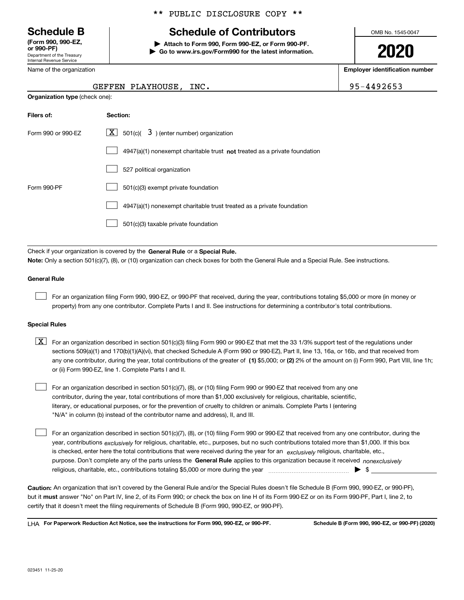Department of the Treasury Internal Revenue Service **(Form 990, 990-EZ, or 990-PF)**

Name of the organization

**Organization type** (check one):

#### \*\* PUBLIC DISCLOSURE COPY \*\*

## **Schedule B Schedule of Contributors**

**| Attach to Form 990, Form 990-EZ, or Form 990-PF. | Go to www.irs.gov/Form990 for the latest information.** OMB No. 1545-0047

**2020**

**Employer identification number**

GEFFEN PLAYHOUSE, INC. 95-4492653

| Filers of:         | Section:                                                                           |
|--------------------|------------------------------------------------------------------------------------|
| Form 990 or 990-EZ | $ \mathbf{X} $ 501(c)( 3) (enter number) organization                              |
|                    | $4947(a)(1)$ nonexempt charitable trust <b>not</b> treated as a private foundation |
|                    | 527 political organization                                                         |
| Form 990-PF        | 501(c)(3) exempt private foundation                                                |
|                    | 4947(a)(1) nonexempt charitable trust treated as a private foundation              |
|                    | 501(c)(3) taxable private foundation                                               |
|                    |                                                                                    |

Check if your organization is covered by the **General Rule** or a **Special Rule. Note:**  Only a section 501(c)(7), (8), or (10) organization can check boxes for both the General Rule and a Special Rule. See instructions.

#### **General Rule**

 $\mathcal{L}^{\text{max}}$ 

For an organization filing Form 990, 990-EZ, or 990-PF that received, during the year, contributions totaling \$5,000 or more (in money or property) from any one contributor. Complete Parts I and II. See instructions for determining a contributor's total contributions.

#### **Special Rules**

any one contributor, during the year, total contributions of the greater of  $\,$  (1) \$5,000; or **(2)** 2% of the amount on (i) Form 990, Part VIII, line 1h;  $\boxed{\textbf{X}}$  For an organization described in section 501(c)(3) filing Form 990 or 990-EZ that met the 33 1/3% support test of the regulations under sections 509(a)(1) and 170(b)(1)(A)(vi), that checked Schedule A (Form 990 or 990-EZ), Part II, line 13, 16a, or 16b, and that received from or (ii) Form 990-EZ, line 1. Complete Parts I and II.

For an organization described in section 501(c)(7), (8), or (10) filing Form 990 or 990-EZ that received from any one contributor, during the year, total contributions of more than \$1,000 exclusively for religious, charitable, scientific, literary, or educational purposes, or for the prevention of cruelty to children or animals. Complete Parts I (entering "N/A" in column (b) instead of the contributor name and address), II, and III.  $\mathcal{L}^{\text{max}}$ 

purpose. Don't complete any of the parts unless the **General Rule** applies to this organization because it received *nonexclusively* year, contributions <sub>exclusively</sub> for religious, charitable, etc., purposes, but no such contributions totaled more than \$1,000. If this box is checked, enter here the total contributions that were received during the year for an  $\;$ exclusively religious, charitable, etc., For an organization described in section 501(c)(7), (8), or (10) filing Form 990 or 990-EZ that received from any one contributor, during the religious, charitable, etc., contributions totaling \$5,000 or more during the year  $\Box$ — $\Box$   $\Box$  $\mathcal{L}^{\text{max}}$ 

**Caution:**  An organization that isn't covered by the General Rule and/or the Special Rules doesn't file Schedule B (Form 990, 990-EZ, or 990-PF),  **must** but it answer "No" on Part IV, line 2, of its Form 990; or check the box on line H of its Form 990-EZ or on its Form 990-PF, Part I, line 2, to certify that it doesn't meet the filing requirements of Schedule B (Form 990, 990-EZ, or 990-PF).

**For Paperwork Reduction Act Notice, see the instructions for Form 990, 990-EZ, or 990-PF. Schedule B (Form 990, 990-EZ, or 990-PF) (2020)** LHA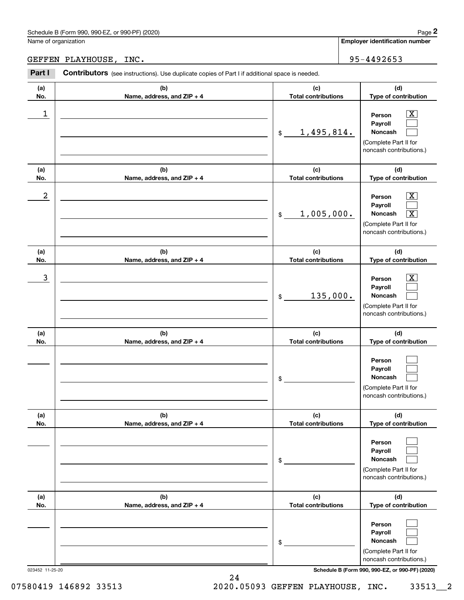## GEFFEN PLAYHOUSE, INC. 2008 2010 12:00 12:00 13:00 14:00 150 14:00 150 14:00 150 160 160 160 160 160 160 160 1

|                      | Schedule B (Form 990, 990-EZ, or 990-PF) (2020)                                                |                                   | Page 2                                                                                                                                        |
|----------------------|------------------------------------------------------------------------------------------------|-----------------------------------|-----------------------------------------------------------------------------------------------------------------------------------------------|
| Name of organization |                                                                                                |                                   | <b>Employer identification number</b>                                                                                                         |
|                      | GEFFEN PLAYHOUSE, INC.                                                                         |                                   | 95-4492653                                                                                                                                    |
| Part I               | Contributors (see instructions). Use duplicate copies of Part I if additional space is needed. |                                   |                                                                                                                                               |
| (a)<br>No.           | (b)<br>Name, address, and ZIP + 4                                                              | (c)<br><b>Total contributions</b> | (d)<br>Type of contribution                                                                                                                   |
| 1                    |                                                                                                | 1,495,814.<br>\$                  | $\overline{\mathbf{x}}$<br>Person<br>Payroll<br>Noncash<br>(Complete Part II for<br>noncash contributions.)                                   |
| (a)<br>No.           | (b)<br>Name, address, and ZIP + 4                                                              | (c)<br><b>Total contributions</b> | (d)<br>Type of contribution                                                                                                                   |
| $\boldsymbol{2}$     |                                                                                                | 1,005,000.<br>$$\mathbb{S}$$      | $\overline{\mathbf{x}}$<br>Person<br>Payroll<br>$\overline{\mathbf{x}}$<br><b>Noncash</b><br>(Complete Part II for<br>noncash contributions.) |
| (a)<br>No.           | (b)<br>Name, address, and ZIP + 4                                                              | (c)<br><b>Total contributions</b> | (d)<br>Type of contribution                                                                                                                   |
| 3                    |                                                                                                | 135,000.<br>\$                    | $\mathbf{X}$<br>Person<br>Payroll<br><b>Noncash</b><br>(Complete Part II for<br>noncash contributions.)                                       |
| (a)<br>No.           | (b)<br>Name, address, and ZIP + 4                                                              | (c)<br><b>Total contributions</b> | (d)<br>Type of contribution                                                                                                                   |
|                      |                                                                                                | \$                                | Person<br>Payroll<br>Noncash<br>(Complete Part II for<br>noncash contributions.)                                                              |
| (a)<br>No.           | (b)<br>Name, address, and ZIP + 4                                                              | (c)<br><b>Total contributions</b> | (d)<br>Type of contribution                                                                                                                   |
|                      |                                                                                                | \$                                | Person<br>Payroll<br>Noncash<br>(Complete Part II for<br>noncash contributions.)                                                              |
| (a)<br>No.           | (b)<br>Name, address, and ZIP + 4                                                              | (c)<br><b>Total contributions</b> | (d)<br>Type of contribution                                                                                                                   |
| 023452 11-25-20      |                                                                                                | \$                                | Person<br>Payroll<br>Noncash<br>(Complete Part II for<br>noncash contributions.)<br>Schedule B (Form 990, 990-EZ, or 990-PF) (2020)           |

24 07580419 146892 33513 2020.05093 GEFFEN PLAYHOUSE, INC. 33513 2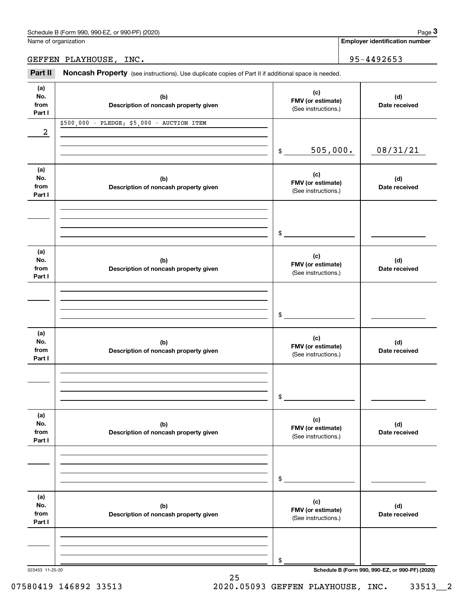**Employer identification number**

### GEFFEN PLAYHOUSE, INC. 95-4492653

(see instructions). Use duplicate copies of Part II if additional space is needed.<br> **3Part II Noncash Property** (see instructions). Use duplicate copies of Part II if additional space is needed.<br> **3Part II Noncash Prop** 

| (a)             |                                            | (c)                                      |                                                 |
|-----------------|--------------------------------------------|------------------------------------------|-------------------------------------------------|
| No.             | (b)                                        | FMV (or estimate)                        | (d)                                             |
| from            | Description of noncash property given      | (See instructions.)                      | Date received                                   |
| Part I          |                                            |                                          |                                                 |
|                 | \$500,000 - PLEDGE; \$5,000 - AUCTION ITEM |                                          |                                                 |
| 2               |                                            |                                          |                                                 |
|                 |                                            |                                          |                                                 |
|                 |                                            | 505,000.<br>$$\circ$$                    | 08/31/21                                        |
|                 |                                            |                                          |                                                 |
| (a)             |                                            | (c)                                      |                                                 |
| No.             | (b)                                        | FMV (or estimate)                        | (d)                                             |
| from            | Description of noncash property given      | (See instructions.)                      | Date received                                   |
| Part I          |                                            |                                          |                                                 |
|                 |                                            |                                          |                                                 |
|                 |                                            |                                          |                                                 |
|                 |                                            |                                          |                                                 |
|                 |                                            | $\sim$                                   |                                                 |
|                 |                                            |                                          |                                                 |
| (a)             |                                            |                                          |                                                 |
| No.             | (b)                                        | (c)                                      | (d)                                             |
| from            | Description of noncash property given      | FMV (or estimate)<br>(See instructions.) | Date received                                   |
| Part I          |                                            |                                          |                                                 |
|                 |                                            |                                          |                                                 |
|                 |                                            |                                          |                                                 |
|                 |                                            |                                          |                                                 |
|                 |                                            | $\sim$                                   |                                                 |
|                 |                                            |                                          |                                                 |
| (a)             |                                            |                                          |                                                 |
| No.             | (b)                                        | (c)                                      | (d)                                             |
| from            | Description of noncash property given      | FMV (or estimate)                        | Date received                                   |
| Part I          |                                            | (See instructions.)                      |                                                 |
|                 |                                            |                                          |                                                 |
|                 |                                            |                                          |                                                 |
|                 |                                            |                                          |                                                 |
|                 |                                            | \$                                       |                                                 |
|                 |                                            |                                          |                                                 |
| (a)             |                                            |                                          |                                                 |
| No.             | (b)                                        | (c)                                      | (d)                                             |
| from            | Description of noncash property given      | FMV (or estimate)                        | Date received                                   |
| Part I          |                                            | (See instructions.)                      |                                                 |
|                 |                                            |                                          |                                                 |
|                 |                                            |                                          |                                                 |
|                 |                                            |                                          |                                                 |
|                 |                                            | \$                                       |                                                 |
|                 |                                            |                                          |                                                 |
| (a)             |                                            |                                          |                                                 |
| No.             | (b)                                        | (c)                                      | (d)                                             |
| from            | Description of noncash property given      | FMV (or estimate)                        | Date received                                   |
| Part I          |                                            | (See instructions.)                      |                                                 |
|                 |                                            |                                          |                                                 |
|                 |                                            |                                          |                                                 |
|                 |                                            |                                          |                                                 |
|                 |                                            | \$                                       |                                                 |
| 023453 11-25-20 |                                            |                                          | Schedule B (Form 990, 990-EZ, or 990-PF) (2020) |
|                 |                                            |                                          |                                                 |

25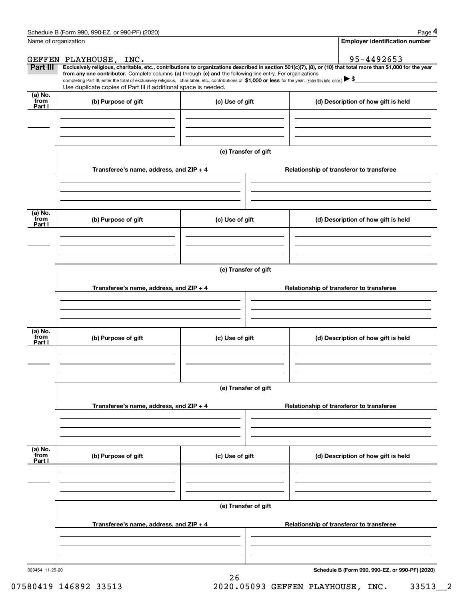|                             | Schedule B (Form 990, 990-EZ, or 990-PF) (2020)                                                                                                                                                                                                                            |                      |                                          | Page 4                                          |  |  |  |  |
|-----------------------------|----------------------------------------------------------------------------------------------------------------------------------------------------------------------------------------------------------------------------------------------------------------------------|----------------------|------------------------------------------|-------------------------------------------------|--|--|--|--|
| Name of organization        |                                                                                                                                                                                                                                                                            |                      |                                          | <b>Employer identification number</b>           |  |  |  |  |
|                             | GEFFEN PLAYHOUSE, INC.                                                                                                                                                                                                                                                     |                      |                                          | 95-4492653                                      |  |  |  |  |
| <b>Part III</b>             | Exclusively religious, charitable, etc., contributions to organizations described in section 501(c)(7), (8), or (10) that total more than \$1,000 for the year                                                                                                             |                      |                                          |                                                 |  |  |  |  |
|                             | from any one contributor. Complete columns (a) through (e) and the following line entry. For organizations<br>completing Part III, enter the total of exclusively religious, charitable, etc., contributions of \$1,000 or less for the year. (Enter this info. once.) \\$ |                      |                                          |                                                 |  |  |  |  |
|                             | Use duplicate copies of Part III if additional space is needed.                                                                                                                                                                                                            |                      |                                          |                                                 |  |  |  |  |
| $(a)$ No.<br>from<br>Part I | (b) Purpose of gift                                                                                                                                                                                                                                                        | (c) Use of gift      |                                          | (d) Description of how gift is held             |  |  |  |  |
|                             |                                                                                                                                                                                                                                                                            |                      |                                          |                                                 |  |  |  |  |
|                             |                                                                                                                                                                                                                                                                            |                      |                                          |                                                 |  |  |  |  |
|                             |                                                                                                                                                                                                                                                                            | (e) Transfer of gift |                                          |                                                 |  |  |  |  |
|                             | Transferee's name, address, and ZIP + 4                                                                                                                                                                                                                                    |                      |                                          | Relationship of transferor to transferee        |  |  |  |  |
|                             |                                                                                                                                                                                                                                                                            |                      |                                          |                                                 |  |  |  |  |
| (a) No.<br>from<br>Part I   | (b) Purpose of gift                                                                                                                                                                                                                                                        | (c) Use of gift      |                                          | (d) Description of how gift is held             |  |  |  |  |
|                             |                                                                                                                                                                                                                                                                            |                      |                                          |                                                 |  |  |  |  |
|                             |                                                                                                                                                                                                                                                                            |                      |                                          |                                                 |  |  |  |  |
|                             | Transferee's name, address, and ZIP + 4                                                                                                                                                                                                                                    | (e) Transfer of gift | Relationship of transferor to transferee |                                                 |  |  |  |  |
|                             |                                                                                                                                                                                                                                                                            |                      |                                          |                                                 |  |  |  |  |
|                             |                                                                                                                                                                                                                                                                            |                      |                                          |                                                 |  |  |  |  |
| (a) No.<br>from<br>Part I   | (b) Purpose of gift<br>(c) Use of gift                                                                                                                                                                                                                                     |                      |                                          | (d) Description of how gift is held             |  |  |  |  |
|                             |                                                                                                                                                                                                                                                                            |                      |                                          |                                                 |  |  |  |  |
|                             | (e) Transfer of gift                                                                                                                                                                                                                                                       |                      |                                          |                                                 |  |  |  |  |
|                             | Transferee's name, address, and ZIP + 4                                                                                                                                                                                                                                    |                      | Relationship of transferor to transferee |                                                 |  |  |  |  |
|                             |                                                                                                                                                                                                                                                                            |                      |                                          |                                                 |  |  |  |  |
|                             |                                                                                                                                                                                                                                                                            |                      |                                          |                                                 |  |  |  |  |
| (a) No.<br>from<br>Part I   | (b) Purpose of gift                                                                                                                                                                                                                                                        | (c) Use of gift      |                                          | (d) Description of how gift is held             |  |  |  |  |
|                             |                                                                                                                                                                                                                                                                            |                      |                                          |                                                 |  |  |  |  |
|                             | (e) Transfer of gift                                                                                                                                                                                                                                                       |                      |                                          |                                                 |  |  |  |  |
|                             |                                                                                                                                                                                                                                                                            |                      |                                          |                                                 |  |  |  |  |
|                             | Transferee's name, address, and ZIP + 4                                                                                                                                                                                                                                    |                      |                                          | Relationship of transferor to transferee        |  |  |  |  |
|                             |                                                                                                                                                                                                                                                                            |                      |                                          |                                                 |  |  |  |  |
| 023454 11-25-20             |                                                                                                                                                                                                                                                                            |                      |                                          | Schedule B (Form 990, 990-EZ, or 990-PF) (2020) |  |  |  |  |

26

**Schedule B (Form 990, 990-EZ, or 990-PF) (2020)**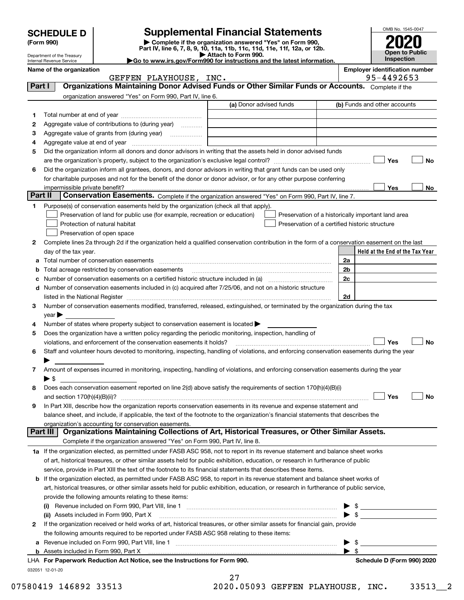| Complete if the organization answered "Yes" on Form 990,<br>(Form 990)<br>Part IV, line 6, 7, 8, 9, 10, 11a, 11b, 11c, 11d, 11e, 11f, 12a, or 12b.<br>Attach to Form 990.<br>Department of the Treasury<br>Go to www.irs.gov/Form990 for instructions and the latest information.<br>Internal Revenue Service<br><b>Employer identification number</b><br>Name of the organization<br>95-4492653<br>GEFFEN PLAYHOUSE, INC.<br>Organizations Maintaining Donor Advised Funds or Other Similar Funds or Accounts. Complete if the<br>Part I<br>organization answered "Yes" on Form 990, Part IV, line 6.<br>(a) Donor advised funds<br>(b) Funds and other accounts<br>1<br>Aggregate value of contributions to (during year)<br>2<br>з<br>Aggregate value of grants from (during year) <i>mimimimimial</i><br>4<br>Did the organization inform all donors and donor advisors in writing that the assets held in donor advised funds<br>5<br>Yes<br>Did the organization inform all grantees, donors, and donor advisors in writing that grant funds can be used only<br>6<br>for charitable purposes and not for the benefit of the donor or donor advisor, or for any other purpose conferring<br>Yes<br>Part II<br>Conservation Easements. Complete if the organization answered "Yes" on Form 990, Part IV, line 7.<br>Purpose(s) of conservation easements held by the organization (check all that apply).<br>1<br>Preservation of land for public use (for example, recreation or education)<br>Preservation of a historically important land area<br>Protection of natural habitat<br>Preservation of a certified historic structure<br>Preservation of open space<br>Complete lines 2a through 2d if the organization held a qualified conservation contribution in the form of a conservation easement on the last<br>2<br>day of the tax year.<br>2a<br>а<br>2 <sub>b</sub><br>Total acreage restricted by conservation easements<br>b<br>2c<br>с<br>d Number of conservation easements included in (c) acquired after 7/25/06, and not on a historic structure<br>2d<br>Number of conservation easements modified, transferred, released, extinguished, or terminated by the organization during the tax<br>3<br>$\mathsf{year}$ $\blacktriangleright$<br>Number of states where property subject to conservation easement is located $\blacktriangleright$<br>4<br>Does the organization have a written policy regarding the periodic monitoring, inspection, handling of<br>5<br>violations, and enforcement of the conservation easements it holds? |                                            |
|------------------------------------------------------------------------------------------------------------------------------------------------------------------------------------------------------------------------------------------------------------------------------------------------------------------------------------------------------------------------------------------------------------------------------------------------------------------------------------------------------------------------------------------------------------------------------------------------------------------------------------------------------------------------------------------------------------------------------------------------------------------------------------------------------------------------------------------------------------------------------------------------------------------------------------------------------------------------------------------------------------------------------------------------------------------------------------------------------------------------------------------------------------------------------------------------------------------------------------------------------------------------------------------------------------------------------------------------------------------------------------------------------------------------------------------------------------------------------------------------------------------------------------------------------------------------------------------------------------------------------------------------------------------------------------------------------------------------------------------------------------------------------------------------------------------------------------------------------------------------------------------------------------------------------------------------------------------------------------------------------------------------------------------------------------------------------------------------------------------------------------------------------------------------------------------------------------------------------------------------------------------------------------------------------------------------------------------------------------------------------------------------------------------------------------------------------------------------------------------------------------------------------------------------------------------|--------------------------------------------|
|                                                                                                                                                                                                                                                                                                                                                                                                                                                                                                                                                                                                                                                                                                                                                                                                                                                                                                                                                                                                                                                                                                                                                                                                                                                                                                                                                                                                                                                                                                                                                                                                                                                                                                                                                                                                                                                                                                                                                                                                                                                                                                                                                                                                                                                                                                                                                                                                                                                                                                                                                                  |                                            |
|                                                                                                                                                                                                                                                                                                                                                                                                                                                                                                                                                                                                                                                                                                                                                                                                                                                                                                                                                                                                                                                                                                                                                                                                                                                                                                                                                                                                                                                                                                                                                                                                                                                                                                                                                                                                                                                                                                                                                                                                                                                                                                                                                                                                                                                                                                                                                                                                                                                                                                                                                                  | <b>Open to Public</b><br><b>Inspection</b> |
|                                                                                                                                                                                                                                                                                                                                                                                                                                                                                                                                                                                                                                                                                                                                                                                                                                                                                                                                                                                                                                                                                                                                                                                                                                                                                                                                                                                                                                                                                                                                                                                                                                                                                                                                                                                                                                                                                                                                                                                                                                                                                                                                                                                                                                                                                                                                                                                                                                                                                                                                                                  |                                            |
|                                                                                                                                                                                                                                                                                                                                                                                                                                                                                                                                                                                                                                                                                                                                                                                                                                                                                                                                                                                                                                                                                                                                                                                                                                                                                                                                                                                                                                                                                                                                                                                                                                                                                                                                                                                                                                                                                                                                                                                                                                                                                                                                                                                                                                                                                                                                                                                                                                                                                                                                                                  |                                            |
|                                                                                                                                                                                                                                                                                                                                                                                                                                                                                                                                                                                                                                                                                                                                                                                                                                                                                                                                                                                                                                                                                                                                                                                                                                                                                                                                                                                                                                                                                                                                                                                                                                                                                                                                                                                                                                                                                                                                                                                                                                                                                                                                                                                                                                                                                                                                                                                                                                                                                                                                                                  |                                            |
|                                                                                                                                                                                                                                                                                                                                                                                                                                                                                                                                                                                                                                                                                                                                                                                                                                                                                                                                                                                                                                                                                                                                                                                                                                                                                                                                                                                                                                                                                                                                                                                                                                                                                                                                                                                                                                                                                                                                                                                                                                                                                                                                                                                                                                                                                                                                                                                                                                                                                                                                                                  |                                            |
|                                                                                                                                                                                                                                                                                                                                                                                                                                                                                                                                                                                                                                                                                                                                                                                                                                                                                                                                                                                                                                                                                                                                                                                                                                                                                                                                                                                                                                                                                                                                                                                                                                                                                                                                                                                                                                                                                                                                                                                                                                                                                                                                                                                                                                                                                                                                                                                                                                                                                                                                                                  |                                            |
|                                                                                                                                                                                                                                                                                                                                                                                                                                                                                                                                                                                                                                                                                                                                                                                                                                                                                                                                                                                                                                                                                                                                                                                                                                                                                                                                                                                                                                                                                                                                                                                                                                                                                                                                                                                                                                                                                                                                                                                                                                                                                                                                                                                                                                                                                                                                                                                                                                                                                                                                                                  |                                            |
|                                                                                                                                                                                                                                                                                                                                                                                                                                                                                                                                                                                                                                                                                                                                                                                                                                                                                                                                                                                                                                                                                                                                                                                                                                                                                                                                                                                                                                                                                                                                                                                                                                                                                                                                                                                                                                                                                                                                                                                                                                                                                                                                                                                                                                                                                                                                                                                                                                                                                                                                                                  |                                            |
|                                                                                                                                                                                                                                                                                                                                                                                                                                                                                                                                                                                                                                                                                                                                                                                                                                                                                                                                                                                                                                                                                                                                                                                                                                                                                                                                                                                                                                                                                                                                                                                                                                                                                                                                                                                                                                                                                                                                                                                                                                                                                                                                                                                                                                                                                                                                                                                                                                                                                                                                                                  |                                            |
|                                                                                                                                                                                                                                                                                                                                                                                                                                                                                                                                                                                                                                                                                                                                                                                                                                                                                                                                                                                                                                                                                                                                                                                                                                                                                                                                                                                                                                                                                                                                                                                                                                                                                                                                                                                                                                                                                                                                                                                                                                                                                                                                                                                                                                                                                                                                                                                                                                                                                                                                                                  |                                            |
|                                                                                                                                                                                                                                                                                                                                                                                                                                                                                                                                                                                                                                                                                                                                                                                                                                                                                                                                                                                                                                                                                                                                                                                                                                                                                                                                                                                                                                                                                                                                                                                                                                                                                                                                                                                                                                                                                                                                                                                                                                                                                                                                                                                                                                                                                                                                                                                                                                                                                                                                                                  | No                                         |
|                                                                                                                                                                                                                                                                                                                                                                                                                                                                                                                                                                                                                                                                                                                                                                                                                                                                                                                                                                                                                                                                                                                                                                                                                                                                                                                                                                                                                                                                                                                                                                                                                                                                                                                                                                                                                                                                                                                                                                                                                                                                                                                                                                                                                                                                                                                                                                                                                                                                                                                                                                  |                                            |
|                                                                                                                                                                                                                                                                                                                                                                                                                                                                                                                                                                                                                                                                                                                                                                                                                                                                                                                                                                                                                                                                                                                                                                                                                                                                                                                                                                                                                                                                                                                                                                                                                                                                                                                                                                                                                                                                                                                                                                                                                                                                                                                                                                                                                                                                                                                                                                                                                                                                                                                                                                  |                                            |
|                                                                                                                                                                                                                                                                                                                                                                                                                                                                                                                                                                                                                                                                                                                                                                                                                                                                                                                                                                                                                                                                                                                                                                                                                                                                                                                                                                                                                                                                                                                                                                                                                                                                                                                                                                                                                                                                                                                                                                                                                                                                                                                                                                                                                                                                                                                                                                                                                                                                                                                                                                  | No.                                        |
|                                                                                                                                                                                                                                                                                                                                                                                                                                                                                                                                                                                                                                                                                                                                                                                                                                                                                                                                                                                                                                                                                                                                                                                                                                                                                                                                                                                                                                                                                                                                                                                                                                                                                                                                                                                                                                                                                                                                                                                                                                                                                                                                                                                                                                                                                                                                                                                                                                                                                                                                                                  |                                            |
|                                                                                                                                                                                                                                                                                                                                                                                                                                                                                                                                                                                                                                                                                                                                                                                                                                                                                                                                                                                                                                                                                                                                                                                                                                                                                                                                                                                                                                                                                                                                                                                                                                                                                                                                                                                                                                                                                                                                                                                                                                                                                                                                                                                                                                                                                                                                                                                                                                                                                                                                                                  |                                            |
|                                                                                                                                                                                                                                                                                                                                                                                                                                                                                                                                                                                                                                                                                                                                                                                                                                                                                                                                                                                                                                                                                                                                                                                                                                                                                                                                                                                                                                                                                                                                                                                                                                                                                                                                                                                                                                                                                                                                                                                                                                                                                                                                                                                                                                                                                                                                                                                                                                                                                                                                                                  |                                            |
|                                                                                                                                                                                                                                                                                                                                                                                                                                                                                                                                                                                                                                                                                                                                                                                                                                                                                                                                                                                                                                                                                                                                                                                                                                                                                                                                                                                                                                                                                                                                                                                                                                                                                                                                                                                                                                                                                                                                                                                                                                                                                                                                                                                                                                                                                                                                                                                                                                                                                                                                                                  |                                            |
|                                                                                                                                                                                                                                                                                                                                                                                                                                                                                                                                                                                                                                                                                                                                                                                                                                                                                                                                                                                                                                                                                                                                                                                                                                                                                                                                                                                                                                                                                                                                                                                                                                                                                                                                                                                                                                                                                                                                                                                                                                                                                                                                                                                                                                                                                                                                                                                                                                                                                                                                                                  |                                            |
|                                                                                                                                                                                                                                                                                                                                                                                                                                                                                                                                                                                                                                                                                                                                                                                                                                                                                                                                                                                                                                                                                                                                                                                                                                                                                                                                                                                                                                                                                                                                                                                                                                                                                                                                                                                                                                                                                                                                                                                                                                                                                                                                                                                                                                                                                                                                                                                                                                                                                                                                                                  | Held at the End of the Tax Year            |
|                                                                                                                                                                                                                                                                                                                                                                                                                                                                                                                                                                                                                                                                                                                                                                                                                                                                                                                                                                                                                                                                                                                                                                                                                                                                                                                                                                                                                                                                                                                                                                                                                                                                                                                                                                                                                                                                                                                                                                                                                                                                                                                                                                                                                                                                                                                                                                                                                                                                                                                                                                  |                                            |
|                                                                                                                                                                                                                                                                                                                                                                                                                                                                                                                                                                                                                                                                                                                                                                                                                                                                                                                                                                                                                                                                                                                                                                                                                                                                                                                                                                                                                                                                                                                                                                                                                                                                                                                                                                                                                                                                                                                                                                                                                                                                                                                                                                                                                                                                                                                                                                                                                                                                                                                                                                  |                                            |
|                                                                                                                                                                                                                                                                                                                                                                                                                                                                                                                                                                                                                                                                                                                                                                                                                                                                                                                                                                                                                                                                                                                                                                                                                                                                                                                                                                                                                                                                                                                                                                                                                                                                                                                                                                                                                                                                                                                                                                                                                                                                                                                                                                                                                                                                                                                                                                                                                                                                                                                                                                  |                                            |
|                                                                                                                                                                                                                                                                                                                                                                                                                                                                                                                                                                                                                                                                                                                                                                                                                                                                                                                                                                                                                                                                                                                                                                                                                                                                                                                                                                                                                                                                                                                                                                                                                                                                                                                                                                                                                                                                                                                                                                                                                                                                                                                                                                                                                                                                                                                                                                                                                                                                                                                                                                  |                                            |
|                                                                                                                                                                                                                                                                                                                                                                                                                                                                                                                                                                                                                                                                                                                                                                                                                                                                                                                                                                                                                                                                                                                                                                                                                                                                                                                                                                                                                                                                                                                                                                                                                                                                                                                                                                                                                                                                                                                                                                                                                                                                                                                                                                                                                                                                                                                                                                                                                                                                                                                                                                  |                                            |
|                                                                                                                                                                                                                                                                                                                                                                                                                                                                                                                                                                                                                                                                                                                                                                                                                                                                                                                                                                                                                                                                                                                                                                                                                                                                                                                                                                                                                                                                                                                                                                                                                                                                                                                                                                                                                                                                                                                                                                                                                                                                                                                                                                                                                                                                                                                                                                                                                                                                                                                                                                  |                                            |
|                                                                                                                                                                                                                                                                                                                                                                                                                                                                                                                                                                                                                                                                                                                                                                                                                                                                                                                                                                                                                                                                                                                                                                                                                                                                                                                                                                                                                                                                                                                                                                                                                                                                                                                                                                                                                                                                                                                                                                                                                                                                                                                                                                                                                                                                                                                                                                                                                                                                                                                                                                  |                                            |
|                                                                                                                                                                                                                                                                                                                                                                                                                                                                                                                                                                                                                                                                                                                                                                                                                                                                                                                                                                                                                                                                                                                                                                                                                                                                                                                                                                                                                                                                                                                                                                                                                                                                                                                                                                                                                                                                                                                                                                                                                                                                                                                                                                                                                                                                                                                                                                                                                                                                                                                                                                  |                                            |
|                                                                                                                                                                                                                                                                                                                                                                                                                                                                                                                                                                                                                                                                                                                                                                                                                                                                                                                                                                                                                                                                                                                                                                                                                                                                                                                                                                                                                                                                                                                                                                                                                                                                                                                                                                                                                                                                                                                                                                                                                                                                                                                                                                                                                                                                                                                                                                                                                                                                                                                                                                  | Yes<br>No                                  |
| Staff and volunteer hours devoted to monitoring, inspecting, handling of violations, and enforcing conservation easements during the year<br>6                                                                                                                                                                                                                                                                                                                                                                                                                                                                                                                                                                                                                                                                                                                                                                                                                                                                                                                                                                                                                                                                                                                                                                                                                                                                                                                                                                                                                                                                                                                                                                                                                                                                                                                                                                                                                                                                                                                                                                                                                                                                                                                                                                                                                                                                                                                                                                                                                   |                                            |
| Amount of expenses incurred in monitoring, inspecting, handling of violations, and enforcing conservation easements during the year<br>7                                                                                                                                                                                                                                                                                                                                                                                                                                                                                                                                                                                                                                                                                                                                                                                                                                                                                                                                                                                                                                                                                                                                                                                                                                                                                                                                                                                                                                                                                                                                                                                                                                                                                                                                                                                                                                                                                                                                                                                                                                                                                                                                                                                                                                                                                                                                                                                                                         |                                            |
| $\blacktriangleright$ \$                                                                                                                                                                                                                                                                                                                                                                                                                                                                                                                                                                                                                                                                                                                                                                                                                                                                                                                                                                                                                                                                                                                                                                                                                                                                                                                                                                                                                                                                                                                                                                                                                                                                                                                                                                                                                                                                                                                                                                                                                                                                                                                                                                                                                                                                                                                                                                                                                                                                                                                                         |                                            |
| Does each conservation easement reported on line 2(d) above satisfy the requirements of section 170(h)(4)(B)(i)<br>8<br>Yes                                                                                                                                                                                                                                                                                                                                                                                                                                                                                                                                                                                                                                                                                                                                                                                                                                                                                                                                                                                                                                                                                                                                                                                                                                                                                                                                                                                                                                                                                                                                                                                                                                                                                                                                                                                                                                                                                                                                                                                                                                                                                                                                                                                                                                                                                                                                                                                                                                      | No                                         |
| In Part XIII, describe how the organization reports conservation easements in its revenue and expense statement and<br>9                                                                                                                                                                                                                                                                                                                                                                                                                                                                                                                                                                                                                                                                                                                                                                                                                                                                                                                                                                                                                                                                                                                                                                                                                                                                                                                                                                                                                                                                                                                                                                                                                                                                                                                                                                                                                                                                                                                                                                                                                                                                                                                                                                                                                                                                                                                                                                                                                                         |                                            |
| balance sheet, and include, if applicable, the text of the footnote to the organization's financial statements that describes the                                                                                                                                                                                                                                                                                                                                                                                                                                                                                                                                                                                                                                                                                                                                                                                                                                                                                                                                                                                                                                                                                                                                                                                                                                                                                                                                                                                                                                                                                                                                                                                                                                                                                                                                                                                                                                                                                                                                                                                                                                                                                                                                                                                                                                                                                                                                                                                                                                |                                            |
| organization's accounting for conservation easements.                                                                                                                                                                                                                                                                                                                                                                                                                                                                                                                                                                                                                                                                                                                                                                                                                                                                                                                                                                                                                                                                                                                                                                                                                                                                                                                                                                                                                                                                                                                                                                                                                                                                                                                                                                                                                                                                                                                                                                                                                                                                                                                                                                                                                                                                                                                                                                                                                                                                                                            |                                            |
| Organizations Maintaining Collections of Art, Historical Treasures, or Other Similar Assets.<br>Part III                                                                                                                                                                                                                                                                                                                                                                                                                                                                                                                                                                                                                                                                                                                                                                                                                                                                                                                                                                                                                                                                                                                                                                                                                                                                                                                                                                                                                                                                                                                                                                                                                                                                                                                                                                                                                                                                                                                                                                                                                                                                                                                                                                                                                                                                                                                                                                                                                                                         |                                            |
| Complete if the organization answered "Yes" on Form 990, Part IV, line 8.                                                                                                                                                                                                                                                                                                                                                                                                                                                                                                                                                                                                                                                                                                                                                                                                                                                                                                                                                                                                                                                                                                                                                                                                                                                                                                                                                                                                                                                                                                                                                                                                                                                                                                                                                                                                                                                                                                                                                                                                                                                                                                                                                                                                                                                                                                                                                                                                                                                                                        |                                            |
| 1a If the organization elected, as permitted under FASB ASC 958, not to report in its revenue statement and balance sheet works                                                                                                                                                                                                                                                                                                                                                                                                                                                                                                                                                                                                                                                                                                                                                                                                                                                                                                                                                                                                                                                                                                                                                                                                                                                                                                                                                                                                                                                                                                                                                                                                                                                                                                                                                                                                                                                                                                                                                                                                                                                                                                                                                                                                                                                                                                                                                                                                                                  |                                            |
| of art, historical treasures, or other similar assets held for public exhibition, education, or research in furtherance of public                                                                                                                                                                                                                                                                                                                                                                                                                                                                                                                                                                                                                                                                                                                                                                                                                                                                                                                                                                                                                                                                                                                                                                                                                                                                                                                                                                                                                                                                                                                                                                                                                                                                                                                                                                                                                                                                                                                                                                                                                                                                                                                                                                                                                                                                                                                                                                                                                                |                                            |
| service, provide in Part XIII the text of the footnote to its financial statements that describes these items.                                                                                                                                                                                                                                                                                                                                                                                                                                                                                                                                                                                                                                                                                                                                                                                                                                                                                                                                                                                                                                                                                                                                                                                                                                                                                                                                                                                                                                                                                                                                                                                                                                                                                                                                                                                                                                                                                                                                                                                                                                                                                                                                                                                                                                                                                                                                                                                                                                                   |                                            |
| If the organization elected, as permitted under FASB ASC 958, to report in its revenue statement and balance sheet works of<br>b<br>art, historical treasures, or other similar assets held for public exhibition, education, or research in furtherance of public service,                                                                                                                                                                                                                                                                                                                                                                                                                                                                                                                                                                                                                                                                                                                                                                                                                                                                                                                                                                                                                                                                                                                                                                                                                                                                                                                                                                                                                                                                                                                                                                                                                                                                                                                                                                                                                                                                                                                                                                                                                                                                                                                                                                                                                                                                                      |                                            |
| provide the following amounts relating to these items:                                                                                                                                                                                                                                                                                                                                                                                                                                                                                                                                                                                                                                                                                                                                                                                                                                                                                                                                                                                                                                                                                                                                                                                                                                                                                                                                                                                                                                                                                                                                                                                                                                                                                                                                                                                                                                                                                                                                                                                                                                                                                                                                                                                                                                                                                                                                                                                                                                                                                                           |                                            |
| \$<br>(i)                                                                                                                                                                                                                                                                                                                                                                                                                                                                                                                                                                                                                                                                                                                                                                                                                                                                                                                                                                                                                                                                                                                                                                                                                                                                                                                                                                                                                                                                                                                                                                                                                                                                                                                                                                                                                                                                                                                                                                                                                                                                                                                                                                                                                                                                                                                                                                                                                                                                                                                                                        |                                            |
| $\blacktriangleright$ \$<br>(ii) Assets included in Form 990, Part X                                                                                                                                                                                                                                                                                                                                                                                                                                                                                                                                                                                                                                                                                                                                                                                                                                                                                                                                                                                                                                                                                                                                                                                                                                                                                                                                                                                                                                                                                                                                                                                                                                                                                                                                                                                                                                                                                                                                                                                                                                                                                                                                                                                                                                                                                                                                                                                                                                                                                             |                                            |
| If the organization received or held works of art, historical treasures, or other similar assets for financial gain, provide<br>2                                                                                                                                                                                                                                                                                                                                                                                                                                                                                                                                                                                                                                                                                                                                                                                                                                                                                                                                                                                                                                                                                                                                                                                                                                                                                                                                                                                                                                                                                                                                                                                                                                                                                                                                                                                                                                                                                                                                                                                                                                                                                                                                                                                                                                                                                                                                                                                                                                |                                            |
| the following amounts required to be reported under FASB ASC 958 relating to these items:                                                                                                                                                                                                                                                                                                                                                                                                                                                                                                                                                                                                                                                                                                                                                                                                                                                                                                                                                                                                                                                                                                                                                                                                                                                                                                                                                                                                                                                                                                                                                                                                                                                                                                                                                                                                                                                                                                                                                                                                                                                                                                                                                                                                                                                                                                                                                                                                                                                                        |                                            |
| \$                                                                                                                                                                                                                                                                                                                                                                                                                                                                                                                                                                                                                                                                                                                                                                                                                                                                                                                                                                                                                                                                                                                                                                                                                                                                                                                                                                                                                                                                                                                                                                                                                                                                                                                                                                                                                                                                                                                                                                                                                                                                                                                                                                                                                                                                                                                                                                                                                                                                                                                                                               |                                            |
| - \$                                                                                                                                                                                                                                                                                                                                                                                                                                                                                                                                                                                                                                                                                                                                                                                                                                                                                                                                                                                                                                                                                                                                                                                                                                                                                                                                                                                                                                                                                                                                                                                                                                                                                                                                                                                                                                                                                                                                                                                                                                                                                                                                                                                                                                                                                                                                                                                                                                                                                                                                                             |                                            |
| LHA For Paperwork Reduction Act Notice, see the Instructions for Form 990.<br>Schedule D (Form 990) 2020<br>032051 12-01-20                                                                                                                                                                                                                                                                                                                                                                                                                                                                                                                                                                                                                                                                                                                                                                                                                                                                                                                                                                                                                                                                                                                                                                                                                                                                                                                                                                                                                                                                                                                                                                                                                                                                                                                                                                                                                                                                                                                                                                                                                                                                                                                                                                                                                                                                                                                                                                                                                                      |                                            |

<sup>27</sup> 3 2020.05093 GEFFEN PLAYHOUSE, INC. 33513\_2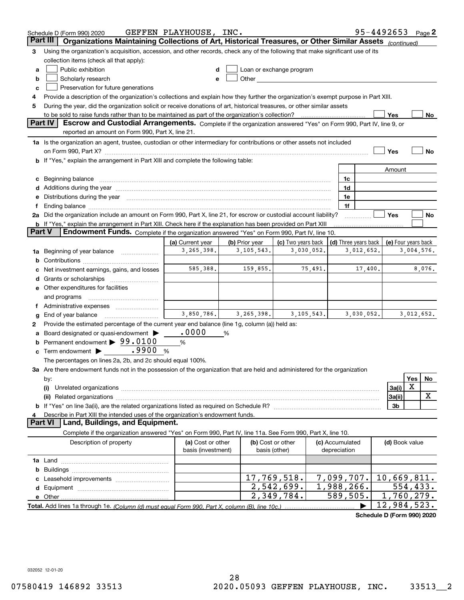|        | Schedule D (Form 990) 2020                                                                                                                                                                                                     | GEFFEN PLAYHOUSE, INC. |                |              |                                                                                                                                                                                                                               |              |                      |            | 95-4492653                 |            | Page 2 |
|--------|--------------------------------------------------------------------------------------------------------------------------------------------------------------------------------------------------------------------------------|------------------------|----------------|--------------|-------------------------------------------------------------------------------------------------------------------------------------------------------------------------------------------------------------------------------|--------------|----------------------|------------|----------------------------|------------|--------|
|        | Organizations Maintaining Collections of Art, Historical Treasures, or Other Similar Assets (continued)<br>Part III                                                                                                            |                        |                |              |                                                                                                                                                                                                                               |              |                      |            |                            |            |        |
| 3      | Using the organization's acquisition, accession, and other records, check any of the following that make significant use of its                                                                                                |                        |                |              |                                                                                                                                                                                                                               |              |                      |            |                            |            |        |
|        | collection items (check all that apply):                                                                                                                                                                                       |                        |                |              |                                                                                                                                                                                                                               |              |                      |            |                            |            |        |
| a      | Public exhibition                                                                                                                                                                                                              |                        |                |              | Loan or exchange program                                                                                                                                                                                                      |              |                      |            |                            |            |        |
| b      | Scholarly research                                                                                                                                                                                                             |                        |                |              | Other and the contract of the contract of the contract of the contract of the contract of the contract of the contract of the contract of the contract of the contract of the contract of the contract of the contract of the |              |                      |            |                            |            |        |
| с      | Preservation for future generations                                                                                                                                                                                            |                        |                |              |                                                                                                                                                                                                                               |              |                      |            |                            |            |        |
| 4      | Provide a description of the organization's collections and explain how they further the organization's exempt purpose in Part XIII.                                                                                           |                        |                |              |                                                                                                                                                                                                                               |              |                      |            |                            |            |        |
| 5      | During the year, did the organization solicit or receive donations of art, historical treasures, or other similar assets                                                                                                       |                        |                |              |                                                                                                                                                                                                                               |              |                      |            |                            |            |        |
|        | to be sold to raise funds rather than to be maintained as part of the organization's collection?                                                                                                                               |                        |                |              |                                                                                                                                                                                                                               |              |                      |            | Yes                        |            | No     |
|        | Escrow and Custodial Arrangements. Complete if the organization answered "Yes" on Form 990, Part IV, line 9, or<br><b>Part IV</b>                                                                                              |                        |                |              |                                                                                                                                                                                                                               |              |                      |            |                            |            |        |
|        | reported an amount on Form 990, Part X, line 21.                                                                                                                                                                               |                        |                |              |                                                                                                                                                                                                                               |              |                      |            |                            |            |        |
|        | 1a Is the organization an agent, trustee, custodian or other intermediary for contributions or other assets not included                                                                                                       |                        |                |              |                                                                                                                                                                                                                               |              |                      |            |                            |            |        |
|        | on Form 990, Part X? [11] matter and the contract of the contract of the contract of the contract of the contract of the contract of the contract of the contract of the contract of the contract of the contract of the contr |                        |                |              |                                                                                                                                                                                                                               |              |                      |            | Yes                        |            | No     |
|        | <b>b</b> If "Yes," explain the arrangement in Part XIII and complete the following table:                                                                                                                                      |                        |                |              |                                                                                                                                                                                                                               |              |                      |            |                            |            |        |
|        |                                                                                                                                                                                                                                |                        |                |              |                                                                                                                                                                                                                               |              |                      |            | Amount                     |            |        |
|        | c Beginning balance measurements and the contract of the contract of the contract of the contract of the contract of the contract of the contract of the contract of the contract of the contract of the contract of the contr |                        |                |              |                                                                                                                                                                                                                               |              | 1c                   |            |                            |            |        |
|        | d Additions during the year measurement contains and a state of the year.                                                                                                                                                      |                        |                |              |                                                                                                                                                                                                                               |              | 1d                   |            |                            |            |        |
|        | e Distributions during the year manufactured and contain an account of the year manufactured and the year manufactured and the year manufactured and the year manufactured and the year manufactured and the year manufactured |                        |                |              |                                                                                                                                                                                                                               |              | 1e                   |            |                            |            |        |
|        |                                                                                                                                                                                                                                |                        |                |              |                                                                                                                                                                                                                               |              | 1f                   |            |                            |            |        |
|        | 2a Did the organization include an amount on Form 990, Part X, line 21, for escrow or custodial account liability?                                                                                                             |                        |                |              |                                                                                                                                                                                                                               |              |                      |            | Yes                        |            | No     |
|        | <b>b</b> If "Yes," explain the arrangement in Part XIII. Check here if the explanation has been provided on Part XIII                                                                                                          |                        |                |              |                                                                                                                                                                                                                               |              |                      |            |                            |            |        |
| Part V | Endowment Funds. Complete if the organization answered "Yes" on Form 990, Part IV, line 10.                                                                                                                                    |                        |                |              |                                                                                                                                                                                                                               |              |                      |            |                            |            |        |
|        |                                                                                                                                                                                                                                | (a) Current year       | (b) Prior year |              | (c) Two years back                                                                                                                                                                                                            |              | (d) Three years back |            | (e) Four years back        |            |        |
|        | 1a Beginning of year balance                                                                                                                                                                                                   | 3,265,398.             |                | 3,105,543.   |                                                                                                                                                                                                                               | 3,030,052.   |                      | 3,012,652. |                            | 3,004,576. |        |
| b      |                                                                                                                                                                                                                                |                        |                |              |                                                                                                                                                                                                                               |              |                      |            |                            |            |        |
|        | Net investment earnings, gains, and losses                                                                                                                                                                                     | 585,388.               |                | 159,855.     |                                                                                                                                                                                                                               | 75,491.      |                      | 17,400.    |                            |            | 8,076. |
|        |                                                                                                                                                                                                                                |                        |                |              |                                                                                                                                                                                                                               |              |                      |            |                            |            |        |
|        | e Other expenditures for facilities                                                                                                                                                                                            |                        |                |              |                                                                                                                                                                                                                               |              |                      |            |                            |            |        |
|        | and programs                                                                                                                                                                                                                   |                        |                |              |                                                                                                                                                                                                                               |              |                      |            |                            |            |        |
|        | f Administrative expenses                                                                                                                                                                                                      |                        |                |              |                                                                                                                                                                                                                               |              |                      |            |                            |            |        |
| g      | End of year balance                                                                                                                                                                                                            | 3,850,786.             |                | 3, 265, 398. |                                                                                                                                                                                                                               | 3, 105, 543. |                      | 3,030,052. |                            | 3,012,652. |        |
| 2      | Provide the estimated percentage of the current year end balance (line 1g, column (a)) held as:                                                                                                                                |                        |                |              |                                                                                                                                                                                                                               |              |                      |            |                            |            |        |
|        | Board designated or quasi-endowment                                                                                                                                                                                            | .0000                  | %              |              |                                                                                                                                                                                                                               |              |                      |            |                            |            |        |
|        | <b>b</b> Permanent endowment $\triangleright$ 99.0100                                                                                                                                                                          | $\%$                   |                |              |                                                                                                                                                                                                                               |              |                      |            |                            |            |        |
|        | .9900<br>$\mathbf c$ Term endowment $\blacktriangleright$                                                                                                                                                                      | %                      |                |              |                                                                                                                                                                                                                               |              |                      |            |                            |            |        |
|        | The percentages on lines 2a, 2b, and 2c should equal 100%.                                                                                                                                                                     |                        |                |              |                                                                                                                                                                                                                               |              |                      |            |                            |            |        |
|        | 3a Are there endowment funds not in the possession of the organization that are held and administered for the organization                                                                                                     |                        |                |              |                                                                                                                                                                                                                               |              |                      |            |                            |            |        |
|        | by:                                                                                                                                                                                                                            |                        |                |              |                                                                                                                                                                                                                               |              |                      |            |                            | <b>Yes</b> | No.    |
|        | (i)                                                                                                                                                                                                                            |                        |                |              |                                                                                                                                                                                                                               |              |                      |            | 3a(i)                      | X          |        |
|        |                                                                                                                                                                                                                                |                        |                |              |                                                                                                                                                                                                                               |              |                      |            | 3a(ii)                     |            | х      |
|        |                                                                                                                                                                                                                                |                        |                |              |                                                                                                                                                                                                                               |              |                      |            | 3b                         |            |        |
|        | Describe in Part XIII the intended uses of the organization's endowment funds.                                                                                                                                                 |                        |                |              |                                                                                                                                                                                                                               |              |                      |            |                            |            |        |
|        | Land, Buildings, and Equipment.<br>Part VI                                                                                                                                                                                     |                        |                |              |                                                                                                                                                                                                                               |              |                      |            |                            |            |        |
|        | Complete if the organization answered "Yes" on Form 990, Part IV, line 11a. See Form 990, Part X, line 10.                                                                                                                     |                        |                |              |                                                                                                                                                                                                                               |              |                      |            |                            |            |        |
|        | Description of property                                                                                                                                                                                                        | (a) Cost or other      |                |              | (b) Cost or other                                                                                                                                                                                                             |              | (c) Accumulated      |            | (d) Book value             |            |        |
|        |                                                                                                                                                                                                                                | basis (investment)     |                |              | basis (other)                                                                                                                                                                                                                 |              | depreciation         |            |                            |            |        |
|        |                                                                                                                                                                                                                                |                        |                |              |                                                                                                                                                                                                                               |              |                      |            |                            |            |        |
| b      |                                                                                                                                                                                                                                |                        |                |              |                                                                                                                                                                                                                               |              |                      |            |                            |            |        |
|        |                                                                                                                                                                                                                                |                        |                |              | 17,769,518.                                                                                                                                                                                                                   |              | 7,099,707.           |            | 10,669,811.                |            |        |
|        |                                                                                                                                                                                                                                |                        |                |              | 2,542,699.                                                                                                                                                                                                                    |              | 1,988,266.           |            |                            | 554, 433.  |        |
|        |                                                                                                                                                                                                                                |                        |                |              | 2,349,784.                                                                                                                                                                                                                    |              | 589,505.             |            | $\overline{1,760}$ , 279.  |            |        |
|        |                                                                                                                                                                                                                                |                        |                |              |                                                                                                                                                                                                                               |              |                      |            | 12,984,523.                |            |        |
|        |                                                                                                                                                                                                                                |                        |                |              |                                                                                                                                                                                                                               |              |                      |            | Schedule D (Form 990) 2020 |            |        |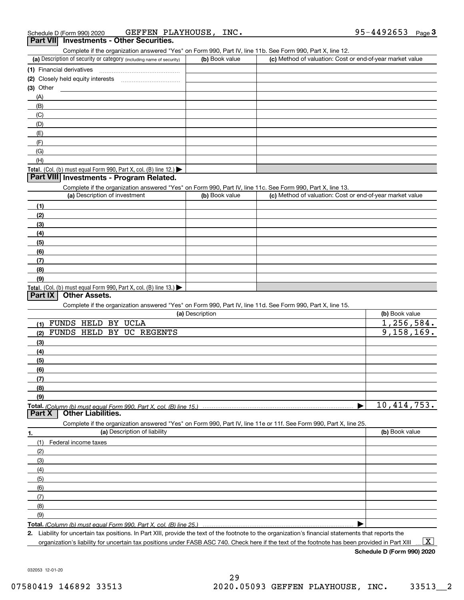Complete if the organization answered "Yes" on Form 990, Part IV, line 11b. See Form 990, Part X, line 12.

| (a) Description of security or category (including name of security)                   | (b) Book value | (c) Method of valuation: Cost or end-of-year market value |
|----------------------------------------------------------------------------------------|----------------|-----------------------------------------------------------|
| (1) Financial derivatives                                                              |                |                                                           |
| (2) Closely held equity interests                                                      |                |                                                           |
| $(3)$ Other                                                                            |                |                                                           |
| (A)                                                                                    |                |                                                           |
| (B)                                                                                    |                |                                                           |
| (C)                                                                                    |                |                                                           |
| (D)                                                                                    |                |                                                           |
| (E)                                                                                    |                |                                                           |
| (F)                                                                                    |                |                                                           |
| (G)                                                                                    |                |                                                           |
| (H)                                                                                    |                |                                                           |
| Total. (Col. (b) must equal Form 990, Part X, col. (B) line 12.) $\blacktriangleright$ |                |                                                           |

#### **Part VIII Investments - Program Related.**

Complete if the organization answered "Yes" on Form 990, Part IV, line 11c. See Form 990, Part X, line 13.

| (a) Description of investment                                    | (b) Book value | (c) Method of valuation: Cost or end-of-year market value |
|------------------------------------------------------------------|----------------|-----------------------------------------------------------|
| (1)                                                              |                |                                                           |
| (2)                                                              |                |                                                           |
| $\frac{1}{2}$                                                    |                |                                                           |
| (4)                                                              |                |                                                           |
| $\frac{1}{2}$                                                    |                |                                                           |
| (6)                                                              |                |                                                           |
| $\frac{1}{2}$                                                    |                |                                                           |
| (8)                                                              |                |                                                           |
| (9)                                                              |                |                                                           |
| Total. (Col. (b) must equal Form 990, Part X, col. (B) line 13.) |                |                                                           |

#### **Part IX Other Assets.**

Complete if the organization answered "Yes" on Form 990, Part IV, line 11d. See Form 990, Part X, line 15.

| (a) Description                                                                                                   | (b) Book value |
|-------------------------------------------------------------------------------------------------------------------|----------------|
| <b>HELD</b><br><b>UCLA</b><br><b>FUNDS</b><br>BY<br>(1)                                                           | 1,256,584.     |
| UC REGENTS<br><b>FUNDS</b><br><b>HELD</b><br>BY<br>(2)                                                            | 9,158,169.     |
| (3)                                                                                                               |                |
| (4)                                                                                                               |                |
| (5)                                                                                                               |                |
| (6)                                                                                                               |                |
| (7)                                                                                                               |                |
| (8)                                                                                                               |                |
| (9)                                                                                                               |                |
| Total. (Column (b) must equal Form 990, Part X, col. (B) line 15.)                                                | 10,414,753.    |
| <b>Other Liabilities.</b><br>Part X                                                                               |                |
| Complete if the organization answered "Yes" on Form 990, Part IV, line 11e or 11f. See Form 990, Part X, line 25. |                |
| (a) Description of liability<br>1.                                                                                | (b) Book value |
| Federal income taxes<br>(1)                                                                                       |                |
| (2)                                                                                                               |                |
|                                                                                                                   |                |
| (3)                                                                                                               |                |
| (4)                                                                                                               |                |
| (5)                                                                                                               |                |
| (6)                                                                                                               |                |
| (7)                                                                                                               |                |
| (8)                                                                                                               |                |
| (9)                                                                                                               |                |

**Total.**  *(Column (b) must equal Form 990, Part X, col. (B) line 25.)* 

**2.** Liability for uncertain tax positions. In Part XIII, provide the text of the footnote to the organization's financial statements that reports the organization's liability for uncertain tax positions under FASB ASC 740. Check here if the text of the footnote has been provided in Part XIII  $\boxed{\text{X}}$ 

**Schedule D (Form 990) 2020**

032053 12-01-20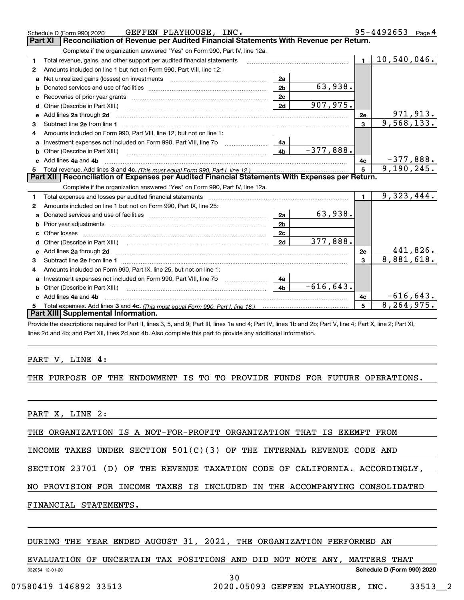|    | GEFFEN PLAYHOUSE, INC.<br>Schedule D (Form 990) 2020                                                                                                                                                                           |                |                                                                                                                                                                                                                                                                                                                                                                                                                                          |              | 95-4492653 $_{Page}$ 4 |
|----|--------------------------------------------------------------------------------------------------------------------------------------------------------------------------------------------------------------------------------|----------------|------------------------------------------------------------------------------------------------------------------------------------------------------------------------------------------------------------------------------------------------------------------------------------------------------------------------------------------------------------------------------------------------------------------------------------------|--------------|------------------------|
|    | Reconciliation of Revenue per Audited Financial Statements With Revenue per Return.<br>Part XI                                                                                                                                 |                |                                                                                                                                                                                                                                                                                                                                                                                                                                          |              |                        |
|    | Complete if the organization answered "Yes" on Form 990, Part IV, line 12a.                                                                                                                                                    |                |                                                                                                                                                                                                                                                                                                                                                                                                                                          |              |                        |
| 1. | Total revenue, gains, and other support per audited financial statements                                                                                                                                                       |                | $\begin{minipage}{0.99\textwidth} \begin{tabular}{l} \hline \textbf{1} & \textbf{2} & \textbf{3} & \textbf{4} & \textbf{5} \\ \textbf{2} & \textbf{3} & \textbf{4} & \textbf{5} & \textbf{5} & \textbf{6} & \textbf{6} \\ \textbf{3} & \textbf{4} & \textbf{5} & \textbf{5} & \textbf{6} & \textbf{6} & \textbf{6} & \textbf{6} \\ \textbf{4} & \textbf{5} & \textbf{6} & \textbf{6} & \textbf{6} & \textbf{6} & \textbf{6} & \textbf{6$ | $\mathbf{1}$ | 10,540,046.            |
| 2  | Amounts included on line 1 but not on Form 990, Part VIII, line 12:                                                                                                                                                            |                |                                                                                                                                                                                                                                                                                                                                                                                                                                          |              |                        |
| a  |                                                                                                                                                                                                                                | 2a             |                                                                                                                                                                                                                                                                                                                                                                                                                                          |              |                        |
| b  |                                                                                                                                                                                                                                | 2 <sub>b</sub> | 63,938.                                                                                                                                                                                                                                                                                                                                                                                                                                  |              |                        |
| c  |                                                                                                                                                                                                                                | 2c             |                                                                                                                                                                                                                                                                                                                                                                                                                                          |              |                        |
| d  | Other (Describe in Part XIII.)                                                                                                                                                                                                 | 2d             | 907,975.                                                                                                                                                                                                                                                                                                                                                                                                                                 |              |                        |
| е  | Add lines 2a through 2d                                                                                                                                                                                                        |                |                                                                                                                                                                                                                                                                                                                                                                                                                                          | 2e           | <u>971,913.</u>        |
| 3  |                                                                                                                                                                                                                                |                |                                                                                                                                                                                                                                                                                                                                                                                                                                          | 3            | 9,568,133.             |
| 4  | Amounts included on Form 990, Part VIII, line 12, but not on line 1:                                                                                                                                                           |                |                                                                                                                                                                                                                                                                                                                                                                                                                                          |              |                        |
|    | Investment expenses not included on Form 990, Part VIII, line 7b                                                                                                                                                               | 4a             |                                                                                                                                                                                                                                                                                                                                                                                                                                          |              |                        |
|    |                                                                                                                                                                                                                                | 4 <sub>b</sub> | $-377,888.$                                                                                                                                                                                                                                                                                                                                                                                                                              |              |                        |
|    | Add lines 4a and 4b                                                                                                                                                                                                            |                |                                                                                                                                                                                                                                                                                                                                                                                                                                          | 4c           | $-377,888.$            |
|    |                                                                                                                                                                                                                                |                |                                                                                                                                                                                                                                                                                                                                                                                                                                          | 5            | 9,190,245.             |
| 5  |                                                                                                                                                                                                                                |                |                                                                                                                                                                                                                                                                                                                                                                                                                                          |              |                        |
|    | Part XII   Reconciliation of Expenses per Audited Financial Statements With Expenses per Return.                                                                                                                               |                |                                                                                                                                                                                                                                                                                                                                                                                                                                          |              |                        |
|    | Complete if the organization answered "Yes" on Form 990, Part IV, line 12a.                                                                                                                                                    |                |                                                                                                                                                                                                                                                                                                                                                                                                                                          |              |                        |
| 1  | Total expenses and losses per audited financial statements [11] [12] manuscription control of the statements [11] and the statements [11] and the statements [11] and the statements and the statements and the statements and |                |                                                                                                                                                                                                                                                                                                                                                                                                                                          | $\mathbf{1}$ | 9,323,444.             |
| 2  | Amounts included on line 1 but not on Form 990, Part IX, line 25:                                                                                                                                                              |                |                                                                                                                                                                                                                                                                                                                                                                                                                                          |              |                        |
| a  |                                                                                                                                                                                                                                | 2a             | 63,938.                                                                                                                                                                                                                                                                                                                                                                                                                                  |              |                        |
| b  |                                                                                                                                                                                                                                | 2 <sub>b</sub> |                                                                                                                                                                                                                                                                                                                                                                                                                                          |              |                        |
|    |                                                                                                                                                                                                                                | 2c             |                                                                                                                                                                                                                                                                                                                                                                                                                                          |              |                        |
|    |                                                                                                                                                                                                                                | 2d             | 377,888.                                                                                                                                                                                                                                                                                                                                                                                                                                 |              |                        |
|    | e Add lines 2a through 2d                                                                                                                                                                                                      |                |                                                                                                                                                                                                                                                                                                                                                                                                                                          | 2e           | <u>441,826.</u>        |
| 3  |                                                                                                                                                                                                                                |                |                                                                                                                                                                                                                                                                                                                                                                                                                                          | $\mathbf{3}$ | 8,881,618.             |
| 4  | Amounts included on Form 990, Part IX, line 25, but not on line 1:                                                                                                                                                             |                |                                                                                                                                                                                                                                                                                                                                                                                                                                          |              |                        |
| a  |                                                                                                                                                                                                                                | 4a             |                                                                                                                                                                                                                                                                                                                                                                                                                                          |              |                        |
| b  | Other (Describe in Part XIII.)                                                                                                                                                                                                 | 4 <sub>b</sub> | $-616, 643.$                                                                                                                                                                                                                                                                                                                                                                                                                             |              |                        |
| c. | Add lines 4a and 4b                                                                                                                                                                                                            |                |                                                                                                                                                                                                                                                                                                                                                                                                                                          | 4c           | $-616, 643.$           |
|    | Part XIII Supplemental Information.                                                                                                                                                                                            |                |                                                                                                                                                                                                                                                                                                                                                                                                                                          | 5            | 8, 264, 975.           |

Provide the descriptions required for Part II, lines 3, 5, and 9; Part III, lines 1a and 4; Part IV, lines 1b and 2b; Part V, line 4; Part X, line 2; Part XI, lines 2d and 4b; and Part XII, lines 2d and 4b. Also complete this part to provide any additional information.

#### PART V, LINE 4:

#### THE PURPOSE OF THE ENDOWMENT IS TO TO PROVIDE FUNDS FOR FUTURE OPERATIONS.

PART X, LINE 2:

THE ORGANIZATION IS A NOT-FOR-PROFIT ORGANIZATION THAT IS EXEMPT FROM

INCOME TAXES UNDER SECTION 501(C)(3) OF THE INTERNAL REVENUE CODE AND

SECTION 23701 (D) OF THE REVENUE TAXATION CODE OF CALIFORNIA. ACCORDINGLY,

NO PROVISION FOR INCOME TAXES IS INCLUDED IN THE ACCOMPANYING CONSOLIDATED

FINANCIAL STATEMENTS.

#### DURING THE YEAR ENDED AUGUST 31, 2021, THE ORGANIZATION PERFORMED AN

032054 12-01-20 **Schedule D (Form 990) 2020** EVALUATION OF UNCERTAIN TAX POSITIONS AND DID NOT NOTE ANY, MATTERS THAT

30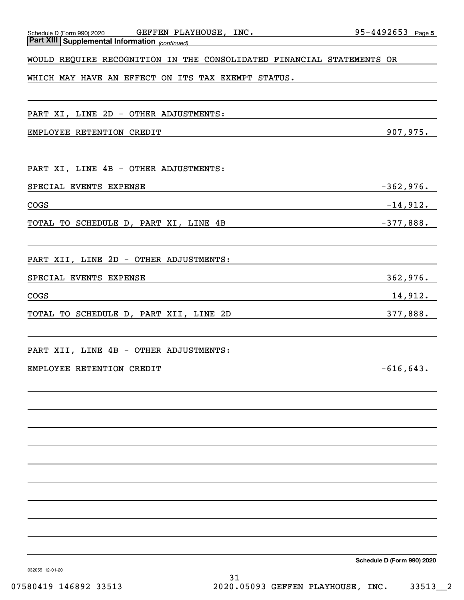| GEFFEN PLAYHOUSE, INC.<br>Schedule D (Form 990) 2020                                                                                                            | $95 - 4492653$ Page 5 |
|-----------------------------------------------------------------------------------------------------------------------------------------------------------------|-----------------------|
| <b>Part XIII Supplemental Information</b> (continued)<br><b>Part XIII Supplemental Information</b> (continued)                                                  |                       |
| WOULD REQUIRE RECOGNITION IN THE CONSOLIDATED FINANCIAL STATEMENTS OR                                                                                           |                       |
| WHICH MAY HAVE AN EFFECT ON ITS TAX EXEMPT STATUS.                                                                                                              |                       |
|                                                                                                                                                                 |                       |
| PART XI, LINE 2D - OTHER ADJUSTMENTS:                                                                                                                           |                       |
| EMPLOYEE RETENTION CREDIT                                                                                                                                       | 907,975.              |
|                                                                                                                                                                 |                       |
| PART XI, LINE 4B - OTHER ADJUSTMENTS:                                                                                                                           |                       |
| SPECIAL EVENTS EXPENSE                                                                                                                                          | $-362,976.$           |
| COGS                                                                                                                                                            | $-14$ ,912.           |
| TOTAL TO SCHEDULE D, PART XI, LINE 4B                                                                                                                           | $-377,888.$           |
|                                                                                                                                                                 |                       |
| PART XII, LINE 2D - OTHER ADJUSTMENTS:                                                                                                                          |                       |
| SPECIAL EVENTS EXPENSE                                                                                                                                          | 362,976.              |
| COGS                                                                                                                                                            | 14,912.               |
| TOTAL TO SCHEDULE D, PART XII, LINE 2D<br><u> 1980 - Johann Barn, mars ann an t-Amhain an t-Amhain an t-Amhain an t-Amhain an t-Amhain an t-Amhain an t-Amh</u> | 377,888.              |
|                                                                                                                                                                 |                       |
| PART XII, LINE 4B - OTHER ADJUSTMENTS:                                                                                                                          |                       |
| EMPLOYEE RETENTION CREDIT                                                                                                                                       | $-616, 643.$          |
|                                                                                                                                                                 |                       |
|                                                                                                                                                                 |                       |
|                                                                                                                                                                 |                       |
|                                                                                                                                                                 |                       |
|                                                                                                                                                                 |                       |
|                                                                                                                                                                 |                       |
|                                                                                                                                                                 |                       |
|                                                                                                                                                                 |                       |
|                                                                                                                                                                 |                       |
|                                                                                                                                                                 |                       |

**Schedule D (Form 990) 2020**

032055 12-01-20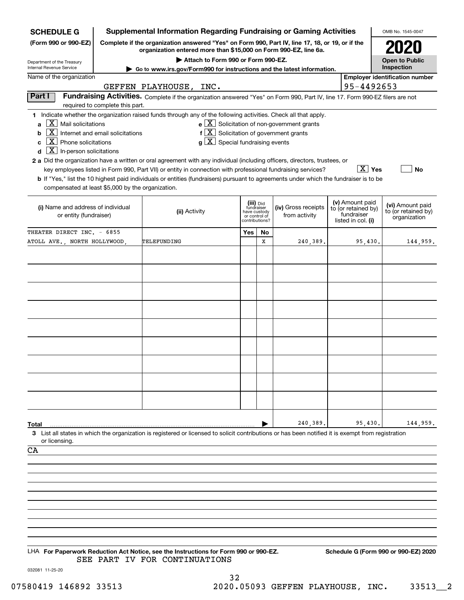| <b>Supplemental Information Regarding Fundraising or Gaming Activities</b><br><b>SCHEDULE G</b>                                                                                                                  |                                                                                                                                                                  |                                                                                                                                                                                                                                                                                                                                                                                                                                                                                                                                                                                                                 |                                                                            |           |                                                  | OMB No. 1545-0047 |                                                                            |                                                         |  |
|------------------------------------------------------------------------------------------------------------------------------------------------------------------------------------------------------------------|------------------------------------------------------------------------------------------------------------------------------------------------------------------|-----------------------------------------------------------------------------------------------------------------------------------------------------------------------------------------------------------------------------------------------------------------------------------------------------------------------------------------------------------------------------------------------------------------------------------------------------------------------------------------------------------------------------------------------------------------------------------------------------------------|----------------------------------------------------------------------------|-----------|--------------------------------------------------|-------------------|----------------------------------------------------------------------------|---------------------------------------------------------|--|
| Complete if the organization answered "Yes" on Form 990, Part IV, line 17, 18, or 19, or if the<br>(Form 990 or 990-EZ)<br>organization entered more than \$15,000 on Form 990-EZ, line 6a.                      |                                                                                                                                                                  |                                                                                                                                                                                                                                                                                                                                                                                                                                                                                                                                                                                                                 |                                                                            |           |                                                  |                   |                                                                            |                                                         |  |
| Department of the Treasury<br>Internal Revenue Service                                                                                                                                                           |                                                                                                                                                                  | Attach to Form 990 or Form 990-EZ.                                                                                                                                                                                                                                                                                                                                                                                                                                                                                                                                                                              |                                                                            |           |                                                  |                   |                                                                            | <b>Open to Public</b><br>Inspection                     |  |
| Name of the organization                                                                                                                                                                                         |                                                                                                                                                                  | ► Go to www.irs.gov/Form990 for instructions and the latest information.                                                                                                                                                                                                                                                                                                                                                                                                                                                                                                                                        |                                                                            |           |                                                  |                   |                                                                            | <b>Employer identification number</b>                   |  |
|                                                                                                                                                                                                                  |                                                                                                                                                                  | GEFFEN PLAYHOUSE, INC.                                                                                                                                                                                                                                                                                                                                                                                                                                                                                                                                                                                          |                                                                            |           |                                                  |                   | 95-4492653                                                                 |                                                         |  |
| Part I                                                                                                                                                                                                           | Fundraising Activities. Complete if the organization answered "Yes" on Form 990, Part IV, line 17. Form 990-EZ filers are not<br>required to complete this part. |                                                                                                                                                                                                                                                                                                                                                                                                                                                                                                                                                                                                                 |                                                                            |           |                                                  |                   |                                                                            |                                                         |  |
| $\vert X \vert$ Mail solicitations<br>$\mathbf{a}$<br>$\boxed{\text{X}}$ Internet and email solicitations<br>b<br>$\boxed{\text{X}}$ Phone solicitations<br>c<br>$\boxed{\text{X}}$ In-person solicitations<br>d |                                                                                                                                                                  | 1 Indicate whether the organization raised funds through any of the following activities. Check all that apply.<br>$f\left[\overline{X}\right]$ Solicitation of government grants<br>$g\mid X$ Special fundraising events<br>2 a Did the organization have a written or oral agreement with any individual (including officers, directors, trustees, or<br>key employees listed in Form 990, Part VII) or entity in connection with professional fundraising services?<br>b If "Yes," list the 10 highest paid individuals or entities (fundraisers) pursuant to agreements under which the fundraiser is to be |                                                                            |           | $e \mid X$ Solicitation of non-government grants |                   | $\boxed{\text{X}}$ Yes                                                     | No                                                      |  |
| compensated at least \$5,000 by the organization.<br>(i) Name and address of individual<br>or entity (fundraiser)                                                                                                |                                                                                                                                                                  | (ii) Activity                                                                                                                                                                                                                                                                                                                                                                                                                                                                                                                                                                                                   | (iii) Did<br>fundraiser<br>have custody<br>or control of<br>contributions? |           | (iv) Gross receipts<br>from activity             |                   | (v) Amount paid<br>to (or retained by)<br>fundraiser<br>listed in col. (i) | (vi) Amount paid<br>to (or retained by)<br>organization |  |
| THEATER DIRECT INC. - 6855                                                                                                                                                                                       |                                                                                                                                                                  |                                                                                                                                                                                                                                                                                                                                                                                                                                                                                                                                                                                                                 | Yes                                                                        | <b>No</b> |                                                  |                   |                                                                            |                                                         |  |
| ATOLL AVE., NORTH HOLLYWOOD,                                                                                                                                                                                     |                                                                                                                                                                  | TELEFUNDING                                                                                                                                                                                                                                                                                                                                                                                                                                                                                                                                                                                                     |                                                                            | х         | 240,389.                                         |                   | 95,430.                                                                    | 144,959.                                                |  |
|                                                                                                                                                                                                                  |                                                                                                                                                                  |                                                                                                                                                                                                                                                                                                                                                                                                                                                                                                                                                                                                                 |                                                                            |           |                                                  |                   |                                                                            |                                                         |  |
| Total                                                                                                                                                                                                            |                                                                                                                                                                  |                                                                                                                                                                                                                                                                                                                                                                                                                                                                                                                                                                                                                 |                                                                            |           | 240,389.                                         |                   | 95,430.                                                                    | 144,959.                                                |  |
| or licensing.<br>CA                                                                                                                                                                                              |                                                                                                                                                                  | 3 List all states in which the organization is registered or licensed to solicit contributions or has been notified it is exempt from registration<br>LHA For Paperwork Reduction Act Notice, see the Instructions for Form 990 or 990-EZ.                                                                                                                                                                                                                                                                                                                                                                      |                                                                            |           |                                                  |                   |                                                                            | Schedule G (Form 990 or 990-EZ) 2020                    |  |
| 032081 11-25-20                                                                                                                                                                                                  |                                                                                                                                                                  | SEE PART IV FOR CONTINUATIONS                                                                                                                                                                                                                                                                                                                                                                                                                                                                                                                                                                                   |                                                                            |           |                                                  |                   |                                                                            |                                                         |  |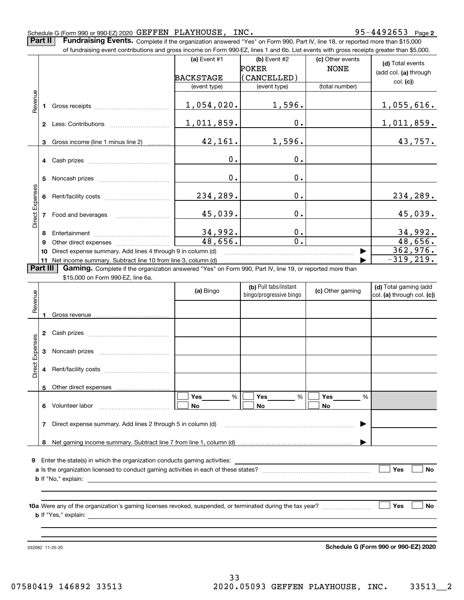#### Schedule G (Form 990 or 990-EZ) 2020 Page GEFFEN PLAYHOUSE, INC. 95-4492653

**Part II** | Fundraising Events. Complete if the organization answered "Yes" on Form 990, Part IV, line 18, or reported more than \$15,000

|                 |          | of fundraising event contributions and gross income on Form 990-EZ, lines 1 and 6b. List events with gross receipts greater than \$5,000.     |                |                              |                                 |                                           |
|-----------------|----------|-----------------------------------------------------------------------------------------------------------------------------------------------|----------------|------------------------------|---------------------------------|-------------------------------------------|
|                 |          |                                                                                                                                               | (a) Event $#1$ | (b) Event #2<br><b>POKER</b> | (c) Other events<br><b>NONE</b> | (d) Total events<br>(add col. (a) through |
|                 |          |                                                                                                                                               | BACKSTAGE      | (CANCELLED)                  |                                 | col. (c)                                  |
|                 |          |                                                                                                                                               | (event type)   | (event type)                 | (total number)                  |                                           |
| Revenue         |          |                                                                                                                                               | 1,054,020.     | 1,596.                       |                                 | 1,055,616.                                |
|                 |          |                                                                                                                                               | 1,011,859.     | 0.                           |                                 | 1,011,859.                                |
|                 |          | 3 Gross income (line 1 minus line 2)                                                                                                          | 42,161.        | 1,596.                       |                                 | 43,757.                                   |
|                 |          |                                                                                                                                               | 0.             | 0.                           |                                 |                                           |
|                 |          |                                                                                                                                               | 0.             | 0.                           |                                 |                                           |
|                 |          |                                                                                                                                               | 234,289.       | 0.                           |                                 | 234, 289.                                 |
| Direct Expenses |          | 7 Food and beverages                                                                                                                          | 45,039.        | 0.                           |                                 | 45,039.                                   |
|                 |          |                                                                                                                                               | 34,992.        | $0$ .                        |                                 | 34,992.                                   |
|                 | 9        |                                                                                                                                               | 48,656.        | 0.                           |                                 | 48,656.                                   |
|                 |          | 10 Direct expense summary. Add lines 4 through 9 in column (d)                                                                                |                |                              |                                 | 362,976.                                  |
|                 | Part III | 11 Net income summary. Subtract line 10 from line 3, column (d)                                                                               |                |                              |                                 | $-319,219.$                               |
|                 |          | Gaming. Complete if the organization answered "Yes" on Form 990, Part IV, line 19, or reported more than<br>\$15,000 on Form 990-EZ, line 6a. |                |                              |                                 |                                           |
|                 |          |                                                                                                                                               |                | (b) Pull tabs/instant        |                                 | (d) Total gaming (add                     |
| Revenue         |          |                                                                                                                                               | (a) Bingo      | bingo/progressive bingo      | (c) Other gaming                | col. (a) through col. (c))                |
|                 |          |                                                                                                                                               |                |                              |                                 |                                           |
|                 |          |                                                                                                                                               |                |                              |                                 |                                           |
|                 |          |                                                                                                                                               |                |                              |                                 |                                           |
|                 |          |                                                                                                                                               |                |                              |                                 |                                           |
| Direct Expenses |          |                                                                                                                                               |                |                              |                                 |                                           |
|                 | 5.       | Other direct expenses                                                                                                                         |                |                              |                                 |                                           |
|                 |          |                                                                                                                                               | Yes<br>%       | Yes<br>%                     | Yes<br>%                        |                                           |
|                 |          | 6 Volunteer labor                                                                                                                             | No             | No                           | No                              |                                           |
|                 |          | 7 Direct expense summary. Add lines 2 through 5 in column (d)                                                                                 |                |                              |                                 |                                           |
|                 | 8        |                                                                                                                                               |                |                              |                                 |                                           |
|                 |          |                                                                                                                                               |                |                              |                                 |                                           |
|                 |          | <b>9</b> Enter the state(s) in which the organization conducts gaming activities:                                                             |                |                              |                                 | Yes<br>No                                 |
|                 |          |                                                                                                                                               |                |                              |                                 |                                           |
|                 |          |                                                                                                                                               |                |                              |                                 |                                           |
|                 |          |                                                                                                                                               |                |                              |                                 | Yes<br>No                                 |
|                 |          |                                                                                                                                               |                |                              |                                 |                                           |

032082 11-25-20

**Schedule G (Form 990 or 990-EZ) 2020**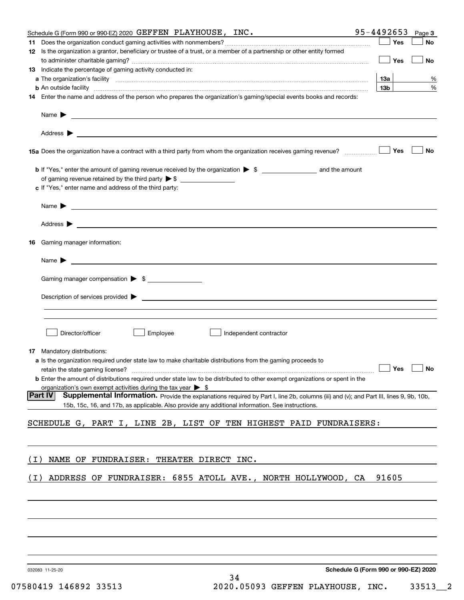|       | Schedule G (Form 990 or 990-EZ) 2020 GEFFEN PLAYHOUSE, $INC.$                                                                                                                                                                                           | 95-4492653                           | Page 3    |
|-------|---------------------------------------------------------------------------------------------------------------------------------------------------------------------------------------------------------------------------------------------------------|--------------------------------------|-----------|
|       |                                                                                                                                                                                                                                                         | Yes                                  | No        |
|       | 12 Is the organization a grantor, beneficiary or trustee of a trust, or a member of a partnership or other entity formed                                                                                                                                | Yes                                  | No        |
|       | <b>13</b> Indicate the percentage of gaming activity conducted in:                                                                                                                                                                                      |                                      |           |
|       |                                                                                                                                                                                                                                                         | 13а                                  | %         |
|       | <b>b</b> An outside facility <i>www.communically.communically.communically.communically.communically.communically.communically.communically.communically.communically.communically.communically.communically.communically.communicall</i>               | 13 <sub>b</sub>                      | %         |
|       | 14 Enter the name and address of the person who prepares the organization's gaming/special events books and records:                                                                                                                                    |                                      |           |
|       |                                                                                                                                                                                                                                                         |                                      |           |
|       |                                                                                                                                                                                                                                                         |                                      |           |
|       |                                                                                                                                                                                                                                                         | Yes                                  | <b>No</b> |
|       |                                                                                                                                                                                                                                                         |                                      |           |
|       | c If "Yes," enter name and address of the third party:                                                                                                                                                                                                  |                                      |           |
|       | Name $\blacktriangleright$ $\lrcorner$                                                                                                                                                                                                                  |                                      |           |
|       |                                                                                                                                                                                                                                                         |                                      |           |
| 16    | Gaming manager information:                                                                                                                                                                                                                             |                                      |           |
|       | $Name \rightarrow$                                                                                                                                                                                                                                      |                                      |           |
|       | Gaming manager compensation > \$                                                                                                                                                                                                                        |                                      |           |
|       | $Description of services provided$ $\triangleright$                                                                                                                                                                                                     |                                      |           |
|       |                                                                                                                                                                                                                                                         |                                      |           |
|       | Director/officer<br>Employee<br>Independent contractor                                                                                                                                                                                                  |                                      |           |
|       | <b>17</b> Mandatory distributions:                                                                                                                                                                                                                      |                                      |           |
|       | a Is the organization required under state law to make charitable distributions from the gaming proceeds to                                                                                                                                             |                                      |           |
|       | retain the state gaming license? <b>Construction and the construction</b> of the state gaming license? <b>No</b><br><b>b</b> Enter the amount of distributions required under state law to be distributed to other exempt organizations or spent in the |                                      |           |
|       | organization's own exempt activities during the tax year $\triangleright$ \$                                                                                                                                                                            |                                      |           |
|       | <b>Part IV</b><br>Supplemental Information. Provide the explanations required by Part I, line 2b, columns (iii) and (v); and Part III, lines 9, 9b, 10b,                                                                                                |                                      |           |
|       | 15b, 15c, 16, and 17b, as applicable. Also provide any additional information. See instructions.                                                                                                                                                        |                                      |           |
|       | SCHEDULE G, PART I, LINE 2B, LIST OF TEN HIGHEST PAID FUNDRAISERS:                                                                                                                                                                                      |                                      |           |
|       |                                                                                                                                                                                                                                                         |                                      |           |
| ( I ) | NAME OF FUNDRAISER: THEATER DIRECT INC.                                                                                                                                                                                                                 |                                      |           |
| (T)   | ADDRESS OF FUNDRAISER: 6855 ATOLL AVE., NORTH HOLLYWOOD, CA                                                                                                                                                                                             | 91605                                |           |
|       |                                                                                                                                                                                                                                                         |                                      |           |
|       |                                                                                                                                                                                                                                                         |                                      |           |
|       |                                                                                                                                                                                                                                                         |                                      |           |
|       |                                                                                                                                                                                                                                                         |                                      |           |
|       | 032083 11-25-20                                                                                                                                                                                                                                         | Schedule G (Form 990 or 990-EZ) 2020 |           |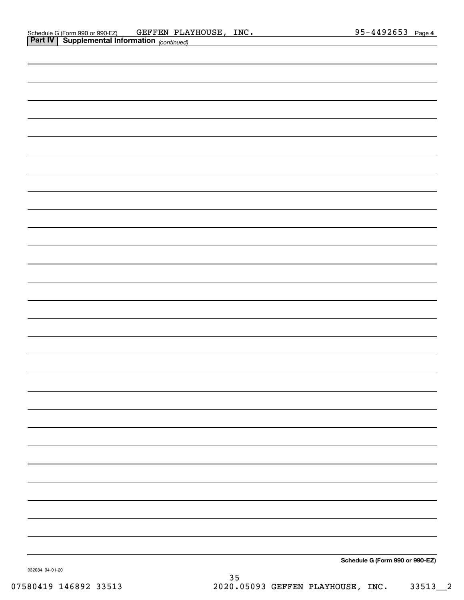| <b>Part IV</b> Supplemental Information (continued) |                                 |
|-----------------------------------------------------|---------------------------------|
|                                                     |                                 |
|                                                     |                                 |
|                                                     |                                 |
|                                                     |                                 |
|                                                     |                                 |
|                                                     |                                 |
|                                                     |                                 |
|                                                     |                                 |
|                                                     |                                 |
|                                                     |                                 |
|                                                     |                                 |
|                                                     |                                 |
|                                                     |                                 |
|                                                     |                                 |
|                                                     |                                 |
|                                                     |                                 |
|                                                     |                                 |
|                                                     |                                 |
|                                                     |                                 |
|                                                     |                                 |
|                                                     |                                 |
|                                                     |                                 |
|                                                     |                                 |
|                                                     |                                 |
|                                                     |                                 |
|                                                     |                                 |
|                                                     |                                 |
|                                                     |                                 |
|                                                     |                                 |
|                                                     | Schedule G (Form 990 or 990-EZ) |

032084 04-01-20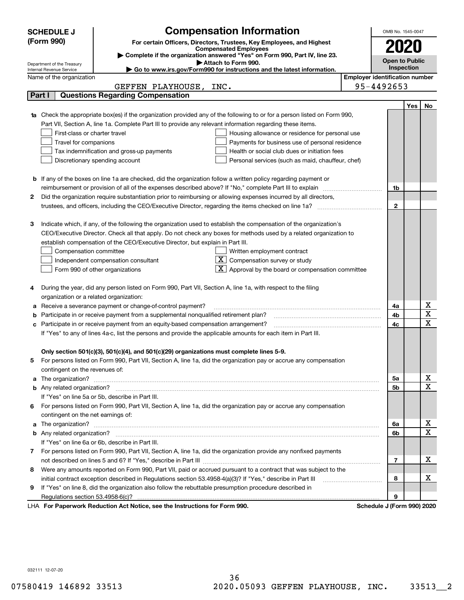|    | <b>Compensation Information</b><br><b>SCHEDULE J</b>                                                                                                    |                                       | OMB No. 1545-0047     |            |                              |
|----|---------------------------------------------------------------------------------------------------------------------------------------------------------|---------------------------------------|-----------------------|------------|------------------------------|
|    | (Form 990)<br>For certain Officers, Directors, Trustees, Key Employees, and Highest                                                                     |                                       |                       |            |                              |
|    | <b>Compensated Employees</b>                                                                                                                            |                                       | 2020                  |            |                              |
|    | Complete if the organization answered "Yes" on Form 990, Part IV, line 23.                                                                              |                                       | <b>Open to Public</b> |            |                              |
|    | Attach to Form 990.<br>Department of the Treasury<br>Go to www.irs.gov/Form990 for instructions and the latest information.<br>Internal Revenue Service |                                       | Inspection            |            |                              |
|    | Name of the organization                                                                                                                                | <b>Employer identification number</b> |                       |            |                              |
|    | GEFFEN PLAYHOUSE, INC.                                                                                                                                  | 95-4492653                            |                       |            |                              |
|    | <b>Questions Regarding Compensation</b><br>Part I                                                                                                       |                                       |                       |            |                              |
|    |                                                                                                                                                         |                                       |                       | <b>Yes</b> | No                           |
|    | <b>1a</b> Check the appropriate box(es) if the organization provided any of the following to or for a person listed on Form 990,                        |                                       |                       |            |                              |
|    | Part VII, Section A, line 1a. Complete Part III to provide any relevant information regarding these items.                                              |                                       |                       |            |                              |
|    | First-class or charter travel<br>Housing allowance or residence for personal use                                                                        |                                       |                       |            |                              |
|    | Travel for companions<br>Payments for business use of personal residence                                                                                |                                       |                       |            |                              |
|    | Tax indemnification and gross-up payments<br>Health or social club dues or initiation fees                                                              |                                       |                       |            |                              |
|    | Discretionary spending account<br>Personal services (such as maid, chauffeur, chef)                                                                     |                                       |                       |            |                              |
|    |                                                                                                                                                         |                                       |                       |            |                              |
|    | <b>b</b> If any of the boxes on line 1a are checked, did the organization follow a written policy regarding payment or                                  |                                       |                       |            |                              |
|    | reimbursement or provision of all of the expenses described above? If "No," complete Part III to explain                                                |                                       | 1b                    |            |                              |
| 2  | Did the organization require substantiation prior to reimbursing or allowing expenses incurred by all directors,                                        |                                       |                       |            |                              |
|    | trustees, and officers, including the CEO/Executive Director, regarding the items checked on line 1a?                                                   |                                       | $\mathbf{2}$          |            |                              |
|    |                                                                                                                                                         |                                       |                       |            |                              |
| з  | Indicate which, if any, of the following the organization used to establish the compensation of the organization's                                      |                                       |                       |            |                              |
|    | CEO/Executive Director. Check all that apply. Do not check any boxes for methods used by a related organization to                                      |                                       |                       |            |                              |
|    | establish compensation of the CEO/Executive Director, but explain in Part III.                                                                          |                                       |                       |            |                              |
|    | Compensation committee<br>Written employment contract                                                                                                   |                                       |                       |            |                              |
|    | $X$ Compensation survey or study<br>Independent compensation consultant                                                                                 |                                       |                       |            |                              |
|    | $\lfloor x \rfloor$ Approval by the board or compensation committee<br>Form 990 of other organizations                                                  |                                       |                       |            |                              |
|    |                                                                                                                                                         |                                       |                       |            |                              |
|    | During the year, did any person listed on Form 990, Part VII, Section A, line 1a, with respect to the filing                                            |                                       |                       |            |                              |
|    | organization or a related organization:                                                                                                                 |                                       |                       |            |                              |
| а  | Receive a severance payment or change-of-control payment?                                                                                               |                                       | 4a                    |            | х                            |
| b  | Participate in or receive payment from a supplemental nonqualified retirement plan?                                                                     |                                       | 4b                    |            | $\overline{\mathbf{x}}$      |
| с  | Participate in or receive payment from an equity-based compensation arrangement?                                                                        |                                       | 4c                    |            | $\overline{\mathbf{x}}$      |
|    | If "Yes" to any of lines 4a-c, list the persons and provide the applicable amounts for each item in Part III.                                           |                                       |                       |            |                              |
|    |                                                                                                                                                         |                                       |                       |            |                              |
|    | Only section 501(c)(3), 501(c)(4), and 501(c)(29) organizations must complete lines 5-9.                                                                |                                       |                       |            |                              |
|    | For persons listed on Form 990, Part VII, Section A, line 1a, did the organization pay or accrue any compensation                                       |                                       |                       |            |                              |
|    | contingent on the revenues of:                                                                                                                          |                                       |                       |            |                              |
| a  |                                                                                                                                                         |                                       | 5a                    |            | x<br>$\overline{\mathbf{x}}$ |
|    |                                                                                                                                                         |                                       | 5b                    |            |                              |
|    | If "Yes" on line 5a or 5b, describe in Part III.                                                                                                        |                                       |                       |            |                              |
| 6. | For persons listed on Form 990, Part VII, Section A, line 1a, did the organization pay or accrue any compensation                                       |                                       |                       |            |                              |
|    | contingent on the net earnings of:                                                                                                                      |                                       |                       |            |                              |
| a  |                                                                                                                                                         |                                       | 6a                    |            | х<br>$\overline{\mathbf{x}}$ |
|    |                                                                                                                                                         |                                       | 6b                    |            |                              |
|    | If "Yes" on line 6a or 6b, describe in Part III.                                                                                                        |                                       |                       |            |                              |
|    | 7 For persons listed on Form 990, Part VII, Section A, line 1a, did the organization provide any nonfixed payments                                      |                                       |                       |            | х                            |
|    |                                                                                                                                                         |                                       | 7                     |            |                              |
| 8  | Were any amounts reported on Form 990, Part VII, paid or accrued pursuant to a contract that was subject to the                                         |                                       |                       |            | х                            |
|    | initial contract exception described in Regulations section 53.4958-4(a)(3)? If "Yes," describe in Part III                                             |                                       | 8                     |            |                              |
| 9  | If "Yes" on line 8, did the organization also follow the rebuttable presumption procedure described in                                                  |                                       |                       |            |                              |
|    | Regulations section 53.4958-6(c)?<br>Reperserved Reduction Act Notice, and the Instructions for Ferm 000                                                | Schodule I (Form 000) 2020            | 9                     |            |                              |

LHA For Paperwork Reduction Act Notice, see the Instructions for Form 990. Schedule J (Form 990) 2020

032111 12-07-20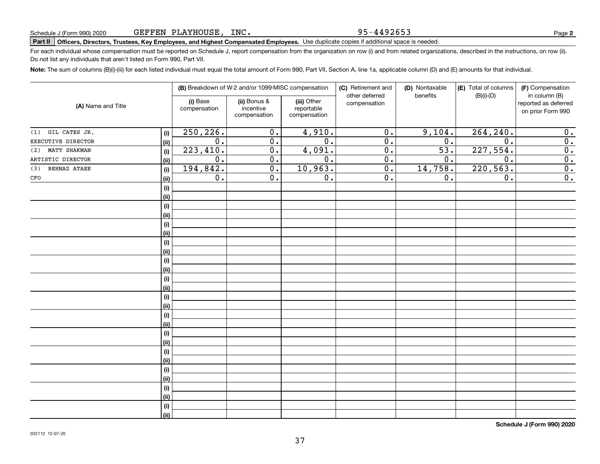95-4492653

**2**

# **Part II Officers, Directors, Trustees, Key Employees, and Highest Compensated Employees.**  Schedule J (Form 990) 2020 Page Use duplicate copies if additional space is needed.

For each individual whose compensation must be reported on Schedule J, report compensation from the organization on row (i) and from related organizations, described in the instructions, on row (ii). Do not list any individuals that aren't listed on Form 990, Part VII.

**Note:**  The sum of columns (B)(i)-(iii) for each listed individual must equal the total amount of Form 990, Part VII, Section A, line 1a, applicable column (D) and (E) amounts for that individual.

| (A) Name and Title         |      |                          | (B) Breakdown of W-2 and/or 1099-MISC compensation |                                           | (C) Retirement and<br>other deferred | (D) Nontaxable<br>(E) Total of columns<br>$(B)(i)-(D)$<br>benefits | (F) Compensation<br>in column (B) |                                           |
|----------------------------|------|--------------------------|----------------------------------------------------|-------------------------------------------|--------------------------------------|--------------------------------------------------------------------|-----------------------------------|-------------------------------------------|
|                            |      | (i) Base<br>compensation | (ii) Bonus &<br>incentive<br>compensation          | (iii) Other<br>reportable<br>compensation | compensation                         |                                                                    |                                   | reported as deferred<br>on prior Form 990 |
| GIL CATES JR.<br>(1)       | (i)  | 250, 226.                | $\overline{0}$ .                                   | 4,910.                                    | $\overline{0}$ .                     | 9,104.                                                             | 264, 240.                         | $\overline{0}$ .                          |
| EXECUTIVE DIRECTOR         | (ii) | $\overline{0}$ .         | $\overline{0}$ .                                   | $\overline{0}$ .                          | $\overline{0}$ .                     | $\overline{0}$ .                                                   | $\overline{0}$ .                  | $\overline{0}$ .                          |
| MATT SHAKMAN<br>(2)        | (i)  | 223, 410.                | $\overline{0}$ .                                   | 4,091.                                    | $\overline{0}$ .                     | $\overline{53}$ .                                                  | 227,554.                          | $\overline{0}$ .                          |
| ARTISTIC DIRECTOR          | (ii) | $\overline{0}$ .         | $\overline{0}$ .                                   | $\overline{0}$ .                          | $\overline{0}$ .                     | 0.                                                                 | $\overline{0}$ .                  | $\overline{0}$ .                          |
| <b>BEHNAZ ATAEE</b><br>(3) | (i)  | 194,842.                 | $\overline{0}$ .                                   | 10,963.                                   | $\overline{0}$ .                     | 14,758.                                                            | 220, 563.                         | 0.                                        |
| CFO                        | (ii) | 0.                       | $\overline{0}$ .                                   | 0.                                        | $\overline{0}$ .                     | 0.                                                                 | 0.                                | $\overline{0}$ .                          |
|                            | (i)  |                          |                                                    |                                           |                                      |                                                                    |                                   |                                           |
|                            | (ii) |                          |                                                    |                                           |                                      |                                                                    |                                   |                                           |
|                            | (i)  |                          |                                                    |                                           |                                      |                                                                    |                                   |                                           |
|                            | (ii) |                          |                                                    |                                           |                                      |                                                                    |                                   |                                           |
|                            | (i)  |                          |                                                    |                                           |                                      |                                                                    |                                   |                                           |
|                            | (ii) |                          |                                                    |                                           |                                      |                                                                    |                                   |                                           |
|                            | (i)  |                          |                                                    |                                           |                                      |                                                                    |                                   |                                           |
|                            | (ii) |                          |                                                    |                                           |                                      |                                                                    |                                   |                                           |
|                            | (i)  |                          |                                                    |                                           |                                      |                                                                    |                                   |                                           |
|                            | (ii) |                          |                                                    |                                           |                                      |                                                                    |                                   |                                           |
|                            | (i)  |                          |                                                    |                                           |                                      |                                                                    |                                   |                                           |
|                            | (ii) |                          |                                                    |                                           |                                      |                                                                    |                                   |                                           |
|                            | (i)  |                          |                                                    |                                           |                                      |                                                                    |                                   |                                           |
|                            | (ii) |                          |                                                    |                                           |                                      |                                                                    |                                   |                                           |
|                            | (i)  |                          |                                                    |                                           |                                      |                                                                    |                                   |                                           |
|                            | (ii) |                          |                                                    |                                           |                                      |                                                                    |                                   |                                           |
|                            | (i)  |                          |                                                    |                                           |                                      |                                                                    |                                   |                                           |
|                            | (ii) |                          |                                                    |                                           |                                      |                                                                    |                                   |                                           |
|                            | (i)  |                          |                                                    |                                           |                                      |                                                                    |                                   |                                           |
|                            | (ii) |                          |                                                    |                                           |                                      |                                                                    |                                   |                                           |
|                            | (i)  |                          |                                                    |                                           |                                      |                                                                    |                                   |                                           |
|                            | (ii) |                          |                                                    |                                           |                                      |                                                                    |                                   |                                           |
|                            | (i)  |                          |                                                    |                                           |                                      |                                                                    |                                   |                                           |
|                            | (ii) |                          |                                                    |                                           |                                      |                                                                    |                                   |                                           |
|                            | (i)  |                          |                                                    |                                           |                                      |                                                                    |                                   |                                           |
|                            | (ii) |                          |                                                    |                                           |                                      |                                                                    |                                   |                                           |

**Schedule J (Form 990) 2020**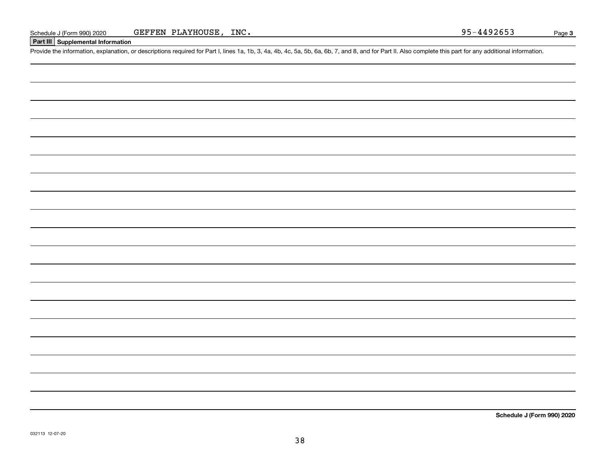#### **Part III Supplemental Information**

Schedule J (Form 990) 2020 GEFFEN PLAYHOUSE, INC.<br>Part III Supplemental Information<br>Provide the information, explanation, or descriptions required for Part I, lines 1a, 1b, 3, 4a, 4b, 4c, 5a, 5b, 6a, 6b, 7, and 8, and for

**Schedule J (Form 990) 2020**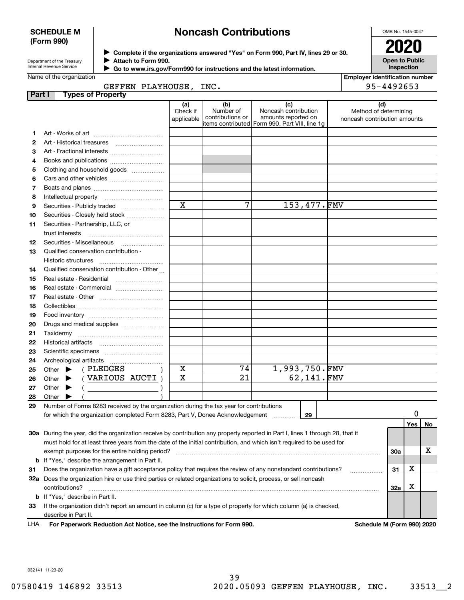#### **SCHEDULE M (Form 990)**

## **Noncash Contributions**

OMB No. 1545-0047

| Department of the Treasury |
|----------------------------|
| Internal Revenue Service   |

**Complete if the organizations answered "Yes" on Form 990, Part IV, lines 29 or 30.** <sup>J</sup>**2020 Attach to Form 990.** J

 **Go to www.irs.gov/Form990 for instructions and the latest information.** J

| $\blacksquare$                             |  |
|--------------------------------------------|--|
| <b>Open to Public</b><br><b>Inspection</b> |  |

|        | Name of the organization                                                                                                       |                               |                                                           |                                                                                    | <b>Employer identification number</b>                        |                 |    |
|--------|--------------------------------------------------------------------------------------------------------------------------------|-------------------------------|-----------------------------------------------------------|------------------------------------------------------------------------------------|--------------------------------------------------------------|-----------------|----|
| Part I | GEFFEN PLAYHOUSE, INC.<br><b>Types of Property</b>                                                                             |                               |                                                           |                                                                                    | 95-4492653                                                   |                 |    |
|        |                                                                                                                                | (a)<br>Check if<br>applicable | (b)<br>Number of<br>contributions or<br>items contributed | (c)<br>Noncash contribution<br>amounts reported on<br>Form 990, Part VIII, line 1q | (d)<br>Method of determining<br>noncash contribution amounts |                 |    |
| 1.     |                                                                                                                                |                               |                                                           |                                                                                    |                                                              |                 |    |
| 2      |                                                                                                                                |                               |                                                           |                                                                                    |                                                              |                 |    |
| З      | Art - Fractional interests                                                                                                     |                               |                                                           |                                                                                    |                                                              |                 |    |
| 4      | Books and publications                                                                                                         |                               |                                                           |                                                                                    |                                                              |                 |    |
| 5      | Clothing and household goods                                                                                                   |                               |                                                           |                                                                                    |                                                              |                 |    |
| 6      |                                                                                                                                |                               |                                                           |                                                                                    |                                                              |                 |    |
| 7      |                                                                                                                                |                               |                                                           |                                                                                    |                                                              |                 |    |
| 8      | Intellectual property                                                                                                          |                               |                                                           |                                                                                    |                                                              |                 |    |
| 9      | Securities - Publicly traded                                                                                                   | $\mathbf x$                   | 7                                                         | 153,477.FMV                                                                        |                                                              |                 |    |
| 10     | Securities - Closely held stock                                                                                                |                               |                                                           |                                                                                    |                                                              |                 |    |
| 11     | Securities - Partnership, LLC, or                                                                                              |                               |                                                           |                                                                                    |                                                              |                 |    |
|        | trust interests                                                                                                                |                               |                                                           |                                                                                    |                                                              |                 |    |
| 12     |                                                                                                                                |                               |                                                           |                                                                                    |                                                              |                 |    |
| 13     | Qualified conservation contribution -                                                                                          |                               |                                                           |                                                                                    |                                                              |                 |    |
|        | Historic structures                                                                                                            |                               |                                                           |                                                                                    |                                                              |                 |    |
| 14     | Qualified conservation contribution - Other                                                                                    |                               |                                                           |                                                                                    |                                                              |                 |    |
| 15     | Real estate - Residential                                                                                                      |                               |                                                           |                                                                                    |                                                              |                 |    |
| 16     | Real estate - Commercial                                                                                                       |                               |                                                           |                                                                                    |                                                              |                 |    |
| 17     |                                                                                                                                |                               |                                                           |                                                                                    |                                                              |                 |    |
| 18     |                                                                                                                                |                               |                                                           |                                                                                    |                                                              |                 |    |
| 19     |                                                                                                                                |                               |                                                           |                                                                                    |                                                              |                 |    |
| 20     | Drugs and medical supplies                                                                                                     |                               |                                                           |                                                                                    |                                                              |                 |    |
| 21     |                                                                                                                                |                               |                                                           |                                                                                    |                                                              |                 |    |
| 22     |                                                                                                                                |                               |                                                           |                                                                                    |                                                              |                 |    |
| 23     |                                                                                                                                |                               |                                                           |                                                                                    |                                                              |                 |    |
| 24     | Archeological artifacts                                                                                                        |                               |                                                           |                                                                                    |                                                              |                 |    |
| 25     | (PLEDGES<br>Other $\blacktriangleright$                                                                                        | X                             | 74                                                        | <u>1,993,750.FMV</u>                                                               |                                                              |                 |    |
| 26     | VARIOUS AUCTI)<br>Other $\blacktriangleright$                                                                                  | X                             | $\overline{21}$                                           | 62,141.FMV                                                                         |                                                              |                 |    |
| 27     | Other $\blacktriangleright$                                                                                                    |                               |                                                           |                                                                                    |                                                              |                 |    |
| 28     | Other<br>▶                                                                                                                     |                               |                                                           |                                                                                    |                                                              |                 |    |
| 29     | Number of Forms 8283 received by the organization during the tax year for contributions                                        |                               |                                                           |                                                                                    |                                                              |                 |    |
|        | for which the organization completed Form 8283, Part V, Donee Acknowledgement                                                  |                               |                                                           | 29                                                                                 |                                                              | 0<br><b>Yes</b> | No |
|        | 30a During the year, did the organization receive by contribution any property reported in Part I, lines 1 through 28, that it |                               |                                                           |                                                                                    |                                                              |                 |    |
|        | must hold for at least three years from the date of the initial contribution, and which isn't required to be used for          |                               |                                                           |                                                                                    |                                                              |                 |    |
|        | exempt purposes for the entire holding period?                                                                                 |                               |                                                           |                                                                                    | <b>30a</b>                                                   |                 | х  |
| b      | If "Yes," describe the arrangement in Part II.                                                                                 |                               |                                                           |                                                                                    |                                                              |                 |    |
| 31     | Does the organization have a gift acceptance policy that requires the review of any nonstandard contributions?                 |                               |                                                           |                                                                                    | 31                                                           | Χ               |    |
| 32a    | Does the organization hire or use third parties or related organizations to solicit, process, or sell noncash                  |                               |                                                           |                                                                                    |                                                              |                 |    |
|        |                                                                                                                                |                               |                                                           |                                                                                    |                                                              |                 |    |

**33**If the organization didn't report an amount in column (c) for a type of property for which column (a) is checked, **b**If "Yes," describe in Part II. describe in Part II.

contributions? ~~~~~~~~~~~~~~~~~~~~~~~~~~~~~~~~~~~~~~~~~~~~~~~~~~~~~~

**For Paperwork Reduction Act Notice, see the Instructions for Form 990. Schedule M (Form 990) 2020** LHA

**32a**

X

032141 11-23-20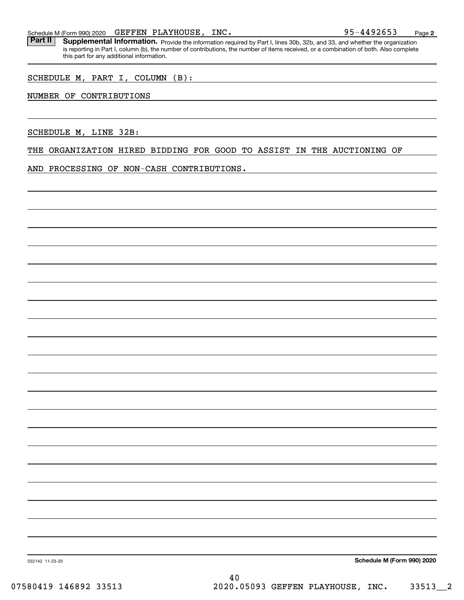Part II | Supplemental Information. Provide the information required by Part I, lines 30b, 32b, and 33, and whether the organization is reporting in Part I, column (b), the number of contributions, the number of items received, or a combination of both. Also complete this part for any additional information.

SCHEDULE M, PART I, COLUMN (B):

#### NUMBER OF CONTRIBUTIONS

SCHEDULE M, LINE 32B:

THE ORGANIZATION HIRED BIDDING FOR GOOD TO ASSIST IN THE AUCTIONING OF

AND PROCESSING OF NON-CASH CONTRIBUTIONS.

**Schedule M (Form 990) 2020**

**2**

032142 11-23-20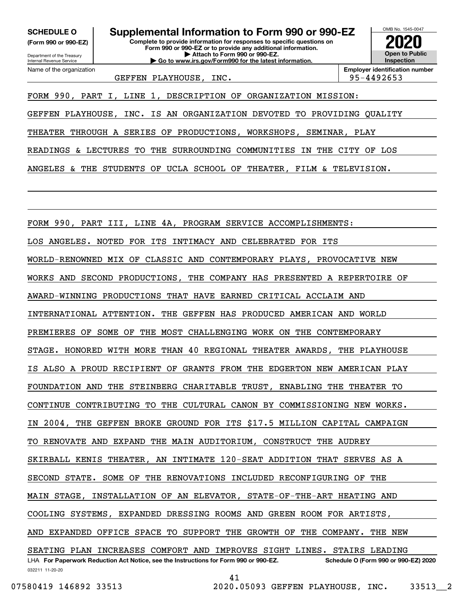**(Form 990 or 990-EZ)**

Department of the Treasury Internal Revenue Service Name of the organization

**Complete to provide information for responses to specific questions on Form 990 or 990-EZ or to provide any additional information. | Attach to Form 990 or 990-EZ. | Go to www.irs.gov/Form990 for the latest information. SCHEDULE O Supplemental Information to Form 990 or 990-EZ**



GEFFEN PLAYHOUSE, INC. 195-4492653

FORM 990, PART I, LINE 1, DESCRIPTION OF ORGANIZATION MISSION:

GEFFEN PLAYHOUSE, INC. IS AN ORGANIZATION DEVOTED TO PROVIDING QUALITY

THEATER THROUGH A SERIES OF PRODUCTIONS, WORKSHOPS, SEMINAR, PLAY

READINGS & LECTURES TO THE SURROUNDING COMMUNITIES IN THE CITY OF LOS

ANGELES & THE STUDENTS OF UCLA SCHOOL OF THEATER, FILM & TELEVISION.

FORM 990, PART III, LINE 4A, PROGRAM SERVICE ACCOMPLISHMENTS:

LOS ANGELES. NOTED FOR ITS INTIMACY AND CELEBRATED FOR ITS

WORLD-RENOWNED MIX OF CLASSIC AND CONTEMPORARY PLAYS, PROVOCATIVE NEW

WORKS AND SECOND PRODUCTIONS, THE COMPANY HAS PRESENTED A REPERTOIRE OF

AWARD-WINNING PRODUCTIONS THAT HAVE EARNED CRITICAL ACCLAIM AND

INTERNATIONAL ATTENTION. THE GEFFEN HAS PRODUCED AMERICAN AND WORLD

PREMIERES OF SOME OF THE MOST CHALLENGING WORK ON THE CONTEMPORARY

STAGE. HONORED WITH MORE THAN 40 REGIONAL THEATER AWARDS, THE PLAYHOUSE

IS ALSO A PROUD RECIPIENT OF GRANTS FROM THE EDGERTON NEW AMERICAN PLAY

FOUNDATION AND THE STEINBERG CHARITABLE TRUST, ENABLING THE THEATER TO

CONTINUE CONTRIBUTING TO THE CULTURAL CANON BY COMMISSIONING NEW WORKS.

2004, THE GEFFEN BROKE GROUND FOR ITS \$17.5 MILLION CAPITAL CAMPAIGN

TO RENOVATE AND EXPAND THE MAIN AUDITORIUM, CONSTRUCT THE AUDREY

SKIRBALL KENIS THEATER, AN INTIMATE 120-SEAT ADDITION THAT SERVES AS A

SECOND STATE. SOME OF THE RENOVATIONS INCLUDED RECONFIGURING OF THE

MAIN STAGE, INSTALLATION OF AN ELEVATOR, STATE-OF-THE-ART HEATING AND

COOLING SYSTEMS, EXPANDED DRESSING ROOMS AND GREEN ROOM FOR ARTISTS,

AND EXPANDED OFFICE SPACE TO SUPPORT THE GROWTH OF THE COMPANY. THE NEW

032211 11-20-20 LHA For Paperwork Reduction Act Notice, see the Instructions for Form 990 or 990-EZ. Schedule O (Form 990 or 990-EZ) 2020 SEATING PLAN INCREASES COMFORT AND IMPROVES SIGHT LINES. STAIRS LEADING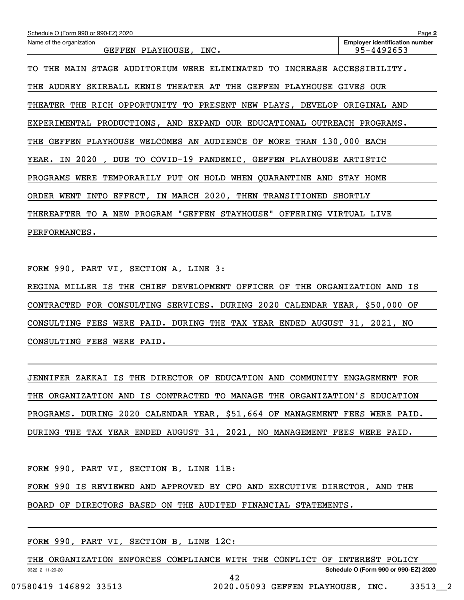| Schedule O (Form 990 or 990-EZ) 2020                                                             | Page 2                                |  |  |  |  |  |
|--------------------------------------------------------------------------------------------------|---------------------------------------|--|--|--|--|--|
| Name of the organization                                                                         | <b>Employer identification number</b> |  |  |  |  |  |
| GEFFEN PLAYHOUSE,<br>INC.                                                                        | 95-4492653                            |  |  |  |  |  |
| STAGE<br>AUDITORIUM<br>WERE<br>ELIMINATED TO<br>INCREASE<br>THE<br><b>MAIN</b><br>TО             | ACCESSIBILITY.                        |  |  |  |  |  |
| SKIRBALL<br>KENIS<br>THEATER AT THE<br>GEFFEN<br>PLAYHOUSE<br>AUDREY<br>THE                      | GIVES OUR                             |  |  |  |  |  |
| RICH<br>OPPORTUNITY TO<br>PRESENT<br>THEATER<br>THE<br>NEW PLAYS,<br>DEVELOP                     | ORIGINAL AND                          |  |  |  |  |  |
| EXPERIMENTAL PRODUCTIONS, AND EXPAND<br>OUR EDUCATIONAL                                          | OUTREACH<br>PROGRAMS.                 |  |  |  |  |  |
| WELCOMES AN AUDIENCE OF<br><b>MORE THAN 130,000</b><br>GEFFEN<br>PLAYHOUSE<br><b>EACH</b><br>THE |                                       |  |  |  |  |  |
| COVID-19 PANDEMIC, GEFFEN PLAYHOUSE<br>2020<br>IN<br>DUE.<br>TO<br>YEAR.                         | ARTISTIC                              |  |  |  |  |  |
| PROGRAMS<br>WERE<br>TEMPORARILY PUT<br>HOLD WHEN QUARANTINE<br>ON<br>AND                         | STAY<br>HOME                          |  |  |  |  |  |
| IN MARCH 2020, THEN TRANSITIONED<br>ORDER WENT<br>INTO<br>EFFECT,                                | SHORTLY                               |  |  |  |  |  |
| PROGRAM<br>"GEFFEN<br>STAYHOUSE"<br>THEREAFTER TO<br>A NEW<br>OFFERING                           | VIRTUAL LIVE                          |  |  |  |  |  |
| PERFORMANCES.                                                                                    |                                       |  |  |  |  |  |

FORM 990, PART VI, SECTION A, LINE 3:

REGINA MILLER IS THE CHIEF DEVELOPMENT OFFICER OF THE ORGANIZATION AND IS CONTRACTED FOR CONSULTING SERVICES. DURING 2020 CALENDAR YEAR, \$50,000 OF CONSULTING FEES WERE PAID. DURING THE TAX YEAR ENDED AUGUST 31, 2021, NO CONSULTING FEES WERE PAID.

JENNIFER ZAKKAI IS THE DIRECTOR OF EDUCATION AND COMMUNITY ENGAGEMENT FOR THE ORGANIZATION AND IS CONTRACTED TO MANAGE THE ORGANIZATION'S EDUCATION PROGRAMS. DURING 2020 CALENDAR YEAR, \$51,664 OF MANAGEMENT FEES WERE PAID. DURING THE TAX YEAR ENDED AUGUST 31, 2021, NO MANAGEMENT FEES WERE PAID.

FORM 990, PART VI, SECTION B, LINE 11B:

FORM 990 IS REVIEWED AND APPROVED BY CFO AND EXECUTIVE DIRECTOR, AND THE

BOARD OF DIRECTORS BASED ON THE AUDITED FINANCIAL STATEMENTS.

FORM 990, PART VI, SECTION B, LINE 12C:

032212 11-20-20 **Schedule O (Form 990 or 990-EZ) 2020** THE ORGANIZATION ENFORCES COMPLIANCE WITH THE CONFLICT OF INTEREST POLICY 42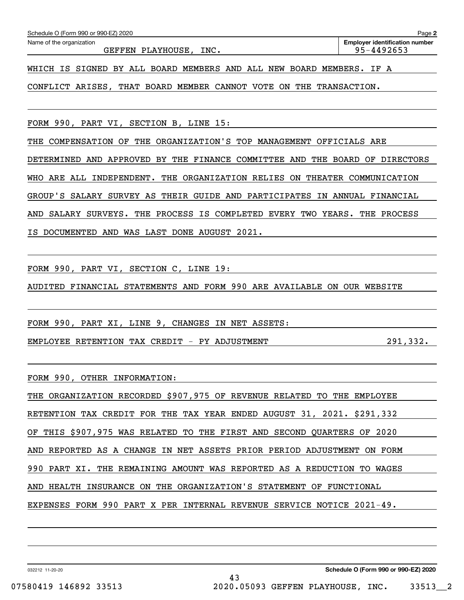| Schedule O (Form 990 or 990-EZ) 2020                                                     | Page 2                                              |
|------------------------------------------------------------------------------------------|-----------------------------------------------------|
| Name of the organization<br>PLAYHOUSE, INC.<br>GEFFEN                                    | <b>Employer identification number</b><br>95-4492653 |
| BOARD MEMBERS AND ALL NEW<br>SIGNED<br>BY ALL<br>BOARD MEMBERS.<br>WHICH<br>IS.          | IF A                                                |
| CONFLICT ARISES, THAT BOARD MEMBER<br>CANNOT VOTE<br>THE<br>ON.                          | TRANSACTION.                                        |
|                                                                                          |                                                     |
| FORM 990, PART VI, SECTION B, LINE 15:                                                   |                                                     |
| ORGANIZATION'S TOP MANAGEMENT OFFICIALS ARE<br>COMPENSATION OF<br>THE<br>THE             |                                                     |
| APPROVED BY THE FINANCE COMMITTEE<br>THE BOARD<br>AND<br>DETERMINED<br>AND               | OF<br><b>DIRECTORS</b>                              |
| ARE<br>ALL<br>INDEPENDENT. THE<br>ORGANIZATION<br>RELIES<br>THEATER<br>WHO<br>ON.        | COMMUNICATION                                       |
| GROUP'S<br>SALARY<br>SURVEY AS<br>THEIR GUIDE AND<br>PARTICIPATES<br>IN                  | ANNUAL<br>FINANCIAL                                 |
| SURVEYS.<br>PROCESS<br>ΙS<br>COMPLETED<br>YEARS.<br>SALARY<br>THE<br>EVERY<br>TWO<br>AND | THE<br>PROCESS                                      |

IS DOCUMENTED AND WAS LAST DONE AUGUST 2021.

FORM 990, PART VI, SECTION C, LINE 19:

AUDITED FINANCIAL STATEMENTS AND FORM 990 ARE AVAILABLE ON OUR WEBSITE

FORM 990, PART XI, LINE 9, CHANGES IN NET ASSETS:

EMPLOYEE RETENTION TAX CREDIT - PY ADJUSTMENT  $291,332$ .

FORM 990, OTHER INFORMATION:

| THE ORGANIZATION RECORDED \$907,975 OF REVENUE RELATED TO THE EMPLOYEE |
|------------------------------------------------------------------------|
| RETENTION TAX CREDIT FOR THE TAX YEAR ENDED AUGUST 31, 2021. \$291,332 |
| OF THIS \$907,975 WAS RELATED TO THE FIRST AND SECOND QUARTERS OF 2020 |
| AND REPORTED AS A CHANGE IN NET ASSETS PRIOR PERIOD ADJUSTMENT ON FORM |
| 990 PART XI. THE REMAINING AMOUNT WAS REPORTED AS A REDUCTION TO WAGES |
| AND HEALTH INSURANCE ON THE ORGANIZATION'S STATEMENT OF FUNCTIONAL     |
| EXPENSES FORM 990 PART X PER INTERNAL REVENUE SERVICE NOTICE 2021-49.  |

43

032212 11-20-20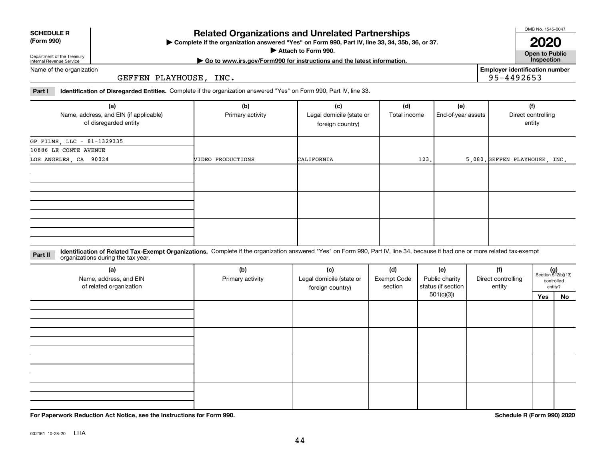## **Related Organizations and Unrelated Partnerships**

**Complete if the organization answered "Yes" on Form 990, Part IV, line 33, 34, 35b, 36, or 37.** |

**Attach to Form 990.**  |

#### Department of the Treasury Internal Revenue Service Name of the organization

GEFFEN PLAYHOUSE, INC.

**Part I Identification of Disregarded Entities.**  Complete if the organization answered "Yes" on Form 990, Part IV, line 33.

| (a)<br>Name, address, and EIN (if applicable)<br>of disregarded entity | (b)<br>Primary activity | (c)<br>Legal domicile (state or<br>foreign country) | (d)<br>Total income | (e)<br>End-of-year assets | (f)<br>Direct controlling<br>entity |
|------------------------------------------------------------------------|-------------------------|-----------------------------------------------------|---------------------|---------------------------|-------------------------------------|
| GP FILMS, LLC - 81-1329335                                             |                         |                                                     |                     |                           |                                     |
| 10886 LE CONTE AVENUE                                                  |                         |                                                     |                     |                           |                                     |
| LOS ANGELES, CA 90024                                                  | VIDEO PRODUCTIONS       | CALIFORNIA                                          | 123.                |                           | 5,080. GEFFEN PLAYHOUSE, INC.       |
|                                                                        |                         |                                                     |                     |                           |                                     |
|                                                                        |                         |                                                     |                     |                           |                                     |
|                                                                        |                         |                                                     |                     |                           |                                     |
|                                                                        |                         |                                                     |                     |                           |                                     |

**Identification of Related Tax-Exempt Organizations.** Complete if the organization answered "Yes" on Form 990, Part IV, line 34, because it had one or more related tax-exempt **Part II** organizations during the tax year.

| (a)<br>Name, address, and EIN<br>of related organization | (b)<br>Primary activity | (c)<br>Legal domicile (state or<br>foreign country) | (d)<br><b>Exempt Code</b><br>section | (e)<br>Public charity<br>status (if section | (f)<br>Direct controlling<br>entity | $(g)$<br>Section 512(b)(13) | controlled<br>entity? |
|----------------------------------------------------------|-------------------------|-----------------------------------------------------|--------------------------------------|---------------------------------------------|-------------------------------------|-----------------------------|-----------------------|
|                                                          |                         |                                                     |                                      | 501(c)(3)                                   |                                     | Yes                         | No                    |
|                                                          |                         |                                                     |                                      |                                             |                                     |                             |                       |
|                                                          |                         |                                                     |                                      |                                             |                                     |                             |                       |
|                                                          |                         |                                                     |                                      |                                             |                                     |                             |                       |
|                                                          |                         |                                                     |                                      |                                             |                                     |                             |                       |

**For Paperwork Reduction Act Notice, see the Instructions for Form 990. Schedule R (Form 990) 2020**

**Open to Public | Go to www.irs.gov/Form990 for instructions and the latest information. Inspection 2020**

**Employer identification number**

95-4492653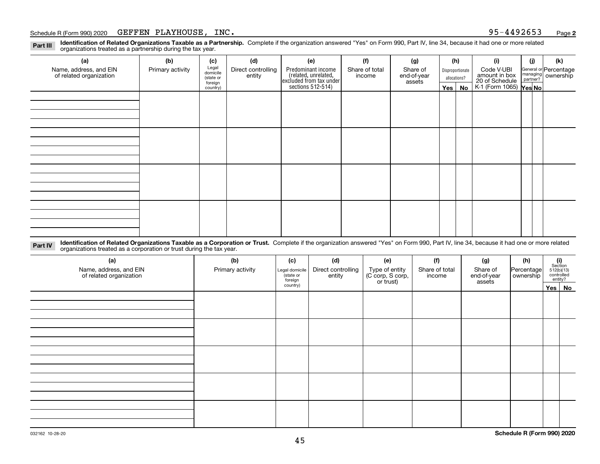#### Schedule R (Form 990) 2020 Page GEFFEN PLAYHOUSE, INC. 95-4492653

**Identification of Related Organizations Taxable as a Partnership.** Complete if the organization answered "Yes" on Form 990, Part IV, line 34, because it had one or more related **Part III** organizations treated as a partnership during the tax year.

| (a)                     | (b)                  | (c)               | (d)                | (e)                                                                 | (f)            | (g)                   |                  | (h)      | (i)                                      | (j) | (k)                                                       |
|-------------------------|----------------------|-------------------|--------------------|---------------------------------------------------------------------|----------------|-----------------------|------------------|----------|------------------------------------------|-----|-----------------------------------------------------------|
| Name, address, and EIN  | Primary activity     | Legal<br>domicile | Direct controlling | Predominant income                                                  | Share of total | Share of              | Disproportionate |          | Code V-UBI<br>amount in box              |     | General or Percentage<br>managing<br>partner?<br>partner? |
| of related organization | (state or<br>foreign |                   | entity             | related, unrelated,<br>excluded from tax under<br>sections 512-514) | income         | end-of-year<br>assets | allocations?     |          | 20 of Schedule<br>K-1 (Form 1065) Yes No |     |                                                           |
|                         |                      | country)          |                    |                                                                     |                |                       |                  | Yes   No |                                          |     |                                                           |
|                         |                      |                   |                    |                                                                     |                |                       |                  |          |                                          |     |                                                           |
|                         |                      |                   |                    |                                                                     |                |                       |                  |          |                                          |     |                                                           |
|                         |                      |                   |                    |                                                                     |                |                       |                  |          |                                          |     |                                                           |
|                         |                      |                   |                    |                                                                     |                |                       |                  |          |                                          |     |                                                           |
|                         |                      |                   |                    |                                                                     |                |                       |                  |          |                                          |     |                                                           |
|                         |                      |                   |                    |                                                                     |                |                       |                  |          |                                          |     |                                                           |
|                         |                      |                   |                    |                                                                     |                |                       |                  |          |                                          |     |                                                           |
|                         |                      |                   |                    |                                                                     |                |                       |                  |          |                                          |     |                                                           |
|                         |                      |                   |                    |                                                                     |                |                       |                  |          |                                          |     |                                                           |
|                         |                      |                   |                    |                                                                     |                |                       |                  |          |                                          |     |                                                           |
|                         |                      |                   |                    |                                                                     |                |                       |                  |          |                                          |     |                                                           |
|                         |                      |                   |                    |                                                                     |                |                       |                  |          |                                          |     |                                                           |
|                         |                      |                   |                    |                                                                     |                |                       |                  |          |                                          |     |                                                           |
|                         |                      |                   |                    |                                                                     |                |                       |                  |          |                                          |     |                                                           |
|                         |                      |                   |                    |                                                                     |                |                       |                  |          |                                          |     |                                                           |
|                         |                      |                   |                    |                                                                     |                |                       |                  |          |                                          |     |                                                           |
|                         |                      |                   |                    |                                                                     |                |                       |                  |          |                                          |     |                                                           |

**Identification of Related Organizations Taxable as a Corporation or Trust.** Complete if the organization answered "Yes" on Form 990, Part IV, line 34, because it had one or more related **Part IV** organizations treated as a corporation or trust during the tax year.

| (a)<br>Name, address, and EIN<br>of related organization | (b)<br>Primary activity | (c)<br>Legal domicile<br>state or<br>foreign | (d)<br>Direct controlling<br>entity | (e)<br>Type of entity<br>(C corp, S corp,<br>or trust) | (f)<br>Share of total<br>income | (g)<br>Share of<br>end-of-year<br>assets | (h)<br>Percentage<br>ownership | $(i)$ Section<br>512(b)(13)<br>controlled<br>entity? |        |
|----------------------------------------------------------|-------------------------|----------------------------------------------|-------------------------------------|--------------------------------------------------------|---------------------------------|------------------------------------------|--------------------------------|------------------------------------------------------|--------|
|                                                          |                         | country)                                     |                                     |                                                        |                                 |                                          |                                |                                                      | Yes No |
|                                                          |                         |                                              |                                     |                                                        |                                 |                                          |                                |                                                      |        |
|                                                          |                         |                                              |                                     |                                                        |                                 |                                          |                                |                                                      |        |
|                                                          |                         |                                              |                                     |                                                        |                                 |                                          |                                |                                                      |        |
|                                                          |                         |                                              |                                     |                                                        |                                 |                                          |                                |                                                      |        |
|                                                          |                         |                                              |                                     |                                                        |                                 |                                          |                                |                                                      |        |
|                                                          |                         |                                              |                                     |                                                        |                                 |                                          |                                |                                                      |        |
|                                                          |                         |                                              |                                     |                                                        |                                 |                                          |                                |                                                      |        |
|                                                          |                         |                                              |                                     |                                                        |                                 |                                          |                                |                                                      |        |
|                                                          |                         |                                              |                                     |                                                        |                                 |                                          |                                |                                                      |        |
|                                                          |                         |                                              |                                     |                                                        |                                 |                                          |                                |                                                      |        |
|                                                          |                         |                                              |                                     |                                                        |                                 |                                          |                                |                                                      |        |
|                                                          |                         |                                              |                                     |                                                        |                                 |                                          |                                |                                                      |        |
|                                                          |                         |                                              |                                     |                                                        |                                 |                                          |                                |                                                      |        |
|                                                          |                         |                                              |                                     |                                                        |                                 |                                          |                                |                                                      |        |
|                                                          |                         |                                              |                                     |                                                        |                                 |                                          |                                |                                                      |        |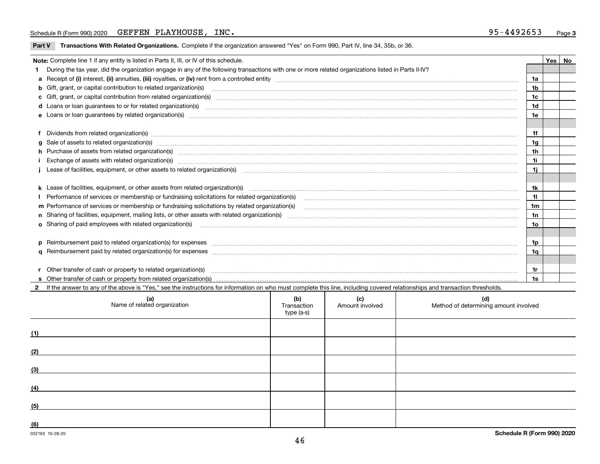#### Schedule R (Form 990) 2020 Page GEFFEN PLAYHOUSE, INC. 95-4492653

| Part V Transactions With Related Organizations. Complete if the organization answered "Yes" on Form 990, Part IV, line 34, 35b, or 36. |  |
|----------------------------------------------------------------------------------------------------------------------------------------|--|
|                                                                                                                                        |  |

| Note: Complete line 1 if any entity is listed in Parts II, III, or IV of this schedule. |                                                                                                                                                                                                                                      |                |  |  |  |  |
|-----------------------------------------------------------------------------------------|--------------------------------------------------------------------------------------------------------------------------------------------------------------------------------------------------------------------------------------|----------------|--|--|--|--|
|                                                                                         | During the tax year, did the organization engage in any of the following transactions with one or more related organizations listed in Parts II-IV?                                                                                  |                |  |  |  |  |
|                                                                                         |                                                                                                                                                                                                                                      | 1a             |  |  |  |  |
|                                                                                         | <b>b</b> Gift, grant, or capital contribution to related organization(s)                                                                                                                                                             | 1b             |  |  |  |  |
|                                                                                         | c Gift, grant, or capital contribution from related organization(s) manufaction(s) and contribution from related organization(s) manufaction contribution from related organization(s) manufaction contribution from related o       | 1c             |  |  |  |  |
|                                                                                         |                                                                                                                                                                                                                                      | 1d             |  |  |  |  |
|                                                                                         |                                                                                                                                                                                                                                      | 1e             |  |  |  |  |
|                                                                                         |                                                                                                                                                                                                                                      |                |  |  |  |  |
|                                                                                         | f Dividends from related organization(s) www.assession.com/www.assession.com/www.assession.com/www.assession.com/www.assession.com/www.assession.com/www.assession.com/www.assession.com/www.assession.com/www.assession.com/w       | 1f             |  |  |  |  |
|                                                                                         | g Sale of assets to related organization(s) www.assettion.com/www.assettion.com/www.assettion.com/www.assettion.com/www.assettion.com/www.assettion.com/www.assettion.com/www.assettion.com/www.assettion.com/www.assettion.co       | 1g             |  |  |  |  |
|                                                                                         |                                                                                                                                                                                                                                      | 1 <sub>h</sub> |  |  |  |  |
|                                                                                         | Exchange of assets with related organization(s) www.andron.com/www.andron.com/www.andron.com/www.andron.com/www.andron.com/www.andron.com/www.andron.com/www.andron.com/www.andron.com/www.andron.com/www.andron.com/www.andro       | 1i             |  |  |  |  |
|                                                                                         | Lease of facilities, equipment, or other assets to related organization(s) [11] manufaction(s) [11] manufaction(s) and all manufaction manufactures are not incomparable to the assets to related organization(s) [11] manufac       | 1i             |  |  |  |  |
|                                                                                         |                                                                                                                                                                                                                                      |                |  |  |  |  |
|                                                                                         |                                                                                                                                                                                                                                      | 1k             |  |  |  |  |
|                                                                                         | I Performance of services or membership or fundraising solicitations for related organization(s)                                                                                                                                     | 11             |  |  |  |  |
|                                                                                         |                                                                                                                                                                                                                                      | 1m             |  |  |  |  |
|                                                                                         |                                                                                                                                                                                                                                      | 1n             |  |  |  |  |
|                                                                                         | o Sharing of paid employees with related organization(s) match and contain a substitution of the state of paid employees with related organization(s)                                                                                | 10             |  |  |  |  |
|                                                                                         |                                                                                                                                                                                                                                      |                |  |  |  |  |
|                                                                                         | p Reimbursement paid to related organization(s) for expenses [111] All and the content of the content of the content of the content of the content of the content of the content of the content of the content of the content        | 1p             |  |  |  |  |
|                                                                                         |                                                                                                                                                                                                                                      | 1q             |  |  |  |  |
|                                                                                         |                                                                                                                                                                                                                                      |                |  |  |  |  |
|                                                                                         | Other transfer of cash or property to related organization(s) <b>continuum continuum continuum continuum continuum continuum continuum continuum continuum continuum continuum continuum continuum continuum continuum continuum</b> | 1r             |  |  |  |  |
|                                                                                         |                                                                                                                                                                                                                                      | 1s             |  |  |  |  |

**2**If the answer to any of the above is "Yes," see the instructions for information on who must complete this line, including covered relationships and transaction thresholds.

| (a)<br>Name of related organization | (b)<br>Transaction<br>type (a-s) | (c)<br>Amount involved | (d)<br>Method of determining amount involved |
|-------------------------------------|----------------------------------|------------------------|----------------------------------------------|
| (1)                                 |                                  |                        |                                              |
| (2)                                 |                                  |                        |                                              |
| (3)                                 |                                  |                        |                                              |
| (4)                                 |                                  |                        |                                              |
| (5)                                 |                                  |                        |                                              |
| (6)                                 |                                  |                        |                                              |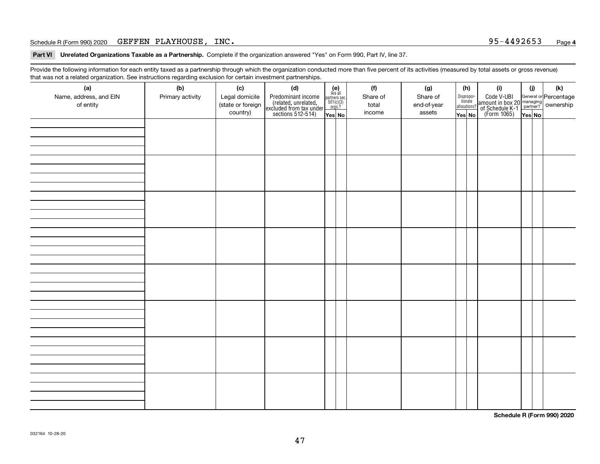#### Schedule R (Form 990) 2020 Page GEFFEN PLAYHOUSE, INC. 95-4492653

**Part VI Unrelated Organizations Taxable as a Partnership. Complete if the organization answered "Yes" on Form 990, Part IV, line 37.** 

Provide the following information for each entity taxed as a partnership through which the organization conducted more than five percent of its activities (measured by total assets or gross revenue) that was not a related organization. See instructions regarding exclusion for certain investment partnerships.

| (a)<br>Name, address, and EIN<br>of entity | ັ<br>(b)<br>Primary activity | (c)<br>Legal domicile<br>(state or foreign<br>country) | (d)<br>Predominant income<br>(related, unrelated,<br>excluded from tax under<br>sections 512-514) | $(e)$<br>Are all<br>partners sec.<br>501(c)(3)<br>orgs.?<br>Yes No | (f)<br>Share of<br>total<br>income | (g)<br>Share of<br>end-of-year<br>assets | (h)<br>Dispropor-<br>tionate<br>allocations?<br>Yes No | (i)<br>Code V-UBI<br>  amount in box 20 managing<br>  of Schedule K-1 partner? ownership<br>  of Schedule K-1 partner? ownership<br>  Yes No | (i)<br>Yes No | $(\mathsf{k})$ |
|--------------------------------------------|------------------------------|--------------------------------------------------------|---------------------------------------------------------------------------------------------------|--------------------------------------------------------------------|------------------------------------|------------------------------------------|--------------------------------------------------------|----------------------------------------------------------------------------------------------------------------------------------------------|---------------|----------------|
|                                            |                              |                                                        |                                                                                                   |                                                                    |                                    |                                          |                                                        |                                                                                                                                              |               |                |
|                                            |                              |                                                        |                                                                                                   |                                                                    |                                    |                                          |                                                        |                                                                                                                                              |               |                |
|                                            |                              |                                                        |                                                                                                   |                                                                    |                                    |                                          |                                                        |                                                                                                                                              |               |                |
|                                            |                              |                                                        |                                                                                                   |                                                                    |                                    |                                          |                                                        |                                                                                                                                              |               |                |
|                                            |                              |                                                        |                                                                                                   |                                                                    |                                    |                                          |                                                        |                                                                                                                                              |               |                |
|                                            |                              |                                                        |                                                                                                   |                                                                    |                                    |                                          |                                                        |                                                                                                                                              |               |                |
|                                            |                              |                                                        |                                                                                                   |                                                                    |                                    |                                          |                                                        |                                                                                                                                              |               |                |
|                                            |                              |                                                        |                                                                                                   |                                                                    |                                    |                                          |                                                        |                                                                                                                                              |               |                |
|                                            |                              |                                                        |                                                                                                   |                                                                    |                                    |                                          |                                                        |                                                                                                                                              |               |                |

**Schedule R (Form 990) 2020**